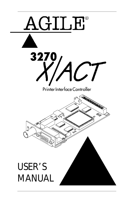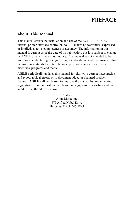# **PREFACE**

### **About This Manual**

This manual covers the installation and use of the AGILE 3270 X/ACT internal printer interface controller. AGILE makes no warranties, expressed or implied, as to its completeness or accuracy. The information in this manual is current as of the date of its publication, but it is subject to change by AGILE at any time without notice. This manual is not intended to be used for manufacturing or engineering specifications, and it is assumed that the user understands the interrelationship between any affected systems, machines, programs and media.

AGILE periodically updates this manual for clarity, to correct inaccuracies and typographical errors, or to document added or changed product features. AGILE will be pleased to improve the manual by implementing suggestions from our customers. Please put suggestions in writing and mail to AGILE at the address below:

> AGILE Attn: Marketing 875 Alfred Nobel Drive Hercules, CA 94547-1899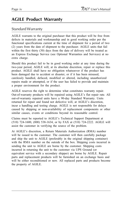### **AGILE Product Warranty**

#### Standard Warranty

AGILE warrants to the original purchaser that this product will be free from defects in materials and workmanship and in good working order per the functional specifications current at the time of shipment for a period of two (2) years from the date of shipment to the purchaser. AGILE units that fail within the first thirty (30) days from the date of delivery will be treated as an Express Exchange Service (see Optional Warranties and Services) at no extra charge.

Should this product fail to be in good working order at any time during the two-year period, AGILE will, at its absolute discretion, repair or replace this product. AGILE shall have no obligation whatsoever if the product has been damaged due to accident or disaster, or if it has been misused, carelessly handled, defaced, modified or altered, including unauthorized repairs made or attempted, or if the user has failed to provide and maintain a proper environment for the product.

AGILE reserves the right to determine what constitutes warranty repair. Out-of-warranty products will be repaired using AGILE's flat repair rate. All out-of-warranty repaired units have a 90-day Standard Warranty. Units returned for repair and found not defective will, at AGILE's discretion, incur a handling and testing charge. AGILE is not responsible for delays caused by shipping or non-availability of replacement components or other similar causes, events or conditions beyond its reasonable control.

Claims must be reported to AGILE's Technical Support Department at (510) 724-1600, (800) 538-1634, or by FAX at (510) 724-2222. AGILE will assist the customer in verifying the source of the problem.

At AGILE's discretion, a Return Materials Authorization (RMA) number will be issued to the customer. The customer will then carefully package and ship the unit to AGILE (preferably in the original shipping container) with the RMA number on the outside of the box. Shipping costs incurred in sending the unit to AGILE are borne by the customer. Shipping costs incurred in returning the unit to the customer via UPS Ground (or equivalent service with a secondary shipper) are borne by AGILE. Repair parts and replacement products will be furnished on an exchange basis and will be either reconditioned or new. All replaced parts and products become the property of AGILE.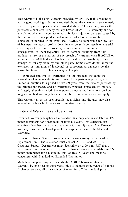This warranty is the only warranty provided by AGILE. If this product is not in good working order as warranted above, the customer's sole remedy shall be repair or replacement as provided above. This warranty states the purchaser's exclusive remedy for any breach of AGILE's warranty and for any claim, whether in contract or tort, for loss, injury or damages caused by the sale or use of any product and is in lieu of all other warranties, expressed or implied. In no event shall AGILE be responsible for any loss of business, savings or profits, downtime or delay, labor repair or material costs, injury to person or property, or any similar or dissimilar consequential or inconsequential loss or damage resulting from this product, its use, or arising out of any breach of warranty, even if AGILE or an authorized AGILE dealer has been advised of the possibility of such damage, or for any claim by any other party. Some states do not allow the exclusion or limitation of incidental or consequential damages, so the above limitations or exclusions may not apply.

All expressed and implied warranties for this product, including the warranties of merchantability and fitness for a particular purpose, are limited in duration to a period of two (2) years from the date of purchase by the original purchaser, and no warranties, whether expressed or implied, will apply after this period. Some states do not allow limitations on how long an implied warranty lasts, so the above limitations may not apply.

This warranty gives the user specific legal rights, and the user may also have other rights which may vary from state to state.

#### Optional Warranties and Services

Extended Warranty lengthens the Standard Warranty and is available in 12 month increments for a maximum of three (3) years. This extension can effectively lengthen the Standard Warranty to five (5) years. Any Extended Warranty must be purchased prior to the expiration date of the Standard Warranty.

Express Exchange Service provides a next-business-day delivery of a replacement unit. The customer must contact AGILE, and AGILE's Customer Support Department must determine by 2:00 p.m. PST that a replacement unit is required. Express Exchange Service is available in 12 month increments for a maximum total of five (5) years and must be concurrent with Standard or Extended Warranties.

Medallion Support Program extends the AGILE two-year Standard Warranty by one year to three years, plus it includes three years of Express Exchange Service, all at a savings of one-third off the standard price.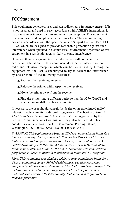### **FCC Statement**

This equipment generates, uses and can radiate radio frequency energy. If it is not installed and used in strict accordance with AGILE's instructions, it may cause interference to radio and television reception. This equipment has been tested and complies with the limits for a Class A computing device in accordance with the specifications in Subpart J of Part 15 of FCC Rules, which are designed to provide reasonable protection against such interference when operated in a commercial environment. Operation of this equipment in a residential area is likely to cause interference.

However, there is no guarantee that interference will not occur in a particular installation. If this equipment does cause interference to radio and television reception, which can be determined by turning the equipment off, the user is encouraged to try to correct the interference by one or more of the following measures:

- **▲ Reorient the receiving antenna.**
- **▲ Relocate the printer with respect to the receiver.**
- **▲ Move the printer away from the receiver.**
- $\triangle$  Plug the printer into a different outlet so that the 3270 X/ACT and receiver are on different branch circuits.

If necessary, the user should consult the dealer or an experienced radio/ television technician for additional suggestions. The booklet, How to Identify and Resolve Radio-TV Interference Problems, prepared by the Federal Communications Commission, may also be helpful. This booklet is available from the US Government Printing Office, Washington, DC 20402, Stock No. 004-000-00345-4.

WARNING: This equipment has been certified to comply with the limits for a Class A computing device, pursuant to Subpart J of Part 15 of FCC rules. Only peripherals (computer input/output devices, printers, plotters, etc.) certified to comply with the Class A (commercial) or Class B (residential) limits may be attached to the 3270 X/ACT. Operation with non-certified peripherals is likely to result in interference to radio and TV reception.

Note: This equipment uses shielded cables to meet compliance limits for a Class A computing device. Shielded cables must be used to ensure this equipment continues to meet these limits. The shield must be terminated to the metallic connector at both ends to guarantee adequate suppression of undesirable emissions. All cables are fully double shielded (Mylar foil and tinned copper braid.)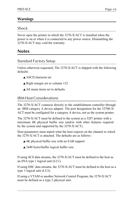#### **Warnings**

#### Shock

Never open the printer in which the 3270-X/ACT is installed when the power is on or when it is connected to any power source. Dismantling the 3270-X/ACT may void the warranty.

#### **Notes**

#### Standard Factory Setup

Unless otherwise requested, The 3270-X/ACT is shipped with the following defaults:

- ▲ ASCII character set
- ▲ Right margin set to column 132
- ▲ All menu items set to defaults

#### IBM Host Considerations

The 3270-X/ACT connects directly to the establishment controller through an IBM category A device adapter. The port designation for the 32700-X/ ACT must be configured for a category A device, not as the system printer.

The 3270-X/ACT must be defined to the system as a 3287 printer with a maximum 4K physical buffer size (and/or with other features required by the system and supported by the 3270-X/ACT).

Host parameters must match what the host expects on the channel to which the 3270-X/ACT is attached. The defaults are as follows:

- ▲ 4K physical buffer size with no EAB support
- ▲ 3440 bytes/buffer logical buffer size

If using SCS data streams, the 3270-X/ACT must be defined to the host as an SNA type 1 logical unit (LU1).

If using DSC data streams, the 3270-X/ACT must be defined to the host as a type 3 logical unit (LU3).

If using a VTAM or another Network Control Program, the 3270-X/ACT must be defined as a type 2 physical unit.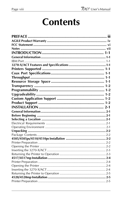# **Contents**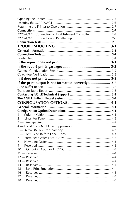| 3270-X/ACT Connection to Establishment Controller 2-7 |  |
|-------------------------------------------------------|--|
|                                                       |  |
|                                                       |  |
|                                                       |  |
|                                                       |  |
|                                                       |  |
|                                                       |  |
|                                                       |  |
|                                                       |  |
|                                                       |  |
|                                                       |  |
|                                                       |  |
| If the print output is not formatted correctly:  3-3  |  |
|                                                       |  |
|                                                       |  |
|                                                       |  |
|                                                       |  |
|                                                       |  |
|                                                       |  |
|                                                       |  |
|                                                       |  |
|                                                       |  |
|                                                       |  |
|                                                       |  |
|                                                       |  |
|                                                       |  |
|                                                       |  |
|                                                       |  |
|                                                       |  |
|                                                       |  |
|                                                       |  |
|                                                       |  |
|                                                       |  |
|                                                       |  |
|                                                       |  |
|                                                       |  |
|                                                       |  |
|                                                       |  |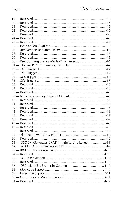| 30 - Pseudo Transparency Mode (PTM) Selection  4-6       |  |
|----------------------------------------------------------|--|
|                                                          |  |
|                                                          |  |
|                                                          |  |
|                                                          |  |
|                                                          |  |
|                                                          |  |
|                                                          |  |
|                                                          |  |
|                                                          |  |
|                                                          |  |
|                                                          |  |
|                                                          |  |
|                                                          |  |
|                                                          |  |
|                                                          |  |
|                                                          |  |
|                                                          |  |
|                                                          |  |
|                                                          |  |
|                                                          |  |
| 51 - DSC EM Generates CR/LF in Infinite Line Length  4-9 |  |
|                                                          |  |
|                                                          |  |
|                                                          |  |
|                                                          |  |
|                                                          |  |
|                                                          |  |
|                                                          |  |
|                                                          |  |
|                                                          |  |
|                                                          |  |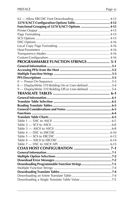| Functional Grouping of 3270 X/ACT Options  4-15       |  |
|-------------------------------------------------------|--|
|                                                       |  |
|                                                       |  |
|                                                       |  |
|                                                       |  |
|                                                       |  |
|                                                       |  |
|                                                       |  |
|                                                       |  |
| PROGRAMMABLE FUNCTION STRINGS 5-1                     |  |
|                                                       |  |
|                                                       |  |
|                                                       |  |
|                                                       |  |
|                                                       |  |
| 8 - DisplayWrite 370 Bolding On or User-defined 5-4   |  |
| 9 - DisplayWrite 370 Bolding Off or User-defined  5-4 |  |
|                                                       |  |
|                                                       |  |
|                                                       |  |
|                                                       |  |
|                                                       |  |
|                                                       |  |
|                                                       |  |
|                                                       |  |
|                                                       |  |
|                                                       |  |
|                                                       |  |
|                                                       |  |
|                                                       |  |
|                                                       |  |
|                                                       |  |
|                                                       |  |
|                                                       |  |
|                                                       |  |
|                                                       |  |
|                                                       |  |
|                                                       |  |
|                                                       |  |
|                                                       |  |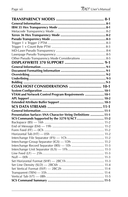| Other Pseudo Transparency Mode Considerations  8-5           |  |
|--------------------------------------------------------------|--|
|                                                              |  |
|                                                              |  |
|                                                              |  |
|                                                              |  |
|                                                              |  |
|                                                              |  |
| COAX HOST CONSIDERATIONS  10-1                               |  |
|                                                              |  |
| VTAM and Network Control Program Requirements  10-1          |  |
|                                                              |  |
|                                                              |  |
|                                                              |  |
|                                                              |  |
|                                                              |  |
|                                                              |  |
| Presentation Surface: SNA Character String Definitions  11-1 |  |
| SCS Commands Supported by the 3270 X/ACT  11-2               |  |
|                                                              |  |
|                                                              |  |
|                                                              |  |
|                                                              |  |
|                                                              |  |
|                                                              |  |
|                                                              |  |
|                                                              |  |
|                                                              |  |
|                                                              |  |
|                                                              |  |
|                                                              |  |
|                                                              |  |
|                                                              |  |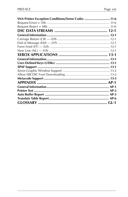| SNA Printer Exception Conditions/Sense Codes  11-6 |  |
|----------------------------------------------------|--|
|                                                    |  |
|                                                    |  |
|                                                    |  |
|                                                    |  |
|                                                    |  |
|                                                    |  |
|                                                    |  |
|                                                    |  |
|                                                    |  |
|                                                    |  |
|                                                    |  |
|                                                    |  |
|                                                    |  |
|                                                    |  |
|                                                    |  |
|                                                    |  |
|                                                    |  |
|                                                    |  |
|                                                    |  |
|                                                    |  |
|                                                    |  |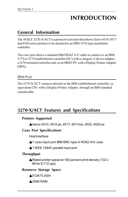# **INTRODUCTION**

### **General Information**

The AGILE 3270-X/ACT is a protocol converter that allows Xerox 4510, 4517 and 4520 series printers to be attached to an IBM 3270-type mainframe controller.

The coax port allows a standard IBM RG62 A/U cable to connect to an IBM 3174 or 3274 establishment controller (EC) with a category A device adapter, a 3276 terminal/controller unit, or an IBM CPU with a Display Printer Adapter (DPA).

#### IBM Port

The 3270-X/ACT connects directly to the IBM establishment controller, or equivalent CPU with a Display Printer Adapter, through an IBM standard coaxial cable.

### **3270-X/ACT Features and Specifications**

#### **Printers Supported**

▲Xerox 4510, 4510 ps, 4517, 4517mp, 4520, 4520 ps

#### **Coax Port Specifications**

Host Interface

▲1 coax input port IBM BNC type A RG62 A/U coax

▲1 IEEE 1284C parallel input port

#### **Throughput**

▲Rated printer speed at 100 percent print-density (132 x 66 for 8,712 cpp)

#### **Resource Storage Space**

▲512K FLASH

▲256K RAM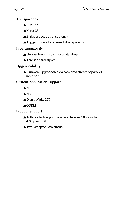#### **Transparency**

▲IBM 35h

▲Xerox 36h

▲2-trigger pseudo transparency

▲Trigger + count byte pseudo transparency

#### **Programmability**

**▲On line through coax host data stream** 

▲Through parallel port

#### **Upgradeability**

▲Firmware upgradeable via coax data stream or parallel input port

#### **Custom Application Support**

▲XPAF

**AXES** 

▲DisplayWrite 370

▲GDDM

#### **Product Support**

▲Toll-free tech support is available from 7:00 a.m. to 4:30 p.m. PST

▲Two-year product warranty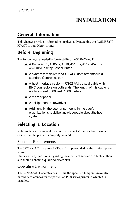# **INSTALLATION**

### **General Information**

This chapter provides information on physically attaching the AGILE 3270- X/ACT to your Xerox printer.

### **Before Beginning**

The following are needed before installing the 3270-X/ACT

- ▲ A Xerox 4505, 4505ps, 4510, 4510ps, 4517, 4520, or 4520mp Desktop Laser Printer
- $\triangle$  A system that delivers ASCII XES data streams via a standard Centronics port
- $\triangle$  A host interface cable RG62 A/U coaxial cable with BNC connectors on both ends. The length of this cable is not to exceed 5000 feet (1500 meters).
- **▲ A ream of paper**
- ▲ A phillips-head screwdriver
- ▲ Additionally, the user or someone in the user's organization should be knowledgeable about the host system.

### **Selecting a Location**

Refer to the user's manual for your particular 4500 series laser printer to ensure that the printer is properly located.

#### Electrical Requirements

The  $3270 - X/ACT$  requires 5 VDC at 1 amp provided by the printer's power source.

Users with any questions regarding the electrical service available at their site should contact a qualified electrician.

#### Operating Environment

The 3270-X/ACT operates best within the specified temperature relative humidity tolerances for the particular 4500 series printer in which it is installed.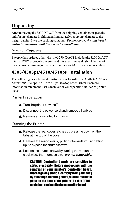### **Unpacking**

After removing the 3270-X/ACT from the shipping container, inspect the unit for any damage in shipment. Immediately report any damage to the freight carrier. Save the packing container. Do not remove the unit from its antistatic enclosure until it is ready for installation.

#### Package Contents

Except when ordered otherwise, the 3270-X/ACT includes the 3270-X/ACT internal PSIO protocol converter and this user's manual. Should either of these items be missing or damaged, contact an AGILE sales representative.

### **4505/4505ps/4510/4510ps Installation**

The following describes and illustrates how to install the 3270-X/ACT in a Xerox 4505, 4505ps., 4510 or 4510ps Desktop Laser Printer. For more information refer to the user's manual for your specific 4500 series printer model

#### Printer Preparation

- $\blacktriangle$  Turn the printer power off
- $\triangle$  Disconnect the power cord and remove all cables
- $\blacktriangle$  Remove any installed font cards

#### Opening the Printer

- $\triangle$  Release the rear cover latches by pressing down on the tabs at the top of the cover
- $\triangle$  Remove the rear cover by pulling it towards you and lifting up, to expose the thumbscrews
- $\triangle$  Loosen the thumbscrews by turning them counter clockwise. the thumbscrews **are not removable.**

CAUTION: Controller boards are sensitive to static electricity. Before proceeding with the removal of your printer's controller board, discharge any static electricity from your body by touching something metal, such as the metal plate on the back of the printer. Do this BEFORE each time you handle the controller board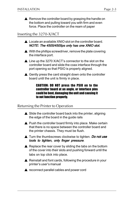$\triangle$  Remove the controller board by grasping the handle on the bottom and pulling toward you with firm and even force. Place the controller on the ream of paper

#### Inserting the 3270-X/ACT

- ▲ Locate an available XNIO slot on the controller board. NOTE: The 4505/4505ps only has one XNIO slot.
- $\triangle$  With the phillips screwdriver, remove the plate covering the interface port.
- ▲ Line up the 3270 X/ACT's connector to the slot on the controller board and slide the coax interface through the port opening so that PSIO is properly aligned.
- $\triangle$  Gently press the card straight down onto the controller board until the unit is firmly in place.

#### CAUTION: DO NOT press the PSIO on to the controller board at an angle, or interface pins could be bent, damaging the unit and causing it to not function properly.

#### Returning the Printer to Operation

- $\triangle$  Slide the controller board back into the printer, aligning the edge of the board in the guide rails
- ▲ Push the controller board firmly into place. Make certain that there is no space between the controller board and the printer chassis. They must be flush.
- ▲ Turn the thumbscrews clockwise to tighten. Do not use tools to tighten, only finger pressure.
- $\triangle$  Replace the rear cover by sliding the tabs on the bottom of the cover into their slots and pushing forward until the tabs on top click into place.
- ▲ Reinstall and font cards, following the procedure in your printer's user's manual
- **▲** reconnect parallel cables and power cord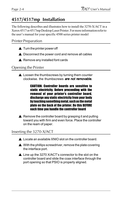### **4517/4517mp Installation**

The following describes and illustrates how to install the 3270-X/ACT in a Xerox 4517 or 4517mp Desktop Laser Printer. For more information refer to the user's manual for your specific 4500 series printer model

#### Printer Preparation

- $\triangle$  Turn the printer power off
- **▲ Disconnect the power cord and remove all cables**
- $\triangle$  Remove any installed font cards

#### Opening the Printer

 $\triangle$  Loosen the thumbscrews by turning them counter clockwise. the thumbscrews **are not removable.** 

> CAUTION: Controller boards are sensitive to static electricity. Before proceeding with the removal of your printer's controller board. discharge any static electricity from your body by touching something metal, such as the metal plate on the back of the printer. Do this BEFORE each time you handle the controller board

 $\triangle$  Remove the controller board by grasping it and pulling toward you with firm and even force. Place the controller on the ream of paper.

#### Inserting the 3270-X/ACT

- ▲ Locate an available XNIO slot on the controller board.
- $\triangle$  With the phillips screwdriver, remove the plate covering the interface port.
- ▲ Line up the 3270 X/ACT's connector to the slot on the controller board and slide the coax interface through the port opening so that PSIO is properly aligned.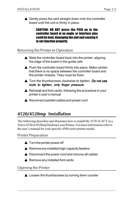▲ Gently press the card straight down onto the controller board until the unit is firmly in place.

> CAUTION: DO NOT press the PSIO on to the controller board at an angle, or interface pins could be bent, damaging the unit and causing it to not function properly.

#### Returning the Printer to Operation

- $\triangle$  Slide the controller board back into the printer, aligning the edge of the board in the guide rails
- $\triangle$  Push the controller board firmly into place. Make certain that there is no space between the controller board and the printer chassis. They must be flush.
- ▲ Turn the thumbscrews clockwise to tighten. Do not use tools to tighten, only finger pressure.
- $\triangle$  Reinstall and font cards, following the procedure in your printer's user's manual
- **▲ Reconnect parallel cables and power cord**

### **4520/4520mp Installation**

The following describes and illustrates how to install the 3270-X/ACT in a Xerox 4520 or 4520mp Desktop Laser Printer. For more information refer to the user's manual for your specific 4500 series printer model.

#### Printer Preparation

- $\triangle$  Turn the printer power off
- $\triangle$  Remove any installed high-capacity feeders
- $\triangle$  Disconnect the power cord and remove all cables
- $\triangle$  Remove any installed font cards

#### Opening the Printer

**▲ Loosen the thumbscrews by turning them counter**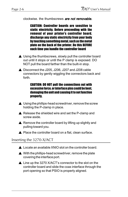#### clockwise. the thumbscrews **are not removable.**

CAUTION: Controller boards are sensitive to static electricity. Before proceeding with the removal of your printer's controller board. discharge any static electricity from your body by touching something metal, such as the metal plate on the back of the printer. Do this BEFORE each time you handle the controller board

- ▲ Using the thumbscrews, slowly pull the controller board out until it stops or until the P clamp is exposed. DO NOT pull the board farther than the built-in stop.
- $\triangle$  Disconnect the J205, J206, J207 and J208 cable connectors by gently wiggling the connectors back and forth.

#### CAUTION: DO NOT pull the connections out with excessive force, or interface pins could be bent, damaging the unit and causing it to not function properly.

- $\triangle$  Using the phillips-head screwdriver, remove the screw holding the P-clamp in place.
- ▲ Release the shielded wire and set the P-clamp and screw aside.
- $\triangle$  Remove the controller board by lifting up slightly and pulling toward you.
- ▲ Place the controller board on a flat, clean surface.

#### Inserting the 3270-X/ACT

- ▲ Locate an available XNIO slot on the controller board.
- $\triangle$  With the phillips-head screwdriver, remove the plate covering the interface port.
- ▲ Line up the 3270 X/ACT's connector to the slot on the controller board and slide the coax interface through the port opening so that PSIO is properly aligned.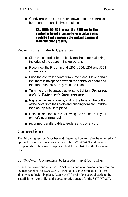▲ Gently press the card straight down onto the controller board until the unit is firmly in place.

> CAUTION: DO NOT press the PSIO on to the controller board at an angle, or interface pins could be bent, damaging the unit and causing it to not function properly.

#### Returning the Printer to Operation

- $\triangle$  Slide the controller board back into the printer, aligning the edge of the board in the guide rails.
- ▲ Reconnect the P-clamp and J205, J206, J207 and J208 connections.
- $\triangle$  Push the controller board firmly into place. Make certain that there is no space between the controller board and the printer chassis. They must be flush.
- ▲ Turn the thumbscrews clockwise to tighten. Do not use tools to tighten, only finger pressure.
- $\triangle$  Replace the rear cover by sliding the tabs on the bottom of the cover into their slots and pushing forward until the tabs on top click into place.
- ▲ Reinstall and font cards, following the procedure in your printer's user's manual
- **▲** reconnect parallel cables, feeders and power cord

### **Connections**

The following section describes and illustrates how to make the required and optional physical connections between the 3270-X/ACT and the other components of the system. Approved cables are listed in the following chart:

#### 3270-X/ACT Connection to Establishment Controller

Attach the device end of an RG62 A/U coax cable to the coax connector on the rear panel of the 3270-X/ACT. Rotate the cable connector 1/4 turn clockwise to lock it in place. Attach the EC end of the coaxial cable to the establishment controller at the coax port designated for the 3270-X/ACT.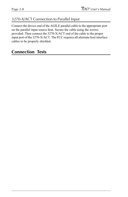#### 3270-X/ACT Connection to Parallel Input

Connect the device end of the AGILE parallel cable to the appropriate port on the parallel input source host. Secure the cable using the screws provided. Then connect the 3270-X/ACT end of the cable to the proper input port of the 3270-X/ACT. The FCC requires all alternate host interface cables to be properly shielded.

### **Connection Tests**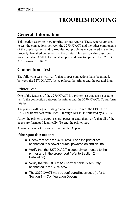## **TROUBLESHOOTING**

### **General Information**

This section describes how to print various reports. These reports are used to test the connections between the 3270 X/ACT and the other components of the user's system, and to troubleshoot problems encountered in sending properly formatted documents to the printer. This section also describes how to contact AGILE technical support and how to upgrade the 3270 X/ ACT firmware EPROM.

### **Connection Tests**

The following tests will verify that proper connections have been made between the 3270 X/ACT, the coax host, the printer and the parallel input.

#### Printer Test

One of the features of the 3270 X/ACT is a printer test that can be used to verify the connection between the printer and the 3270 X/ACT. To perform this test,.

The printer will begin printing a continuous stream of the EBCDIC or ASCII character sets from SPACE through DELETE, followed by a CR/LF.

Allow the printer to output several pages of data, then verify that all of the pages are formatted identically. To end the printer test,

A sample printer test can be found in the Appendix.

#### **If the report does not print:**

- ▲ Check that both the 3270 X/ACT and the printer are connected to a power source, powered on and on line.
- ▲ Verify that the 3270 X/ACT is securely connected to the printer and in the proper port (refer to Section 2 — Installation).
- ▲ Verify that the RG 62 A/U coaxial cable is securely connected to the 3270 X/ACT.
- ▲ The 3270 X/ACT may be configured incorrectly (refer to Section 4 — Configuration Options).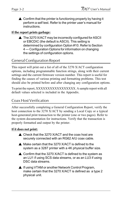▲ Confirm that the printer is functioning properly by having it perform a self test. Refer to the printer user's manual for instructions.

#### **If the report prints garbage:**

▲ The 3270 X/ACT may be incorrectly configured for ASCII or EBCDIC (the default is ASCII). This setting is determined by configuration Option #10. Refer to Section 4 — Configuration Options for information on changing the settings of configuration options.

#### General Configuration Report

This report will print out a list of all of the 3270 X/ACT configuration options, including programmable function strings, along with their current settings and the current firmware version number. This report is useful for finding the causes of various printing and formatting problems. This test should also be printed before and after changing any configuration options.

To print the report, XXXXXXXXXXXXXXXXX. A sample report with all default values selected is included in the Appendix.

#### Coax Host Verification

After successfully completing a General Configuration Report, verify the host connection to the 3270 X/ACT by sending a Local Copy or a typical host-generated print transaction to the printer (one or two pages). Refer to the system documentation for instructions. Verify that the transaction is properly formatted and output by the printer.

#### **If it does not print:**

- ▲ Check that the 3270 X/ACT and the coax host are securely connected with an RG62 A/U coax cable.
- ▲ Make certain that the 3270 X/ACT is defined to the system as a 3287 printer with a 4K physical buffer size.
- $\triangle$  Confirm that the 3270 X/ACT is defined to the system as an LU1 if using SCS data streams, or as an LU3 if using DSC data streams.
- ▲ If using VTAM or another Network Control Program, make certain that the 3270 X/ACT is defined as a type 2 physical unit.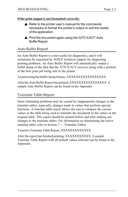#### **If the print output is not formatted correctly:**

- $\triangle$  Refer to the printer user's manual for the commands necessary to format the printer's output to suit the needs of the application.
- $\triangle$  Print the document again using the 3270 X/ACT Auto Buffer Report.

#### Auto Buffer Report

An Auto Buffer Report is a tool useful for diagnostics, and it will sometimes be requested by AGILE technical support for diagnosing printing problems. An Auto Buffer Report will automatically output a buffer dump of the data that the 3270 X/ACT receives along with a printout of the host print job being sent to the printer.

To print using the buffer dump feature, XXXXXXXXXXXXXXXXX

After the Auto Buffer Report has printed, XXXXXXXXXXXXXXX. A sample Auto Buffer Report can be found in the Appendix.

#### Translate Table Report

Some formatting problems may be caused by inappropriate changes to the translate tables, especially changes made to values that perform special functions. A translate table report allows the user to compare the current values in the table being used to translate the document to the values in the original table. This report should be printed before and after making any changes to the translate tables. For information on determining the active translate table, refer to Section  $7 -$  Translate Tables.

To print a Translate Table Report, XXXXXXXXXXXXX

After the report has finished printing, XXXXXXXXXXX. A sample Translate Table Report with all default values selected can be found in the Appendix.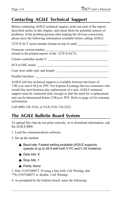### **Contacting AGILE Technical Support**

Before contacting AGILE technical support, print out each of the reports described earlier in this chapter, and check them for potential sources of problems. If the problem persists after making the obvious corrections, please have the following information available before calling AGILE:

3270 X/ACT serial number (found on top of card): \_\_\_\_\_\_\_\_\_\_\_\_\_\_\_\_\_\_\_\_\_\_\_\_\_\_\_\_\_\_\_

Firmware version number

(found in the printed reports of the 3270 X/ACT):

Cluster controller model  $#$ :

SCS or DSC mode:

Coax host cable type and length: \_\_\_\_\_\_\_\_\_\_\_\_\_\_\_\_\_\_\_\_\_\_\_\_\_\_\_\_\_\_\_\_

Parallel interface: \_\_\_\_\_\_\_\_\_\_\_\_\_\_\_\_\_\_\_\_\_\_\_\_\_\_\_\_\_\_\_\_\_\_\_\_\_\_\_\_\_\_\_\_\_

AGILE toll-free technical support is available between the hours of 7:00 a.m. and 4:30 p.m. PST. For Express Exchange Service customers who would like next-business-day replacement of a unit, AGILE technical support must be contacted early enough so that the need for a replacement unit can be determined before 2:00 p.m. PST. Refer to page xii for warranty information.

Call (800) 538-1634, or FAX (510) 724-2222.

### **The AGILE Bulletin Board System**

To upload files that do not print correctly, or to download information, call the AGILE BBS:

1. Load the communications software.

2. Set up the modem:

▲ Baud rate: Fastest setting available (AGILE supports speeds of up to 28.8 with both V.FC and V.34 modems)





▲ Parity: None

3. Dial 15107248073. If using a line with Call Waiting, dial \*70,15107248073 to disable Call Waiting.

4. As prompted by the bulletin board, enter the following: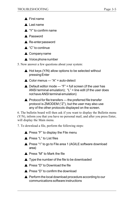- ▲ First name
- ▲ Last name
- ▲ "Y" to confirm name
- ▲ Password
- ▲ Re-enter password
- ▲ "C" to continue
- **▲ Company name**
- ▲ Voice phone number
- 5. Now answer a few questions about your system:
	- $\triangle$  Hot keys (Y/N) allow options to be selected without pressing Enter
	- $\triangle$  Color menus "A" = auto-detect
	- $\triangle$  Default editor mode "F" = full screen (if the user has ANSI terminal emulation); "L" = line edit (if the user does not have ANSI terminal emulation)
	- $\triangle$  Protocol for file transfers the preferred file transfer protocol is ZMODEM ("Z"), but the user may also use any of the other protocols displayed on the screen.

6. The bulletin board will then ask if you want to display the Bulletin menu  $(Y/N)$ , inform you that you have no personal mail, and after you press Enter, will display the Main menu.

- 7. To download a file, perform the following steps:
	- $\triangle$  Press "F" to display the File menu
	- ▲ Press "L" to List files
	- ▲ Press "1" to go to File area 1 (AGILE software download area)
	- ▲ Press "M" to Mark the file
	- ▲ Type the number of the file to be downloaded
	- ▲ Press "D" to Download the file
	- ▲ Press "D" to confirm the download
	- **▲ Perform the local download procedure according to our** communications software instructions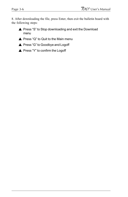8. After downloading the file, press Enter, then exit the bulletin board with the following steps:

- ▲ Press "S" to Stop downloading and exit the Download menu
- ▲ Press "Q" to Quit to the Main menu
- ▲ Press "G" to Goodbye and Logoff
- ▲ Press "Y" to confirm the Logoff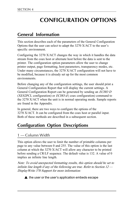# **CONFIGURATION OPTIONS**

### **General Information**

This section describes each of the parameters of the General Configuration Options that the user can select to adapt the  $3270$  X/ACT to the user's specific environment.

Configuring the 3270 X/ACT changes the way in which it handles the data stream from the coax host or alternate host before the data is sent to the printer. The configuration option parameters allow the user to change printer output, page formatting, host parameters, transparency modes, etc. Under many circumstances, the 3270 X/ACT configuration will not have to be modified, because it is already set up for the most common environments.

Before changing any of the configuration settings, the user should print a General Configuration Report that will display the current settings. A General Configuration Report can be generated by sending an ECHO D (XES2PCL configuration) or  $ECHO$   $d$  (coax configuration) command to the 3270 X/ACT when the unit is in normal operating mode. Sample reports are found in the Appendix.

In general, there are two ways to configure the options of the 3270 X/ACT. It can be configured from the coax host or parallel input. Both of these methods are described in a subsequent section.

### **Configuration Option Descriptions**

#### 1 — Column Width

This option allows the user to limit the number of printable columns per page to any value between 0 and 255. The value of this option is the last column at which the 3270 X/ACT will allow any character to be printed before sending a CR/LF sequence. The default value is 132. A value of 0 implies an infinite line length.

Note: To avoid unexpected formatting results, this option should be set to infinite line length if any of the following are true. Refer to Section  $12$  — DisplayWrite 370 Support for more information:



 $\triangle$  the user or the user's application embeds escape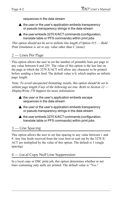sequences in the data stream

 $\triangle$  the user or the user's application embeds transparency or pseudo transparency strings in the data stream

 $\triangle$  the user embeds 3270 X/ACT commands (configuration, translate table or PFS commands) within print jobs

This option should not be set to infinite line length if Option  $\#15$  — Bold Print Emulation is set to any value other than C (none).

#### 2 — Lines Per Page

This option allows the user to set the number of printable lines per page to any value between 0 and 255. The value of this option is the last line on the page at which the 3270 X/ACT will allow any character to be printed before sending a form feed. The default value is 0, which implies an infinite page length.

Note: To avoid unexpected formatting results, this option should be set to infinite page length if any of the following are true. Refer to Section  $12$  — DisplayWrite 370 Support for more information:



- $\blacktriangle$  the user or the user's application embeds transparency or pseudo transparency strings in the data stream
- $\triangle$  the user embeds 3270 X/ACT commands (configuration, translate table or PFS commands) within print jobs

#### 3 — Line Spacing

This option allows the user to set line spacing to any value between 1 and 9. Any line feeds received from the coax host or sent out by the 3270 X/ ACT are multiplied by the value of this option. The default is 1 (single spacing).

## 4 — Local Copy Null Line Suppression

In a local copy or DSC print job, this option determines whether or not lines containing only nulls are printed. The default value is "Yes."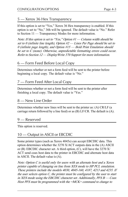## 5 — Xerox 36 Hex Transparency

If this option is set to "Yes," Xerox 36 Hex transparency is enabled. If this option is set to "No," 36h will be ignored. The default value is "No." Refer to Section  $11$  — Transparency Modes for more information.

Note: If this option is set to "Yes," Option  $H -$  Column width should be set to 0 (infinite line length), Option  $#2$  – Lines Per Page should be set to 0 (infinite page length), and Option  $\#15$  — Bold Print Emulation should be set to C (none). Otherwise, unpredictable formatting errors could occur. Refer to Section 12 – Display Write 370 Support for more information.

## 6 — Form Feed Before Local Copy

Determines whether or not a form feed will be sent to the printer before beginning a local copy. The default value is "No."

## 7 — Form Feed After Local Copy

Determines whether or not a form feed will be sent to the printer after finishing a local copy. The default value is "Yes."

## 8 — New Line Order

Determines whether new lines will be sent to the printer as: (A) CR/LF (a carriage return followed by a line feed) or as (B) LF/CR. The default is (A).

## 9 — Reserved

This option is reserved.

## 10 — Output in ASCII or EBCDIC

Some printer types (such as Xerox 4045s) can accept EBCDIC data. This option determines whether the 3270 X/ACT outputs data in the (A) ASCII or (B) EBCDIC character set. A third option, (C), will have the 3270 X/ ACT send coax host data to the printer in EBCDIC and alternate host data in ASCII. The default value is (A).

Note: Option C is useful only for users with an alternate host and a Xerox printer capable of changing on line from XES mode to HP PCL emulation. These printers include the models 4030, 4045-160, 4187, 4213 and 4235. If the user selects option  $C$ , the printer must be configured by the user to start in XES mode using the EBCDIC character set. Additionally,  $PFSB - Coax$ Host PFS must be programmed with the =MCK= command to change to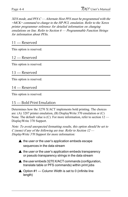$XES$  mode, and PFS  $C -$  Alternate Host PFS must be programmed with the =MCK= command to change to the HP PCL emulation. Refer to the Xerox printer programmer reference for detailed information on changing emulations on line. Refer to Section  $6$  - Programmable Function Strings for information about PFSs.

#### 11 — Reserved

This option is reserved.

#### 12 — Reserved

This option is reserved.

#### 13 — Reserved

This option is reserved.

#### 14 — Reserved

This option is reserved.

#### 15 — Bold Print Emulation

Determines how the 3270 X/ACT implements bold printing. The choices are: (A) 3287 printer emulation, (B) DisplayWrite 370 emulation or (C) None. The default value is  $(C)$ . For more information, refer to section  $12$  — DisplayWrite 370 Support.

Note: To avoid unexpected formatting results, this option should be set to C (none) if any of the following are true. Refer to Section  $12$  — DisplayWrite 370 Support for more information:

**▲ the user or the user's application embeds escape** sequences in the data stream

- $\triangle$  the user or the user's application embeds transparency or pseudo transparency strings in the data stream
- ▲ the user embeds 3270 X/ACT commands (configuration, translate table or PFS commands) within print jobs
- $\triangle$  Option #1 Column Width is set to 0 (infinite line length)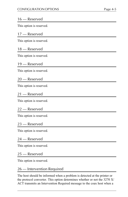#### 16 — Reserved

This option is reserved.

#### 17 — Reserved

This option is reserved.

#### 18 — Reserved

This option is reserved.

#### 19 — Reserved

This option is reserved.

#### 20 — Reserved

This option is reserved.

#### 21 — Reserved

This option is reserved.

#### 22 — Reserved

This option is reserved.

#### 23 — Reserved

This option is reserved.

#### 24 — Reserved

This option is reserved.

#### 25 — Reserved

This option is reserved.

#### 26 — Intervention Required

The host should be informed when a problem is detected at the printer or the protocol converter. This option determines whether or not the 3270 X/ ACT transmits an Intervention Required message to the coax host when a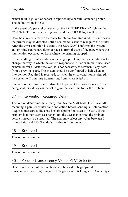printer fault (e.g., out of paper) is reported by a parallel-attached printer. The default value is "Yes."

In the event of a parallel printer error, the PRINTER READY light on the 3270 X/ACT front panel will go out, and the CHECK light will go on.

Coax host systems react differently to Intervention Required. In some cases, the printer may be disabled until a command is sent to reacquire the printer. After the error condition is cleared, the 3270 X/ACT informs the system, and printing can restart either at page 1, from the top of the page where the intervention occurred, or from where the printing stopped.

If the handling of intervention is causing a problem, the best solution is to change the way in which the system responds to it. For example, since laser printers buffer all data received, it is not necessary to retransmit any data from a previous page. The system should be configured to halt when an Intervention Required is received, so when the error condition is cleared, the system will continue transmitting from where it left off.

Intervention Required can be disabled to prevent the error message from being sent, or a delay can be set to give the user time to fix the problem.

### 27 — Intervention Required Delay

This option determines how many minutes the 3270 X/ACT will wait after receiving a parallel printer fault indication before sending an Intervention Required message to the coax host (if Option  $#26$  is set to "Yes"). If the problem is minor, such as a paper jam, the user may correct the problem before it needs to be reported. The user may select any value between 0 (immediate) and 255. The default value is 10 minutes.

#### 28 — Reserved

This option is reserved.

#### 29 — Reserved

This option is reserved.

#### 30 — Pseudo Transparency Mode (PTM) Selection

Determines which of two methods will be used to begin pseudo transparency mode: (A) Trigger  $1 + T$ rigger 2 or (B) Trigger  $1 +$  Count Byte.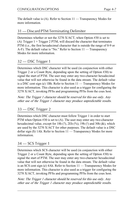The default value is  $(A)$ . Refer to Section  $11 -$ Transparency Modes for more information.

## 31 — Discard PTM Terminating Delimiter

Determines whether or not the 3270 X/ACT, when Option #30 is set to (A) Trigger  $1 + \text{Trigger 2 PTM}$ , will discard the character that terminates PTM (i.e., the first hexadecimal character that is outside the range of 0-9 or A-F). The default value is "No." Refer to Section  $11 -$  Transparency Modes for more information.

## 32 — DSC Trigger 1

Determines which DSC character will be used (in conjunction with either Trigger 2 or a Count Byte, depending upon the setting of Option #30) to signal the start of PTM. The user may enter any two-character hexadecimal value that will not otherwise be found in the data stream. The default value is a DSC cent sign  $(\phi)$  1Bh. Refer to Section 11 — Transparency Modes for more information. This character is also used as a trigger for configuring the 3270 X/ACT, invoking PFSs and programming PFSs from the coax host.

Note: The Trigger 1 character should be reserved for this use only. Any other use of the Trigger 1 character may produce unpredictable results.

## 33 — DSC Trigger 2

Determines which DSC character must follow Trigger 1 in order to start PTM when Option #30 is set to (A). The user may enter any two-character hexadecimal value, except for 18h  $(?)$ , 2Eh  $(\%)$ , 19h  $(!)$  and 30h  $(\&)$ , which are used by the 3270 X/ACT for other purposes. The default value is a DSC dollar sign  $(\$)$  1Ah. Refer to Section 11 — Transparency Modes for more information.

## 34 — SCS Trigger 1

Determines which SCS character will be used (in conjunction with either Trigger 2 or a Count Byte, depending upon the setting of Option #30) to signal the start of PTM. The user may enter any two-character hexadecimal value that will not otherwise be found in the data stream. The default value is an SCS cent sign  $(\phi)$  4Ah. Refer to Section 11 — Transparency Modes for more information. This character is also used as a trigger for configuring the 3270 X/ACT, invoking PFSs and programming PFSs from the coax host.

Note: The Trigger 1 character should be reserved for this use only. Any other use of the Trigger 1 character may produce unpredictable results.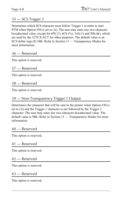## 35 — SCS Trigger 2

Determines which SCS character must follow Trigger 1 in order to start PTM when Option #30 is set to (A). The user may enter any two-character hexadecimal value, except for  $6Fh$  (?),  $6Ch$  (%),  $5Ah$  (!) and  $50h$  ( $\&$ ), which are used by the 3270 X/ACT for other purposes. The default value is an SCS dollar sign (\$) 5Bh. Refer to Section 11 — Transparency Modes for more information.

### 36 — Reserved

This option is reserved.

#### 37 — Reserved

This option is reserved.

#### 38 — Reserved

This option is reserved.

### 39 — Non-Transparency Trigger 1 Output

Determines the character that will be sent to the printer when Option #30 is set to (A) and the Trigger 1 character is not followed by the Trigger 2 character. The user may enter any two-character hexadecimal value. The default value is 9Bh. Refer to Section 11 - Transparency Modes for more information.

#### 40 — Reserved

This option is reserved.

#### 41 — Reserved

This option is reserved.

#### 42 — Reserved

This option is reserved.

#### 43 — Reserved

This option is reserved.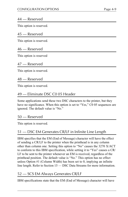#### 44 — Reserved

This option is reserved.

#### 45 — Reserved

This option is reserved.

### 46 — Reserved

This option is reserved

#### 47 — Reserved

This option is reserved.

#### 48 — Reserved

This option is reserved.

## 49 — Eliminate DSC C0 05 Header

Some applications send these two DSC characters to the printer, but they have no significance. When this option is set to "Yes," C0 05 sequences are ignored. The default value is "No."

#### 50 — Reserved

This option is reserved.

## 51 — DSC EM Generates CR/LF in Infinite Line Length

IBM specifies that the EM (End of Message) character will have the effect of sending a CR/LF to the printer when the printhead is in any column other than column one. Setting this option to "No" causes the 3270 X/ACT to conform to this IBM specification, while setting it to "Yes" causes a CR/ LF to be sent to the printer whenever an EM is received, regardless of the printhead position. The default value is "No." This option has no effect unless Option #1 (Column Width) has been set to 0, implying an infinite line length. Refer to Section 15 - DSC Data Streams for more information.

## 52 — SCS EM Always Generates CR/LF

IBM specifications state that the EM (End of Message) character will have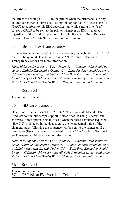the effect of sending a CR/LF to the printer when the printhead is in any column other than column one. Setting this option to "No" causes the 3270 X/ACT to conform to this IBM specification, while setting it to "Yes" causes a CR/LF to be sent to the printer whenever an EM is received, regardless of the printhead position. The default value is "No." Refer to Section 14 – SCS Data Streams for more information.

### 53 — IBM 35 Hex Transparency

If this option is set to "Yes," 35 Hex transparency is enabled. If set to "No," 35h will be ignored. The default value is "No." Refer to Section  $11$  — Transparency Modes for more information.

Note: If this option is set to "Yes," Option  $H -$  Column width should be set to 0 (infinite line length), Option  $#2$  - Lines Per Page should be set to 0 (infinite page length), and Option  $\#15$  — Bold Print Emulation should be set to C (none). Otherwise, unpredictable formatting errors could occur. Refer to Section  $12$  — Display Write 370 Support for more information.

#### 54 — Reserved

This option is reserved

## 55 — MD-Laser Support

Determines whether or not the 3270 X/ACT will provide Maersk Data Products continuous escape support. Select "Yes" if using Maersk Data software. If this option is set to "Yes," when the three-character sequence "Esc  $C$  2" is detected in the data stream, the hexadecimal value of the character pairs following the sequence will be sent to the printer until a terminator (Esc) is detected. The default value is "No." Refer to Section 11 Transparency Modes for more information.

Note: If this option is set to "Yes," Option  $H -$  Column width should be set to 0 (infinite line length), Option  $#2$  - Lines Per Page should be set to 0 (infinite page length), and Option  $#15$  — Bold Print Emulation should be set to C (none). Otherwise, unpredictable formatting errors could occur. Refer to Section 12 - Display Write 370 Support for more information.

56 — Reserved

This option is reserved. 57 — DSC NL at EM Even If in Column 1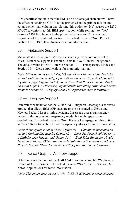IBM specifications state that the EM (End of Message) character will have the effect of sending a CR/LF to the printer when the printhead is in any column other than column one. Setting this option to "No" causes the 3270 X/ACT to conform to this IBM specification, while setting it to "Yes" causes a CR/LF to be sent to the printer whenever an EM is received, regardless of the printhead position. The default value is "No." Refer to Section 15 – DSC Data Streams for more information.

#### 58 — Metacode Support

Metacode is a variation of 35 Hex transparency. If this option is set to "Yes," Metacode support is enabled. If set to "No," 35h will be ignored. The default value is "No." Refer to Section  $11 -$  Transparency Modes and Section  $16$  — Xerox Applications for more information.

Note: If this option is set to "Yes," Option  $#1$  - Column width should be set to 0 (infinite line length), Option  $#2$  - Lines Per Page should be set to 0 (infinite page length), and Option  $\#15$  — Bold Print Emulation should be set to C (none). Otherwise, unpredictable formatting errors could occur. Refer to Section  $12$  — Display Write 370 Support for more information.

#### 59 — Laserpage Support

Determines whether or not the 3270 X/ACT supports Laserpage, a software product that allows IBM AFP data streams to be printed to Xerox and Hewlett-Packard laser printing systems. Laserpage uses a transparency mode similar to pseudo transparency mode, but with repeat count capabilities. The default value is "No." If using Laserpage, set this option to "Yes." Refer to Section 11 — Transparency Modes for more information.

Note: If this option is set to "Yes," Option  $#1$  - Column width should be set to 0 (infinite line length), Option  $#2$  - Lines Per Page should be set to 0 (infinite page length), and Option  $\#15$  — Bold Print Emulation should be set to C (none). Otherwise, unpredictable formatting errors could occur. Refer to Section  $12$  — Display Write 370 Support for more information.

#### 60 — Xerox Graphic Window Support

Determines whether or not the 3270 X/ACT supports Graphic Windows, a feature of Xerox printers. The default is value "No." Refer to Section  $16$  — Xerox Applications for more information.

Note: This option must be set to "No" if EBCDIC output is selected using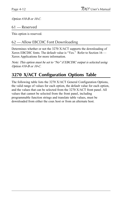Option #10-B or 10-C.

61 — Reserved

This option is reserved.

## 62 — Allow EBCDIC Font Downloading

Determines whether or not the 3270 X/ACT supports the downloading of Xerox EBCDIC fonts. The default value is "Yes." Refer to Section  $16$  — Xerox Applications for more information.

Note: This option must be set to "No" if EBCDIC output is selected using Option #10-B or 10-C.

## **3270 X/ACT Configuration Options Table**

The following table lists the 3270 X/ACT General Configuration Options, the valid range of values for each option, the default value for each option, and the values that can be selected from the 3270 X/ACT front panel. All values that cannot be selected from the front panel, including programmable function strings and translate table values, must be downloaded from either the coax host or from an alternate host.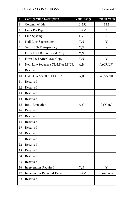| #                       | <b>Configuration Description</b>   | Valid Range | Default Value    |
|-------------------------|------------------------------------|-------------|------------------|
| 1                       | Column Width                       | $0 - 255$   | 132              |
| 2                       | Lines Per Page                     | $0 - 255$   | $\boldsymbol{0}$ |
| 3                       | Line Spacing                       | $1 - 9$     | 1                |
| $\overline{\mathbf{4}}$ | Null Line Suppression              | Y,N         | Y                |
| 5                       | Xerox 36h Transparancy             | Y,N         | ${\bf N}$        |
| 6                       | Form Feed Before Local Copy        | Y,N         | ${\bf N}$        |
| 7                       | Form Feed After Local Copy         | Y,N         | Y                |
| 8                       | New Line Sequence CR/LF or LF/CR   | A,B         | A (CR/LF)        |
| 9                       | Reserved                           |             |                  |
| $10\,$                  | Output in ASCII or EBCIIC          | A,B         | A(ASCII)         |
| 11                      | Reserved                           |             |                  |
| 12                      | Reserved                           |             |                  |
| 13                      | Reserved                           |             |                  |
| 14                      | Reserved                           |             |                  |
| 15                      | <b>Bold Emulation</b>              | A-C         | C(None)          |
| 16                      | Reserved                           |             |                  |
| 17                      | Reserved                           |             |                  |
| 18                      | Reserved                           |             |                  |
| 19                      | Reserved                           |             |                  |
| 20                      | Reserved                           |             |                  |
| 21                      | Reserved                           |             |                  |
| 22                      | Reserved                           |             |                  |
| 23                      | Reserved                           |             |                  |
| 24                      | Reserved                           |             |                  |
| 25                      | Reserved                           |             |                  |
| 26                      | Intervention Required              | Y,N         | $\mathbf Y$      |
| 27                      | <b>Intervention Required Delay</b> | $0 - 255$   | 10 (minutes)     |
| 28                      | Reserved                           |             |                  |
|                         |                                    |             |                  |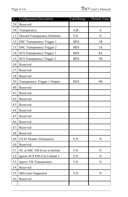| #  | Configuration Description         | Valid Range | Default Value  |
|----|-----------------------------------|-------------|----------------|
| 29 | Reserved                          |             |                |
| 30 | Transparancy                      | A,B         | A              |
| 31 | Discard Transparancy Delimiter    | Y,N         | ${\bf N}$      |
| 32 | <b>DSC Transparancy Trigger 1</b> | <b>HEX</b>  | 1B             |
| 33 | <b>DSC Transparancy Trigger 2</b> | <b>HEX</b>  | 1A             |
| 34 | SCS Transparancy Trigger 1        | <b>HEX</b>  | 4A             |
| 35 | SCS Transparancy Trigger 2        | <b>HEX</b>  | 5B             |
| 36 | Reserved                          |             |                |
| 37 | Reserved                          |             |                |
| 38 | Reserved                          |             |                |
| 39 | Transparancy Trigger 1 Output     | <b>HEX</b>  | 9 <sub>B</sub> |
| 40 | Reserved                          |             |                |
| 41 | Reserved                          |             |                |
| 42 | Reserved                          |             |                |
| 43 | Reserved                          |             |                |
| 44 | Reserved                          |             |                |
| 45 | Reserved                          |             |                |
| 46 | Reserved                          |             |                |
| 47 | Reserved                          |             |                |
| 48 | Reserved                          |             |                |
| 49 | C0 05 Header Elimination          | Y,N         | N              |
| 50 | Reserved                          |             |                |
| 51 | NL at DSC EM Even in Infinite     | Y,N         | N              |
| 52 | Ignore SCS EM if in Column 1      | Y,N         | N              |
| 53 | Ignore 35h Transparancy           | Y,N         | N              |
| 54 | Reserved                          |             |                |
| 55 | <b>MD-Laser Supported</b>         | Y,N         | N              |
| 56 | Reserved                          |             |                |
|    |                                   |             |                |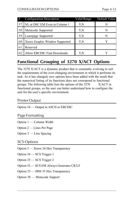| #  | Configuration Description          | Valid Range | Default Value |
|----|------------------------------------|-------------|---------------|
| 57 | NL at DSC EM Even in Column 1      | Y,N         | N             |
| 58 | Metacode Supported                 | Y.N         | N             |
| 59 | Laserpage Supported                | Y.N         | N             |
| 60 | Xerox Graphic Window Supported     | Y.N         |               |
| 61 | Reserved                           |             |               |
| 62 | <b>Allow EBCDIC Font Downloads</b> | Y.N         |               |

## **Functional Grouping of 3270 X/ACT Options**

The 3270 X/ACT is a dynamic product that is constantly evolving to suit the requirements of the ever-changing environment in which it performs its task. As it has changed, new options have been added with the result that the numerical listing of its functions does not correspond to functional groups. The following table lists the options of the 3270 X/ACT in functional groups, so the user can better understand how to configure the unit for the user's specific environment.

## Printer Output

Option  $10$  — Output in ASCII or EBCDIC

#### Page Formatting

- Option  $1 -$  Column Width
- Option  $2$  Lines Per Page
- Option  $3$  Line Spacing

#### SCS Options

- Option  $5 X$ erox 36 Hex Transparency
- Option  $34$  SCS Trigger 1
- Option  $35$  SCS Trigger 2
- Option 52 SCS EM Always Generates CR/LF
- Option 53 IBM 35 Hex Transparency
- Option 58 Metacode Support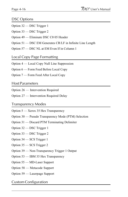### DSC Options

- Option  $32$  DSC Trigger 1
- Option  $33$  DSC Trigger 2
- Option 49 Eliminate DSC C0 05 Header
- Option 51 DSC EM Generates CR/LF in Infinite Line Length
- Option 57 DSC NL at EM Even If in Column 1

#### Local Copy Page Formatting

- Option 4 Local Copy Null Line Suppression
- Option 6 Form Feed Before Local Copy
- Option 7 Form Feed After Local Copy

#### Host Parameters

- Option 26 Intervention Required
- Option 27 Intervention Required Delay

#### Transparency Modes

- Option  $5 X$ erox 35 Hex Transparency
- Option 30 Pseudo Transparency Mode (PTM) Selection
- Option  $31$  Discard PTM Terminating Delimiter
- Option 32 DSC Trigger 1
- Option 33 DSC Trigger 2
- Option  $34$  SCS Trigger 1
- Option 35 SCS Trigger 2
- Option 39 Non-Transparency Trigger 1 Output
- Option 53 IBM 35 Hex Transparency
- Option 55 MD-Laser Support
- Option 58 Metacode Support
- Option 59 Laserpage Support

#### Custom Configuration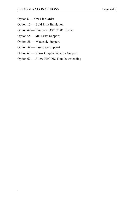- Option 8 New Line Order
- Option 15 Bold Print Emulation
- Option 49 Eliminate DSC C0 05 Header
- Option 55 MD Laser Support
- Option 58 Metacode Support
- Option 59 Laserpage Support
- Option 60 Xerox Graphic Window Support
- Option 62 Allow EBCDIC Font Downloading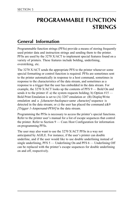# **PROGRAMMABLE FUNCTION STRINGS**

## **General Information**

Programmable function strings (PFSs) provide a means of storing frequently used printer data and instruction strings and sending them to the printer. PFSs are used by the 3270 X/ACT to implement special features found on a variety of printers. These features include bolding, underlining, overstriking, etc.

The 3270 X/ACT sends the appropriate PFS to the printer whenever some special formatting or control function is required. PFSs are sometimes sent to the printer automatically in response to a host command, sometimes in response to the characteristics of the data stream, and sometimes as a response to a trigger that the user has embedded in the data stream. For example, the  $3270$  X/ACT looks up the contents of PFS  $9$  — Bold On and sends it to the printer if: a) the system requests bolding; b) Option  $#15$  — Bold Print Emulation is set to (A) 3287 emulation or (B) DisplayWrite emulation and a *[character-backspace-same character]* sequence is detected in the data stream; or c) the user has placed the command  $\phi \& 9$ [Trigger 1-Ampersand-PFS#] in the data stream.

Programming the PFSs is necessary to access the printer's special functions. Refer to the printer user's manual for a list of escape sequences that control the printer. Refer to Section  $9 - \text{Coax Host}$  Host Configuration for information on programming PFSs.

The user may also want to use the 3270 X/ACT PFSs in a way not anticipated by AGILE. For instance, if the user's printer can double underline, and if the user would like to use double underlining instead of single underlining,  $PFS 5$  — Underlining On and  $PFS 6$  — Underlining Off can be replaced with the printer's escape sequences for double underlining on and off, respectively.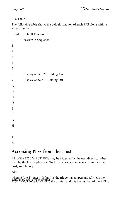#### PFS Table

The following table shows the default function of each PFS along with its access number:

| PFS#             | <b>Default Function</b>      |
|------------------|------------------------------|
| $\boldsymbol{0}$ | Power On Sequence            |
| 1                |                              |
| $\overline{c}$   |                              |
| 3                |                              |
| $\overline{4}$   |                              |
| 5                |                              |
| 6                | DisplayWrite 370 Bolding On  |
| 9                | DisplayWrite 370 Bolding Off |
| $\overline{A}$   |                              |
| $\, {\bf B}$     |                              |
| $\mathcal{C}$    |                              |
| D                |                              |
| ${\bf E}$        |                              |
| $\mathbf F$      |                              |
| G                |                              |
| $\mathbf H$      |                              |
| I                |                              |
| $\bf J$          |                              |
| K                |                              |
|                  |                              |

## **Accessing PFSs from the Host**

All of the 3270 X/ACT PFSs may be triggered by the user directly, rather than by the host application. To force an escape sequence from the coax host, simply key:

¢&n

where  $\phi$  (the Trigger 1 default) is the trigger; an ampersand (&) tells the send. Here are some examples:<br> $3270$  X/ACT to send a PFS to the printer; and n is the number of the PFS to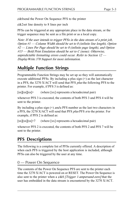¢&0send the Power On Sequence PFS to the printer

 $\cancel{\psi}$ &2set line density to 8 lines per inch

PFSs can be triggered at any appropriate place in the data stream, or the trigger sequence may be sent as a file print or as a local copy.

Note: If the user intends to trigger PFSs in the data stream of a print job, Option  $H -$  Column Width should be set to 0 (infinite line length), Option  $#2$   $\rightarrow$  Lines Per Page should be set to 0 (infinite page length), and Option  $\#15$  — Bold Print Emulation should be set to C (none). Otherwise, unpredictable formatting errors could occur. Refer to Section  $12$  — DisplayWrite 370 Support for more information.

## **Multiple Function Strings**

Programmable Function Strings may be set up so they will automatically execute additional PFSs. By including a plus sign  $(+)$  as the last character in a PFS, the 3270 X/ACT will send that PFS *plus* the following PFS to the printer. For example, if PFS 3 is defined as:

[xx][xx][xx]+ (where [xx] represents a hexadecimal pair)

whenever PFS 3 is executed, the contents of both PFS 3 and PFS 4 will be sent to the printer.

By including a plus sign  $(+)$  and a PFS number as the last two characters in a PFS, the 3270 X/ACT will send that PFS *plus* PFS *n* to the printer. For example, if PFS 2 is defined as:

[xx][xx][xx]+7 (where [xx] represents a hexadecimal pair)

whenever PFS 2 is executed, the contents of both PFS 2 and PFS 7 will be sent to the printer.

## **PFS Descriptions**

The following is a complete list of PFSs currently offered. A description of when each PFS is triggered by the host application is included, although PFSs can also be triggered by the user at any time.

```
0 — Power On Sequence
```
The contents of the Power On Sequence PFS are sent to the printer each time the 3270 X/ACT is powered on or RESET. The Power On Sequence is also sent to the printer when a  $\phi \& 0$  *[Trigger 1-ampersand-zero]* that the user has embedded in the data stream is encountered by the 3270 X/ACT.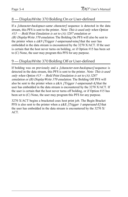## 8 — DisplayWrite 370 Bolding On or User-defined

If a *[character-backspace-same character]* sequence is detected in the data stream, this PFS is sent to the printer. Note: This is used only when Option  $\#15$  – Bold Print Emulation is set to (A) 3287 emulation or (B) DisplayWrite 370 emulation. The Bolding On PFS will also be sent to the printer when a  $\& 9$  *[Trigger 1-ampersand-nine]* that the user has embedded in the data stream is encountered by the 3270 X/ACT. If the user is certain that the host never turns on bolding, or if Option #15 has been set to (C) None, the user may program this PFS for any purpose.

## 9 — DisplayWrite 370 Bolding Off or User-defined

If bolding was on previously and a *[character-non-backspace]* sequence is detected in the data stream, this PFS is sent to the printer. Note: This is used only when Option  $\#15$  — Bold Print Emulation is set to (A) 3287 emulation or (B) Display Write 370 emulation. The Bolding Off PFS will also be sent to the printer when a  $\&A$  *[Trigger 1-ampersand-A]* that the user has embedded in the data stream is encountered by the 3270 X/ACT. If the user is certain that the host never turns off bolding, or if Option #15 has been set to (C) None, the user may program this PFS for any purpose.

3270 X/ACT begins a bracketed coax host print job. The Begin Bracket PFS is also sent to the printer when a  $\&$  E *[Trigger 1-ampersand-E]* that the user has embedded in the data stream is encountered by the 3270 X/ ACT.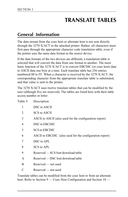# **TRANSLATE TABLES**

## **General Information**

The data stream from the coax host or alternate host is not sent directly through the 3270 X/ACT to the attached printer. Rather, all characters must first pass through the appropriate character code translation table, even if the printer uses the same data format as the source device.

If the data formats of the two devices are different, a translation table is selected that will convert the data from one format to another. The most basic function of the 3270 X/ACT is to convert EBCDIC (or coax host) data to ASCII data one byte at a time. Each translate table has 256 entries numbered 00 to FF. When a character is received by the 3270 X/ACT, the corresponding character from the appropriate translate table is substituted, and that value is sent to the printer.

The 3270 X/ACT uses twelve translate tables that can be modified by the user (although five are reserved). The tables are listed here with their table access number or letter:

| Table # | Description                                              |
|---------|----------------------------------------------------------|
| 1       | DSC to ASCII                                             |
| 2       | <b>SCS</b> to ASCII                                      |
| 3       | ASCII to ASCII (also used for the configuration report)  |
| 4       | DSC to EBCDIC                                            |
| 5       | <b>SCS to EBCDIC</b>                                     |
| 6       | ASCII to EBCDIC (also used for the configuration report) |
| 7       | DSC to APL                                               |
| 8       | SCS to APL                                               |
| 9       | Reserved — SCS font download table                       |
| A       | Reserved — DSC font download table                       |
| B       | Reserved — not used                                      |
| C       | Reserved — not used                                      |

Translate tables can be modified from the coax host or from an alternate host. Refer to Section  $9 - \text{Coax Host}$  Host Configuration and Section  $10 -$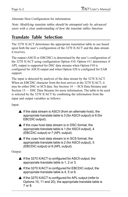Alternate Host Configuration for information.

Note: Modifying translate tables should be attempted only by advanced users with a clear understanding of how the translate tables function.

## **Translate Table Selection**

The 3270 X/ACT determines the appropriate translation table to use based upon both the user's configuration of the  $3270$  X/ACT and the data stream it receives.

The output (ASCII or EBCDIC) is determined by the user's configuration of the 3270 X/ACT using configuration Option #10. Option #11 determines if APL output is supported for DSC data streams when Option #10 is configured for ASCII output and when Option #20 is configured for EAB support.

The input is detected by analysis of the data stream by the 3270 X/ACT. When an EBCDIC character from the host arrives at the 3270 X/ACT, it may be either DSC or SCS data. See Section  $14 -$ SCS Data Streams and Section 15 – DSC Data Streams for more information. The table to be used is selected by the 3270 X/ACT by combining the information from the input and output variables as follows:

Input:

- $\blacktriangle$  If the data stream is ASCII (from an alternate host), the appropriate translate table is 3 (for ASCII output) or 6 (for EBCDIC output).
- $\blacktriangle$  If the coax host data stream is in DSC format, the appropriate translate table is 1 (for ASCII output), 4 (EBCDIC output) or 7 (APL output).
- $\triangle$  If the coax host data stream is in SCS format, the appropriate translate table is 2 (for ASCII output), 5 (EBCDIC output) or 8 (APL output).

Output:

- ▲ If the 3270 X/ACT is configured for ASCII output, the appropriate translate table is 1, 2 or 3.
- ▲ If the 3270 X/ACT is configured for EBCDIC output, the appropriate translate table is 4, 5 or 6.
- ▲ If the 3270 X/ACT is configured for APL output (refer to Options 10, 11 and 20), the appropriate translate table is 7 or 8.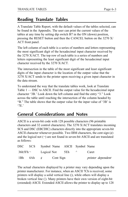## **Reading Translate Tables**

A Translate Table Report, with the default values of the tables selected, can be found in the Appendix. The user can print the current values of the tables at any time by setting dip switch B7 in the ON (down) position, pressing the RESET button and then the CANCEL button on the 3270 X/ ACT front panel.

The left column of each table is a series of numbers and letters representing the most significant digit of the hexadecimal input character received by the 3270 X/ACT. The top row of each table is a series of numbers and letters representing the least significant digit of the hexadecimal input character received by the 3270 X/ACT.

The intersection in the table of the most significant and least significant digits of the input character is the location of the output value that the 3270 X/ACT sends to the printer upon receiving a given input character in the data stream.

To understand the way that the translate tables work, look at Translate Table  $1 - \text{DSC}$  to ASCII. Find the output value for the hexadecimal input character '3B.' Look down the left column and find the entry "3." Look across the table until reaching the intersection of the column headed by "B." The table shows that the output value for the input value of '3B' is  $'7E$ .

## **General Considerations and Notes**

ASCII is a seven-bit code with 128 possible characters (96 printable characters and 32 control characters). The 3270 X/ACT translates incoming SCS and DSC (EBCDIC) characters directly into the appropriate seven-bit ASCII character whenever possible. Two IBM characters, the cent sign  $(\phi)$ and the logical not  $(\neg)$  are not found in seven-bit ASCII and are translated as follows:

|     |            |             | DSC SCS Symbol Name ASCII Symbol Name |             |                   |
|-----|------------|-------------|---------------------------------------|-------------|-------------------|
|     | $36h5Fh -$ | Logical Not |                                       | 5Eh $\land$ | Caret             |
| 1Bh |            |             | $4Ah \quad \phi$ Cent Sign            |             | printer dependent |

The actual characters displayed by a printer may vary depending upon the printer manufacturer. For instance, when an ASCII 7Ch is received, some printers will display a solid vertical line (|), while others will display a broken vertical line (¦). Many printers have their own version of eight-bit (extended) ASCII. Extended ASCII allows the printer to display up to 128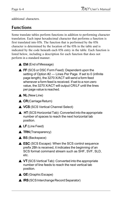additional characters.

## **Functions**

Some translate tables perform functions in addition to performing character translation. Each input hexadecimal character that performs a function is first translated into 05h. The function that is performed by the 05h character is determined by the location of the 05h in the table and is indicated by the code beneath each 05h entry in the table. Each function is listed below, including a description for each function that does not perform in a standard manner.

- $\triangle$  EM (End of Message)
- $\triangle$  FF (SCS or DSC Form Feed): Dependent upon the setting of Option #2 — Lines Per Page. If set to 0 (infinite page length), the 3270 X/ACT will send a form feed whenever a form feed is received. If set to a non-zero value, the 3270 X/ACT will output CR/LF until the lines per page value is reached.
- $\triangle$  NL (New Line)
- $\triangle$  CR(Carriage Return)
- ▲ VCS (SCS Vertical Channel Select)
- $\triangle$  HT (SCS Horizontal Tab): Converted into the appropriate number of spaces to reach the next horizontal tab position.
- $\triangle$  LF (Line Feed)
- $\triangle$  TRN (Transparency)
- $\triangle$  BS (Backspace)
- $\triangle$  ESC (SCS Escape): When the SCS control sequence prefix 2Bh is received, it indicates the beginning of an SCS format command stream such as SHF, SVF, SLD, etc.
- $\triangle$  VT (SCS Vertical Tab): Converted into the appropriate number of line feeds to reach the next vertical tab position.

 $\triangle$  GE (Graphic Escape)

▲ IRS (SCS Interchange Record Separator)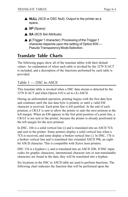- ▲ NULL (SCS or DSC Null): Output to the printer as a space.
- $\triangle$  SP (Space)
- $\triangle$  SA (SCS Set Attribute)
- $\triangle$   $\phi$  (Trigger 1 character): Processing of the Trigger 1 character depends upon the setting of Option #30 — Pseudo Transparency Mode Selection.

## **Translate Table Charts**

The following pages show all of the translate tables with their default values. An explanation of when each table is invoked by the 3270 X/ACT is included, and a description of the functions performed by each table is provided.

### Table 1 — DSC to ASCII

This translate table is invoked when a DSC data stream is detected by the 3270 X/ACT and when Option #10 is set to (A) ASCII.

During an unformatted operation, printing begins with the first data byte and continues until the last data byte is printed, or until a valid EM character is received. Each print line is left justified. At the end of each printout, a CR/LF is sent to allow the printer to start the next printout at the left margin. When an EM appears in the first print position of a print line, a CR/LF is not sent to the printer, because the printer is already positioned at the left margin for the next printout.

In DSC, 16h is a solid vertical line (|) and is translated into an ASCII 7Ch and sent to the printer. Some printers display a solid vertical line when a 7Ch is received, and some display a broken vertical line (¦). In DSC, 17h is a broken vertical line and is translated into extended ASCII 99h, an eightbit ASCII character. This is compatible with Xerox laser printers.

DSC 31h is a hyphen (-), and is translated into an ASCII 2Dh. If DSC input codes for graphic characters, international character sets or non-translatable characters are found in the data, they will be translated into a hyphen.

Six locations in the DSC to ASCII table are used to perform functions. The following chart indicates the function that will be performed upon the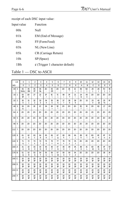receipt of each DSC input value:

| Input value     | Function                             |  |  |  |  |  |  |
|-----------------|--------------------------------------|--|--|--|--|--|--|
| 00 <sub>h</sub> | Null                                 |  |  |  |  |  |  |
| 01h             | EM (End of Message)                  |  |  |  |  |  |  |
| 02h             | FF (Form Feed)                       |  |  |  |  |  |  |
| 03h             | NL (New Line)                        |  |  |  |  |  |  |
| 05h             | CR (Carriage Return)                 |  |  |  |  |  |  |
| 10 <sub>h</sub> | SP (Space)                           |  |  |  |  |  |  |
| 1 Bh            | $\phi$ (Trigger 1 character default) |  |  |  |  |  |  |

Table 1 — DSC to ASCII

|           | LS             | $\overline{0}$                 | 1                              | $\overline{2}$       | 3                             | 4              | 5                                     | 6                              | $\overline{7}$                 | 8                              | 9                              | 10                             | 11                 | 12                             | 13                             | 14                   | 15                             |
|-----------|----------------|--------------------------------|--------------------------------|----------------------|-------------------------------|----------------|---------------------------------------|--------------------------------|--------------------------------|--------------------------------|--------------------------------|--------------------------------|--------------------|--------------------------------|--------------------------------|----------------------|--------------------------------|
| <b>MS</b> |                | 0                              | 1                              | $\overline{2}$       | 3                             | 4              | 5                                     | 6                              | 7                              | 8                              | 9                              | A                              | B                  | C                              | D                              | E                    | F                              |
| 00        | $\Omega$       | 05<br><b>NULL</b>              | 05<br><b>EM</b>                | 05<br>Æ              | 05<br>NL                      | 2D<br>÷,       | 05<br>Œ                               | 2D<br>÷                        | 2D                             | Œ<br>$\wedge$                  | x<br>$\,<$                     | <b>B</b><br>I                  | 5D<br>1            | 29<br>$\lambda$                | 28<br>(                        | 7D<br>}              | $\overline{a}$<br>€            |
| 16        | 1              | 05<br>P                        | 3D<br>$=$                      | 27<br>$\overline{1}$ | 22<br>×,                      | Æ<br>I         | C<br>١                                | π                              | 99<br>÷                        | F<br>?                         | 21<br>Ţ                        | 24<br>\$                       | 05<br>¢            | 2D<br>÷                        | 2D<br>ä,                       | 2D<br>÷              | 2D<br>$\overline{\phantom{a}}$ |
| 32        | $\overline{2}$ | 30<br>0                        | 31<br>1                        | 32<br>$\overline{2}$ | 33<br>3                       | 34<br>4        | 35<br>5                               | 36<br>6                        | 37<br>7                        | 38<br>8                        | 39<br>9                        | 2D<br>ä,                       | 15                 | 23<br>#                        | 40<br>$^{\circ}$               | 25<br>%              | 5F<br>$\overline{\phantom{0}}$ |
| 48        | 3              | 26<br>&                        | 2D<br>$\overline{\phantom{a}}$ | Æ<br>l,              | x<br>$\overline{\phantom{a}}$ | 3A             | æ<br>$\begin{array}{c} + \end{array}$ | Œ<br>٨                         | 2D<br>$\overline{\phantom{a}}$ | 2D<br>$\overline{\phantom{a}}$ | 2D<br>$\overline{\phantom{a}}$ | Œ<br>۸                         | Æ<br>$\tilde{}$    | 2D<br>$\overline{\phantom{a}}$ | 60                             | 27                   | 2D<br>$\overline{\phantom{a}}$ |
| 64        | $\overline{4}$ | 2D<br>$\overline{\phantom{a}}$ | 2D<br>٠                        | 2D<br>÷,             | 2D<br>٠                       | 2D<br>÷,       | 2D<br>٠                               | 2D<br>$\overline{\phantom{a}}$ | 2D<br>٠                        | 2D<br>٠                        | 2D<br>٠                        | 2D<br>٠                        | 2D<br>٠            | 2D<br>$\overline{\phantom{a}}$ | 2D<br>٠                        | 2D<br>÷,             | 2D<br>$\overline{\phantom{a}}$ |
| 80        | 5              | 2D                             | 2D<br>÷                        | 2D<br>÷              | 2D<br>÷,                      | 2D<br>÷,       | 2D<br>ä,                              | 2D<br>٠                        | 2D<br>÷                        | 2D<br>ä,                       | 2D<br>÷,                       | 2D<br>$\overline{\phantom{0}}$ | 2D<br>÷            | 2D<br>÷,                       | 2D<br>٠                        | 2D<br>÷              | 2D<br>$\overline{a}$           |
| 96        | 6              | 2D                             | 2D                             | 2D                   | 2D                            | 2D             | 2D                                    | 2D                             | 2D                             | 2D                             | 2D                             | 2D                             | 2D<br>٠            | 2D                             | 2D                             | 2D                   | 2D                             |
| 112       | 7              | 2D<br>٠                        | 2D                             | 2D<br>L.             | 2D<br>÷,                      | 2D<br>÷        | 2D<br>ä,                              | 2D<br>÷,                       | 2D<br>÷                        | 2D<br>ä,                       | 2D<br>÷,                       | 2D<br>٠                        | 2D<br>٠            | 2D<br>÷,                       | 2D<br>٠                        | 2D<br>÷,             | 2D<br>$\overline{\phantom{a}}$ |
| 128       | 8              | 61<br>а                        | 62<br>b                        | 63<br>$\mathbf c$    | 64<br>d                       | 65<br>e        | 66<br>f                               | 67<br>g                        | 68<br>h                        | 69<br>i                        | 6A<br>j                        | ŒB<br>k                        | CC<br>$\mathbf{I}$ | 6D<br>m                        | Œ<br>n                         | Œ<br>o               | 70<br>p                        |
| 144       | 9              | 71<br>q                        | 72<br>$\mathsf{r}$             | 73<br>s              | 74<br>t                       | 75<br>u        | 76<br>$\vee$                          | 77<br>W                        | 78<br>x                        | 79<br>y                        | 7A<br>Z                        | 2D<br>ä,                       | 2D<br>ä,           | 2D<br>ä,                       | 2D<br>÷                        | 2D<br>÷,             | 2D<br>$\overline{\phantom{a}}$ |
| 160       | A              | 41<br>A                        | 42<br>B                        | 43<br>$\mathsf{C}$   | 44<br>D                       | 45<br>E        | 46<br>F                               | 47<br>G                        | 48<br>H                        | 49<br>T                        | 4A<br>J                        | 4B<br>K                        | 4C<br>L            | 4D<br>M                        | Æ<br>N                         | 4F<br>$\circ$        | 50<br>P                        |
| 176       | B              | 51<br>Q                        | 52<br>$\mathsf{R}$             | 53<br>S              | 54<br>T                       | 55<br>U        | 56<br>$\vee$                          | 57<br>W                        | 58<br>$\times$                 | 59<br>Y                        | 5A<br>Z                        | 2D<br>$\overline{\phantom{a}}$ | 2D<br>÷            | 2D<br>$\overline{\phantom{a}}$ | 2D<br>$\overline{\phantom{a}}$ | <b>B</b><br>$\vdots$ | 2A<br>$\star$                  |
| 192       | $\mathsf{C}$   | 20<br>P                        | 20<br>P                        | 20<br>P              | 20<br>P                       | 20<br>P        | 20<br>P                               | 20<br>P                        | 20<br>P                        | 20<br>P                        | 20<br>P                        | 20<br>P                        | 20<br>P            | 20<br>P                        | 20<br>P                        | 20<br>P              | 20<br><b>P</b>                 |
| 208       | D              | 20<br>P                        | 20<br>Φ                        | 20<br>æ,             | 20<br><b>P</b>                | 20<br><b>P</b> | 20<br>P                               | 20<br>P                        | 20<br>ዋ                        | 20<br>æ,                       | 20<br><b>P</b>                 | 20<br>ዋ                        | 20<br>P            | 20<br>P                        | 20<br><b>P</b>                 | 20<br><b>P</b>       | 20<br><b>P</b>                 |
| 224       | E              | 20<br>P                        | 20<br>P                        | 20<br><b>P</b>       | 20<br><b>P</b>                | 20<br>ዋ        | 20<br>P                               | 20<br>P                        | 20<br>P                        | 20<br>ዋ                        | 20<br><b>P</b>                 | 20<br>P                        | 20<br>P            | 20<br>P                        | 20<br>P                        | 20<br>P              | 20<br><b>P</b>                 |
| 240       | F              | 20<br>ዋ                        | 20<br><b>P</b>                 | 20<br><b>P</b>       | 20<br><b>P</b>                | 20<br><b>P</b> | 20<br>P                               | 20<br>ዋ                        | 20<br><b>P</b>                 | 20<br><b>P</b>                 | 20<br><b>P</b>                 | 20<br><b>P</b>                 | 20<br>P            | 20<br>P                        | 20<br><b>P</b>                 | 20<br>ዋ              | 20<br><b>P</b>                 |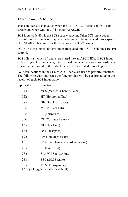## Table 2 — SCS to ASCII

Translate Table 2 is invoked when the 3270 X/ACT detects an SCS data stream and when Option #10 is set to (A) ASCII.

SCS input code 40h is the SCS space character. Other SCS input codes representing attributes or graphic characters will be translated into a space (ASCII 20h). This emulates the functions of a 3287 printer.

SCS 5Eh is the logical not  $(\neg)$  and is translated into ASCII 5Eh, the caret  $(\wedge)$ symbol.

SCS 60h is a hyphen (-) and is translated into an ASCII 2Dh. If SCS input codes for graphic characters, international character sets or non-translatable characters are found in the data, they will be translated into a hyphen.

Fourteen locations in the SCS to ASCII table are used to perform functions. The following chart indicates the function that will be performed upon the receipt of each SCS input value:

| Input value     | Function                                 |
|-----------------|------------------------------------------|
| 04h             | VCS (Vertical Channel Select)            |
| 05h             | HT (Horizontal Tab)                      |
| 08h             | GE (Graphic Escape)                      |
| 0Bh             | VT (Vertical Tab)                        |
| 0 <sub>Ch</sub> | FF (Form Feed)                           |
| 0Dh             | CR (Carriage Return)                     |
| 15h             | NL (New Line)                            |
| 16h             | BS (Backspace)                           |
| 19h             | EM (End of Message)                      |
| 1E <sub>h</sub> | IRS (Interchange Record Separator)       |
| 25h             | LF (Line Feed)                           |
| 28h             | SA (SCS Set Attribute)                   |
| 2Bh             | ESC (SCS Escape)                         |
| 35h             | TRN (Transparency)                       |
|                 | 4Ah $\phi$ (Trigger 1 character default) |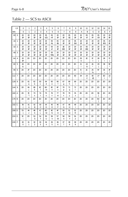## Table 2 — SCS to ASCII

|           | LS             | 0               | 1                              | $\overline{2}$       | 3                              | 4                              | 5                    | 6                              | $\overline{7}$                 | 8                    | 9                              | 10                             | 11                             | 12                             | 13                             | 14                             | 15                             |
|-----------|----------------|-----------------|--------------------------------|----------------------|--------------------------------|--------------------------------|----------------------|--------------------------------|--------------------------------|----------------------|--------------------------------|--------------------------------|--------------------------------|--------------------------------|--------------------------------|--------------------------------|--------------------------------|
| <b>MS</b> |                | 0               | 1                              | $\overline{2}$       | 3                              | 4                              | 5                    | 6                              | 7                              | 8                    | 9                              | Α                              | В                              | C                              | D                              | E                              | F                              |
| 00        | $\Omega$       | 20<br>P         | 20<br>æ                        | 20<br><b>P</b>       | 20<br><b>P</b>                 | 05<br><b>VCS</b>               | 05<br>HT             | 20<br>P                        | 20<br>ዋ                        | 05<br>Œ              | 20<br><b>P</b>                 | 20<br>Φ                        | 05<br>VT                       | 05<br>FF                       | 05<br>Œ                        | 20<br><b>P</b>                 | 20<br><b>P</b>                 |
| 16        | 1              | 20<br><b>P</b>  | 20<br>P                        | 20<br><b>P</b>       | 20<br><b>P</b>                 | 20<br><b>P</b>                 | 05<br>NL             | 05<br>BS.                      | 20<br><b>P</b>                 | 20<br><b>P</b>       | 05<br><b>EM</b>                | 20<br><b>P</b>                 | 20<br><b>P</b>                 | 20<br>P                        | 20<br><b>P</b>                 | 05<br><b>IRS</b>               | 20<br><b>P</b>                 |
| 32        | $\overline{2}$ | 20<br>ዋ         | 20<br>æ                        | 20<br>æ              | 20<br><b>P</b>                 | 20<br>æ                        | 05<br>LF             | 20<br>P                        | 1B<br>ЕЮ                       | 20<br>ዋ              | 20<br><b>P</b>                 | 20<br><b>P</b>                 | 05<br><b>ESC</b>               | 20<br>ዋ                        | 20<br><b>P</b>                 | 20<br>ዋ                        | 20<br><b>P</b>                 |
| 48        | 3              | 20<br>æ         | 20<br>æ                        | 20<br><b>P</b>       | 20<br><b>P</b>                 | 20<br>æ                        | 05<br><b>TRN</b>     | 20<br>P                        | 20<br><b>P</b>                 | 20<br><b>P</b>       | 20<br><b>P</b>                 | 20<br>æ                        | 20<br>P                        | 20<br>æ                        | 20<br><b>P</b>                 | 20<br>ዋ                        | 20<br>P                        |
| 64        | 4              | 20<br><b>P</b>  | 2D<br>$\overline{\phantom{a}}$ | 2D<br>$\blacksquare$ | 2D<br>÷,                       | 2D<br>$\blacksquare$           | 2D<br>$\blacksquare$ | 2D<br>$\blacksquare$           | 2D<br>$\overline{\phantom{a}}$ | 2D<br>$\blacksquare$ | 2D<br>$\overline{\phantom{a}}$ | 05<br>¢                        | Æ<br>¥                         | x<br>$\prec$                   | 28<br>$\overline{(}$           | æ<br>$\ddot{}$                 | $\tau$                         |
| 80        | 5              | 26<br>&         | 2D<br>٠                        | 2D<br>Ξ              | 2D<br>Ξ                        | 2D<br>÷,                       | 2D                   | 2D<br>$\overline{\phantom{a}}$ | 2D<br>٠                        | 2D<br>Ξ              | 2D<br>÷,                       | 21<br>Ţ                        | 24<br>\$                       | 2A<br>$\star$                  | 29<br>$\lambda$                | ЭB<br>$\vdots$                 | Œ<br>$\boldsymbol{\wedge}$     |
| 96        | 6              | 2D<br>٠         | Æ<br>$\prime$                  | 2D<br>٠              | 2D<br>÷                        | 2D<br>÷                        | 2D<br>÷,             | 2D<br>÷                        | 2D<br>$\overline{\phantom{a}}$ | 2D<br>٠              | 2D<br>÷                        | $\overline{\mathcal{C}}$       | x<br>,                         | 25<br>%                        | 5F                             | Œ<br>$\geq$                    | 3F<br>?                        |
| 112       | 7              | 2D              | 2D                             | 2D<br>÷,             | 2D                             | 2D                             | 2D<br>٠              | 2D<br>٠                        | 2D                             | 2D<br>ä,             | 60                             | 3A<br>t                        | 23<br>#                        | 40<br>$^{\circledR}$           | 27                             | 3D<br>$=$                      | 22<br>H.                       |
| 128       | 8              | 2D<br>÷,        | 61<br>a                        | 62<br>b              | 63<br>c                        | 64<br>d                        | 65<br>e              | 66<br>$\mathsf{f}$             | 67<br>g                        | 68<br>h              | 69<br>i                        | 2D<br>$\overline{\phantom{a}}$ | 2D<br>٠                        | 2D<br>÷                        | 2D<br>$\overline{\phantom{a}}$ | 2D<br>÷,                       | 2D                             |
| 144       | 9              | 2D<br>÷,        | 6A<br>İ                        | ŒB<br>k              | C <sub>c</sub><br>$\mathbf{I}$ | 6D<br>m                        | Œ<br>n               | 6F<br>o                        | 70<br>p                        | 71<br>q              | 72<br>r                        | 2D<br>÷,                       | 2D<br>٠                        | 2D<br>$\overline{\phantom{a}}$ | 2D<br>÷,                       | 2D<br>$\overline{\phantom{a}}$ | 2D                             |
| 160       | Α              | 2D<br>Ξ         | Æ<br>$*1$                      | 73<br>s              | 74<br>t                        | 75<br>u                        | 76<br>v              | 77<br>W                        | 78<br>x                        | 79<br>У              | 7A<br>Z                        | 2D<br>÷,                       | 2D<br>÷,                       | 2D<br>$\overline{\phantom{a}}$ | æ<br>ſ                         | 2D<br>$\overline{\phantom{a}}$ | 2D<br>٠                        |
| 176       | в              | 2D<br>÷,        | 2D                             | 2D<br>٠              | 2D<br>÷,                       | 2D<br>$\overline{\phantom{a}}$ | 2D<br>٠              | 2D<br>÷,                       | 2D<br>٠                        | 2D<br>÷,             | 2D<br>÷,                       | 2D<br>٠                        | 2D<br>٠                        | 2D<br>٠                        | 5D<br>1                        | 2D<br>$\overline{\phantom{a}}$ | 2D<br>-                        |
| 192       | С              | 78<br>₹         | 41<br>A                        | 42<br>в              | 43<br>$\mathsf{C}$             | 44<br>D                        | 45<br>E              | 46<br>F                        | 47<br>G                        | 48<br>н              | 49<br>т                        | 2D<br>$\overline{\phantom{a}}$ | 2D<br>$\overline{\phantom{a}}$ | 2D<br>÷                        | 2D<br>÷,                       | 2D<br>$\overline{\phantom{a}}$ | 2D<br>$\overline{\phantom{a}}$ |
| 208       | D              | 7D<br>}         | 4A<br>J                        | 48<br>κ              | 40<br>L                        | 4D<br>M                        | Æ<br>N               | 4F<br>O                        | 50<br>P                        | 51<br>Q              | 52<br>R                        | 2D<br>$\overline{\phantom{a}}$ | 2D<br>$\overline{\phantom{a}}$ | 2D<br>÷                        | 2D<br>٠                        | 2D<br>÷                        | 2D<br>÷,                       |
| 224       | Е              | 5C<br>$\lambda$ | 2D<br>$\overline{\phantom{m}}$ | 53<br>S              | 54<br>T                        | 55<br>U                        | 56<br>V              | 57<br>W                        | 58<br>X                        | 59<br>Y              | 5A<br>Z                        | 2D<br>÷,                       | 2D<br>÷,                       | 2D<br>$\overline{\phantom{a}}$ | 2D<br>÷                        | 2D<br>٠                        | 2D                             |
| 240       | F              | 30<br>0         | 31<br>1                        | 32<br>$\overline{2}$ | 33<br>3                        | 34<br>$\overline{\mathbf{4}}$  | 35<br>5              | 36<br>6                        | 37<br>$\overline{7}$           | 38<br>8              | 39<br>9                        | 2D<br>$\blacksquare$           | 2D<br>٠                        | 2D<br>$\overline{\phantom{a}}$ | 2D<br>$\overline{a}$           | 2D<br>$\overline{\phantom{a}}$ | 2D                             |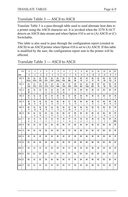## Translate Table 3 — ASCII to ASCII

Translate Table 3 is a pass-through table used to send alternate host data to a printer using the ASCII character set. It is invoked when the 3270 X/ACT detects an ASCII data stream and when Option #10 is set to (A) ASCII or (C) Switchable.

This table is also used to pass through the configuration report (created in ASCII) to an ASCII printer when Option #10 is set to (A) ASCII. If this table is modified by the user, the configuration report sent to the printer will be affected.

|           | LS             | 0                       | 1         | $\overline{2}$        | 3                     | 4              | 5                     | 6                      | 7                             | 8              | 9                    | 10              | 11                | 12                            | 13                      | 14                         | 15                                    |
|-----------|----------------|-------------------------|-----------|-----------------------|-----------------------|----------------|-----------------------|------------------------|-------------------------------|----------------|----------------------|-----------------|-------------------|-------------------------------|-------------------------|----------------------------|---------------------------------------|
| <b>MS</b> |                | 0                       | 1         | $\overline{2}$        | 3                     | 4              | 5                     | 6                      | $\overline{7}$                | 8              | 9                    | A               | B                 | C                             | D                       | E                          | F                                     |
| 00        | $\mathbf 0$    | $\infty$<br><b>NULL</b> | 01<br>SCH | 02<br><b>STX</b>      | <sub>03</sub><br>ETX  | 04<br>EOT      | 05<br>BN <sub>Q</sub> | $\infty$<br><b>ACK</b> | 07<br><b>BEL</b>              | 08<br>BS.      | 09<br>HT             | <b>OA</b><br>LF | Œ<br>VT           | Œ<br>Æ                        | 0D<br>Œ                 | Œ<br>$\infty$              | Œ<br>S                                |
| 16        | $\mathbf{1}$   | 10<br><b>DLE</b>        | 11<br>DC1 | 12<br>DC <sub>2</sub> | 13<br>DC <sub>3</sub> | 14<br>DC4      | 15<br><b>NAK</b>      | 16<br>SYN              | 17<br>EIB                     | 18<br>CAN      | 19<br><b>EM</b>      | 1A<br>SLB       | <b>1</b> B<br>ESC | 1C<br><b>FS</b>               | 1D<br>Œ                 | 1E<br>RS                   | 1F<br>œ                               |
| 32        | $\overline{2}$ | 20<br>P                 | 21<br>Ţ   | 22<br>$\mathbf{u}$    | 23<br>#               | 24<br>\$       | 25<br>%               | 26<br>&                | 27<br>٠                       | 28<br>(        | 29<br>$\lambda$      | 2A<br>$\star$   | æ<br>$\ddot{}$    | x<br>$\overline{\phantom{a}}$ | 2D                      | Æ                          | Æ<br>$\prime$                         |
| 48        | 3              | 30<br>$\mathbf 0$       | 31<br>1   | 32<br>$\overline{2}$  | 33<br>3               | 34<br>4        | 35<br>5               | 36<br>6                | 37<br>$\overline{7}$          | 38<br>8        | 39<br>9              | ЗΑ              | <b>B</b><br>;     | x<br>$\prec$                  | 3D<br>$\qquad \qquad =$ | Œ<br>$\geq$                | <b>3F</b><br>$\overline{\phantom{0}}$ |
| 64        | 4              | 40<br>$^{\circledR}$    | 41<br>Α   | 42<br>B               | 43<br>C               | 44<br>D        | 45<br>Ε               | 46<br>F                | 47<br>G                       | 48<br>н        | 49<br>$\overline{1}$ | 4A<br>J         | 4B<br>κ           | 4C<br>L                       | 4D<br>M                 | Æ<br>N                     | 4F<br>O                               |
| 80        | 5              | 50<br>P                 | 51<br>Q   | 52<br>$\mathsf{R}$    | 53<br>S               | 54<br>T        | 55<br>U               | 56<br>$\vee$           | 57<br>W                       | 58<br>X        | 59<br>Y              | 5A<br>Z         | æ<br>ſ            | C<br>$\sqrt{2}$               | 5D<br>1                 | Œ<br>$\lambda$             | 5F<br>$\overline{a}$                  |
| 96        | 6              | 60                      | 61<br>a   | 62<br>$\mathbf b$     | 63<br>C               | 64<br>d        | 65<br>e               | 66<br>f                | 67<br>g                       | 68<br>h        | 69<br>Ť              | 6A<br>j         | Œ.<br>k           | CC<br>т                       | 6D<br>m                 | Œ<br>n                     | 6F<br>o                               |
| 112       | $\overline{7}$ | 70<br>p                 | 71<br>q   | 72<br>r               | 73<br>s               | 74<br>t        | 75<br>u               | 76<br>v                | $\overline{\mathcal{U}}$<br>W | 78<br>x        | 79<br>y              | 7A<br>Z         | 78<br>₹           | π                             | 7D<br>ł                 | Æ<br>$\tilde{\phantom{a}}$ | $\pi$<br><b>DEL</b>                   |
| 128       | 8              | 80                      | 81        | 82                    | 83                    | 84             | 85                    | 86                     | 87                            | 88             | 89                   | 8A              | æ                 | 8C                            | 8D                      | Œ                          | 8F                                    |
| 144       | 9              | 90                      | 91        | 92                    | 93                    | 94             | 95                    | 96                     | 97                            | 98             | 99                   | <b>9A</b>       | æ.                | C                             | 9D                      | Œ                          | 9F                                    |
| 160       | A              | AO                      | A1        | A <sub>2</sub>        | A <sub>3</sub>        | A4             | A5                    | A6                     | A7                            | A <sub>8</sub> | A <sub>9</sub>       | <b>AA</b>       | Æ                 | Æ                             | AD                      | Æ                          | Æ                                     |
| 176       | B              | BO                      | B         | B <sub>2</sub>        | B <sub>3</sub>        | B <sub>4</sub> | В                     | B <sub>6</sub>         | B7                            | B <sub>8</sub> | B <sub>0</sub>       | BA              | <b>BB</b>         | Ю                             | BD                      | Æ                          | <b>F</b>                              |
| 192       | C              | CO.                     | $\alpha$  | $\Omega$              | $\mathbf{G}$          | <b>C4</b>      | ය                     | œ                      | Q                             | Œ              | Q)                   | Q               | Œ                 | $\mathbb{C}$                  | $\infty$                | Œ                          | Œ                                     |
| 208       | D              | D <sub>0</sub>          | D1        | D <sub>2</sub>        | D <sub>3</sub>        | D <sub>4</sub> | D <sub>5</sub>        | D <sub>6</sub>         | D7                            | D <sub>8</sub> | D <sub>9</sub>       | DA              | <b>DB</b>         | $\infty$                      | DD                      | DE                         | DF                                    |
| 224       | E              | $\mathbf{E}$            | E1        | E2                    | E3                    | E4             | 历                     | 66                     | E7                            | B              | B                    | <b>EA</b>       | $\mathbf{B}$      | E                             | $\mathbf{E}$            | Æ                          | F                                     |
| 240       | F              | FO                      | F1        | F <sub>2</sub>        | F <sub>3</sub>        | F <sub>4</sub> | F <sub>5</sub>        | F <sub>6</sub>         | F7                            | F <sub>8</sub> | F <sub>9</sub>       | FA              | <b>IB</b>         | Ю                             | F <sub>D</sub>          | Æ                          | F                                     |

Translate Table 3 — ASCII to ASCII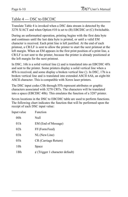## Table 4 — DSC to EBCDIC

Translate Table 4 is invoked when a DSC data stream is detected by the 3270 X/ACT and when Option #10 is set to (B) EBCDIC or (C) Switchable.

During an unformatted operation, printing begins with the first data byte and continues until the last data byte is printed, or until a valid EM character is received. Each print line is left justified. At the end of each printout, a CR/LF is sent to allow the printer to start the next printout at the left margin. When an EM appears in the first print position of a print line, a CR/LF is not sent to the printer, because the printer is already positioned at the left margin for the next printout.

In DSC, 16h is a solid vertical line () and is translated into an EBCDIC 4Fh and sent to the printer. Some printers display a solid vertical line when a 4Fh is received, and some display a broken vertical line (¦). In DSC, 17h is a broken vertical line and is translated into extended ASCII 6Ah, an eight-bit ASCII character. This is compatible with Xerox laser printers.

The DSC input codes C0h through FFh represent attributes or graphic characters associated with 3278 CRTs. The characters will be translated into a space (EBCDIC 40h). This emulates the function of a 3287 printer.

Seven locations in the DSC to EBCDIC table are used to perform functions. The following chart indicates the function that will be performed upon the receipt of each DSC input value:

| Input value     | Function                             |  |  |  |  |  |  |
|-----------------|--------------------------------------|--|--|--|--|--|--|
| 00 <sub>h</sub> | Null                                 |  |  |  |  |  |  |
| 01 h            | EM (End of Message)                  |  |  |  |  |  |  |
| 02h             | FF (Form Feed)                       |  |  |  |  |  |  |
| 03h             | NL (New Line)                        |  |  |  |  |  |  |
| 05h             | CR (Carriage Return)                 |  |  |  |  |  |  |
| 10h             | Space                                |  |  |  |  |  |  |
| 1 Bh            | $\phi$ (Trigger 1 character default) |  |  |  |  |  |  |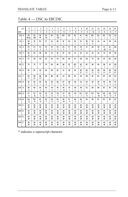## Table 4 — DSC to EBCDIC

|           | LS             | $\Omega$          | $\mathbf{1}$                   | $\overline{2}$                   | 3                                    | $\overline{\mathbf{4}}$ | 5                   | 6                   | $\overline{7}$       | 8                   | 9                              | 10                  | 11                     | 12                     | 13                  | 14                              | 15                     |
|-----------|----------------|-------------------|--------------------------------|----------------------------------|--------------------------------------|-------------------------|---------------------|---------------------|----------------------|---------------------|--------------------------------|---------------------|------------------------|------------------------|---------------------|---------------------------------|------------------------|
| <b>MS</b> |                | 0                 | 1                              | $\overline{2}$                   | 3                                    | 4                       | 5                   | 6                   | $\overline{7}$       | 8                   | 9                              | Α                   | B                      | C                      | D                   | E                               | F                      |
| 00        | 0              | 05<br><b>NULL</b> | 05<br><b>EM</b>                | 05<br>FF                         | 05<br>NL                             | 60<br>Ξ                 | 05<br>Œ             | $\mathbf{E}$        | Æ                    | Œ<br>$\geq$         | 4C<br>$\overline{\phantom{a}}$ | AD<br>I             | B <sub>D</sub><br>1    | 5D<br>$\mathcal{E}$    | 4D                  | D <sub>0</sub><br>$\mathcal{E}$ | $^\circ$<br>€          |
| 16        | 1              | 05<br><b>P</b>    | Æ<br>$=$                       | 7D                               | Æ<br>H                               | 61<br>1                 | E<br>$\lambda$      | 4F                  | 6A<br>÷.             | Œ<br>?              | 5А<br>Ţ                        | <b>B</b><br>\$      | 05<br>¢                | 43                     | 44                  | 45                              | 46                     |
| 32        | $\overline{c}$ | FO<br>$\mathbf 0$ | F1<br>1                        | F <sub>2</sub><br>$\overline{2}$ | F <sub>3</sub><br>3                  | F <sub>4</sub><br>4     | F <sub>5</sub><br>5 | F <sub>6</sub><br>6 | F7<br>$\overline{7}$ | F <sub>8</sub><br>8 | F9<br>9                        | 47                  | 48                     | 78<br>#                | π<br>$^{\circledR}$ | CC.<br>$\frac{0}{0}$            | 6D                     |
| 48        | 3              | 50<br>&           | 60                             | 4B<br>ä,                         | <b>B</b><br>$\overline{\phantom{a}}$ | 7A<br>t                 | Æ<br>$\ddot{}$      | 5F                  | 49                   | 51                  | 52                             | 53                  | A1<br>$\tilde{ }$      | 54                     | 79                  | 55                              | 56                     |
| 64        | 4              | 57                | 58                             | 59                               | 62                                   | 63                      | 64                  | 65                  | 66                   | 67                  | 68                             | 69                  | 70                     | Œ                      | Œ                   | DD                              | DE                     |
| 80        | 5              | 75                | 76                             | 77                               | 78                                   | 80                      | 8A                  | <b>B</b><br>₹       | 8C<br>$\prec$        | 8D<br>$($ *         | Æ<br>$+^*$                     | 8F                  | 90                     | <b>9A</b>              | 98<br>$\lambda$     | C                               | 9D<br>$)$ *            |
| 96        | 6              | Œ<br>$\ddot{}$    | 9F                             | AO<br>$\star$                    | ΑA                                   | Æ                       | Æ                   | 41                  | Æ                    | Æ                   | B <sub>0</sub><br>$0^*$        | B<br>$1*$           | B <sub>2</sub><br>$2*$ | B <sub>3</sub><br>$3*$ | B4<br>4*            | в<br>$5*$                       | B <sub>6</sub><br>$6*$ |
| 112       | 7              | B7<br>$7*$        | B <sub>8</sub><br>$8*$         | B <sub>9</sub><br>$9*$           | <b>BA</b>                            | $\mathbf{B}$            | Ю                   | 42                  | Œ                    | Æ                   | Q                              | <b>GB</b>           | ¢                      | $\infty$               | DF                  | œ                               | $\infty$               |
| 128       | 8              | 81<br>a           | 82<br>b                        | 83<br>c                          | 84<br>d                              | 85<br>e                 | 86<br>f             | 87<br>g             | 88<br>h              | 89<br>i             | 91<br>j                        | 92<br>k             | 93<br>$\mathsf{I}$     | 94<br>m                | 95<br>n             | 96<br>$\circ$                   | 97<br>p                |
| 144       | 9              | 98<br>q           | 99<br>r                        | A <sub>2</sub><br>s              | A <sub>3</sub><br>t                  | $\overline{M}$<br>ū     | A5<br>V             | A6<br>W             | A7<br>x              | A <sub>8</sub><br>y | A9<br>z                        | E1                  | <b>EA</b>              | <b>B</b>               | Æ.                  | 田                               | Æ                      |
| 160       | A              | a<br>A            | $\Omega$<br>B                  | C3<br>$\mathsf{C}$               | <b>CA</b><br>D                       | <b>C5</b><br>E          | œ<br>F              | α<br>G              | Œ<br>H               | œ<br>I              | D <sub>1</sub><br>J            | D <sub>2</sub><br>K | D3<br>L                | D <sub>4</sub><br>M    | D <sub>5</sub><br>N | D <sub>6</sub><br>$\circ$       | D7<br>P                |
| 176       | B              | D8<br>Q           | D <sub>9</sub><br>$\mathsf{R}$ | E<br>S                           | E3<br>T                              | E4<br>U                 | 历<br>V              | Е6<br>W             | EZ<br>X              | <b>B</b><br>Y       | E9<br>Z                        | FA                  | <b>IB</b>              | Ю                      | FD                  | Æ<br>$\vdots$                   | 5C                     |
| 192       | $\mathsf{C}$   | 40<br>P           | 40<br>P                        | 40<br><b>P</b>                   | 40<br><b>P</b>                       | 40<br>P                 | 40<br><b>P</b>      | 40<br>P             | 40<br>P              | 40<br>P             | 40<br><b>P</b>                 | 40<br><b>P</b>      | 40<br><b>P</b>         | 40<br>P                | 40<br>Φ             | 40<br><b>P</b>                  | 40<br>P                |
| 208       | D              | 40<br><b>P</b>    | 40<br>æ                        | 40<br><b>P</b>                   | 40<br>æ,                             | 40<br>æ                 | 40<br>Φ             | 40<br>P             | 40<br>Φ              | 40<br><b>P</b>      | 40<br>æ,                       | 40<br>Φ             | 40<br><b>P</b>         | 40<br>æ                | 40<br>Φ             | 40<br>æ,                        | 40<br><b>P</b>         |
| 224       | E              | 40<br>P           | 40<br>P                        | 40<br><b>P</b>                   | 40<br><b>P</b>                       | 40<br>æ                 | 40<br>P             | 40<br>P             | 40<br><b>P</b>       | 40<br>Φ             | 40<br><b>P</b>                 | 40<br><b>P</b>      | 40<br>P                | 40<br>P                | 40<br><b>P</b>      | 40<br><b>P</b>                  | 40<br>P                |
| 240       | F              | 40<br><b>P</b>    | 40<br>ዋ                        | 40<br><b>P</b>                   | 40<br><b>P</b>                       | 40<br>Φ                 | 40<br>Φ             | 40<br>Φ             | 40<br>Φ              | 40<br>ዋ             | 40<br><b>P</b>                 | 40<br>Φ             | 40<br><b>P</b>         | 40<br>Φ                | 40<br><b>P</b>      | 40<br>ዋ                         | 40<br><b>P</b>         |

\* indicates a superscript character.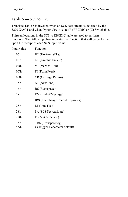#### Table 5 — SCS to EBCDIC

Translate Table 5 is invoked when an SCS data stream is detected by the 3270 X/ACT and when Option #10 is set to (B) EBCDIC or (C) Switchable.

Thirteen locations in the SCS to EBCDIC table are used to perform functions. The following chart indicates the function that will be performed upon the receipt of each SCS input value:

| Input value     | Function                                                   |
|-----------------|------------------------------------------------------------|
| 05h             | HT (Horizontal Tab)                                        |
| 08h             | GE (Graphic Escape)                                        |
| 0Bh             | VT (Vertical Tab)                                          |
| 0 <sub>Ch</sub> | FF (Form Feed)                                             |
| 0Dh             | CR (Carriage Return)                                       |
| 15h             | NL (New Line)                                              |
| 16h             | BS (Backspace)                                             |
| 19h             | EM (End of Message)                                        |
| 1Eh             | IRS (Interchange Record Separator)                         |
| 25h             | LF (Line Feed)                                             |
| 28h             | SA (SCS Set Attribute)                                     |
| 2Bh             | ESC (SCS Escape)                                           |
| 35h<br>4Ah      | TRN (Transparency)<br>$\phi$ (Trigger 1 character default) |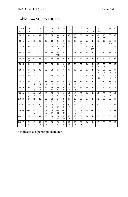### Table 5 — SCS to EBCDIC

|           | LS             | $\mathbf 0$            | 1                  | $\overline{2}$                   | 3                      | $\overline{\mathbf{4}}$ | 5                   | 6                         | $\overline{7}$           | 8                      | 9                              | 10             | 11                                 | 12              | 13                   | 14                     | 15        |
|-----------|----------------|------------------------|--------------------|----------------------------------|------------------------|-------------------------|---------------------|---------------------------|--------------------------|------------------------|--------------------------------|----------------|------------------------------------|-----------------|----------------------|------------------------|-----------|
| <b>MS</b> |                | $\pmb{0}$              | 1                  | $\overline{2}$                   | 3                      | 4                       | 5                   | 6                         | $\overline{7}$           | 8                      | 9                              | Α              | B                                  | $\mathsf{C}$    | D                    | E                      | F         |
| 00        | $\mathbf 0$    | $\infty$               | 01                 | 02                               | <sub>03</sub>          | 04                      | 05<br>HT            | 06                        | 07                       | 05<br>Œ                | 09                             | $\mathfrak{B}$ | 05<br>$\sqrt{}$                    | 05<br>Æ         | 05<br>Œ              | Œ                      | Œ         |
| 16        | 1              | 10                     | 11                 | 12                               | 13                     | 14                      | 05<br>NL            | 05<br>BS.                 | 17                       | 18                     | 05<br><b>EM</b>                | 1A             | ß                                  | <b>C</b>        | 1D                   | 05<br><b>IRS</b>       | 1F        |
| 32        | $\overline{2}$ | 20                     | 21                 | $\overline{2}$                   | 23                     | 24                      | 05<br>LF            | 26                        | 27                       | 28                     | 29                             | <b>2A</b>      | 05<br>ESC                          | $\mathcal{L}$   | 2D                   | Æ                      | Æ         |
| 48        | 3              | 30                     | 31                 | 32                               | 33                     | 34                      | 05<br><b>TRN</b>    | 36                        | 37                       | 38                     | 39                             | ЗA             | <b>3</b>                           | x               | 3D                   | Œ                      | 3F        |
| 64        | 4              | 40<br><b>P</b>         | 41                 | 42                               | 43                     | 44                      | 45                  | 46                        | 47                       | 48                     | 49                             | 05<br>¢        | $\overline{a}$<br>$\cdot$          | C<br>$\,<$      | 4D<br>$\overline{(}$ | Æ<br>$\ddot{}$         | 4F<br>Ţ   |
| 80        | 5              | 50<br>&                | 51                 | 52                               | 53                     | 54                      | 55<br>1/2           | 56<br>1/4                 | 57                       | 58                     | 59                             | 5A<br>Ţ        | <b>B</b><br>\$                     | £C<br>$\star$   | 5D<br>$\mathcal{E}$  | Œ<br>$\vdots$          | 5F<br>Λ   |
| 96        | 6              | 60<br>$\frac{1}{2}$    | 61<br>$\prime$     | 62                               | 63                     | 64                      | 65                  | 66                        | 67                       | 68                     | 69                             | 6A<br>I        | ŒB<br>$\,$                         | C<br>%          | 6D                   | Œ<br>$\geq$            | Œ<br>?    |
| 112       | $\overline{7}$ | 70                     | 71                 | 72                               | 73                     | 74                      | 75                  | 76                        | $\overline{\mathcal{U}}$ | 78                     | 79                             | 7A<br>÷        | 78<br>#                            | κ<br>$^{\circ}$ | 7D<br>$\mathbf{r}$   | Æ<br>$\qquad \qquad =$ | 下         |
| 128       | 8              | 80                     | 81<br>a            | 82<br>b                          | 83<br>C                | 84<br>d                 | 85<br>e             | 86<br>$\mathsf{f}$        | 87<br>g                  | 88<br>h                | 89<br>j.                       | 8A             | æ<br>(                             | 8C<br>$\,<$     | 8D<br>(              | Æ<br>$+^*$             | 8F        |
| 144       | 9              | 90                     | 91<br>j            | 92<br>k                          | 93<br>$\overline{1}$   | 94<br>m                 | 95<br>n             | 96<br>$\circ$             | 97<br>p                  | 98<br>q                | 99<br>r                        | 94             | <b>B</b><br>$\mathcal{C}^{\prime}$ | C               | 9D<br>$)$ *          | Œ<br>$\ddot{}$         | <b>9F</b> |
| 160       | A              | AO<br>$^\star$<br>-    | A1<br>$\tilde{}$   | A2<br>s                          | A3<br>t                | A4<br>u                 | A5<br>v             | A6<br>W                   | A7<br>x                  | A8<br>y                | Α9<br>Z                        | <b>AA</b>      | Æ                                  | Æ               | AD<br>ſ              | Æ<br>$\geq$            | Æ         |
| 176       | B              | во<br>$0*$             | <b>B1</b><br>$1*$  | B <sub>2</sub><br>$2^*$          | B <sub>3</sub><br>$3*$ | B <sub>4</sub><br>4*    | в<br>$5*$           | B <sub>6</sub><br>$6*$    | B7<br>$7*$               | B <sub>8</sub><br>$8*$ | B <sub>9</sub><br>$9*$         | <b>BA</b>      | <b>BB</b>                          | Ю               | BD<br>1              | Æ                      | Œ         |
| 192       | C              | œ<br>₹                 | $\alpha$<br>Α      | $\Omega$<br>B                    | <b>C3</b><br>C         | <b>C4</b><br>D          | ය<br>Ε              | œ<br>F                    | $\sigma$<br>G            | Œ<br>H                 | œ<br>$\overline{1}$            | Q              | <b>GB</b>                          | $\mathbb{C}$    | $\infty$             | Œ                      | Œ         |
| 208       | D              | D <sub>0</sub><br>$\}$ | D1<br>J            | D <sub>2</sub><br>K              | D <sub>3</sub><br>L    | D <sub>4</sub><br>M     | D <sub>5</sub><br>N | D <sub>6</sub><br>$\circ$ | D7<br>P                  | D <sub>8</sub><br>Q    | D <sub>9</sub><br>$\mathsf{R}$ | DA             | <b>DB</b>                          | $\infty$        | D <sub>D</sub>       | DE                     | DF        |
| 224       | Ε              | E<br>$\backslash$      | E1                 | E<br>S                           | E3<br>T                | E4<br>U                 | 历<br>$\vee$         | <b>E6</b><br>W            | E7<br>X                  | <b>B</b><br>Y          | E <sub>9</sub><br>Z            | <b>EA</b>      | B                                  | E               | <b>ED</b>            | Æ                      | Œ         |
| 240       | F              | FO<br>$\mathbf 0$      | F1<br>$\mathbf{1}$ | F <sub>2</sub><br>$\overline{2}$ | F <sub>3</sub><br>3    | F <sub>4</sub><br>4     | F <sub>5</sub><br>5 | F <sub>6</sub><br>6       | F7<br>$\overline{7}$     | F <sub>8</sub><br>8    | F <sub>9</sub><br>9            | FA.            | <b>IB</b>                          | Ю               | FD                   | Æ                      | F         |

\* indicates a superscript character.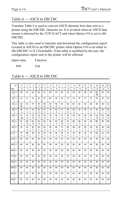### Table 6 — ASCII to EBCDIC

Translate Table 6 is used to convert ASCII alternate host data sent to a printer using the EBCDIC character set. It is invoked when an ASCII data stream is detected by the 3270 X/ACT and when Option #10 is set to (B) EBCDIC.

This table is also used to translate and download the configuration report (created in ASCII) to an EBCDIC printer when Option #10 is set either to (B) EBCDIC or (C) Switchable. If this table is modified by the user, the configuration report sent to the printer will be affected.

| Input value | Function |
|-------------|----------|
| 09h         | Tab      |

|           | LS             | $\mathbf 0$                    | 1                              | $\overline{2}$                   | 3                                     | 4                                     | 5                                     | 6                                     | $\overline{7}$                 | 8                                     | 9                              | 10                                    | 11                                    | 12                                    | 13                             | 14                             | 15                             |
|-----------|----------------|--------------------------------|--------------------------------|----------------------------------|---------------------------------------|---------------------------------------|---------------------------------------|---------------------------------------|--------------------------------|---------------------------------------|--------------------------------|---------------------------------------|---------------------------------------|---------------------------------------|--------------------------------|--------------------------------|--------------------------------|
| <b>MS</b> |                | $\mathbf 0$                    | 1                              | $\overline{2}$                   | 3                                     | 4                                     | 5                                     | 6                                     | $\overline{7}$                 | 8                                     | 9                              | Α                                     | B                                     | $\mathsf{C}$                          | D                              | E                              | F                              |
| 00        | $\mathbf 0$    | $\infty$                       | 01                             | 02                               | œ                                     | 37                                    | 2D                                    | 15                                    | Æ                              | 16                                    | 05                             | 25                                    | Œ                                     | $\mathbf{C}$                          | 0D<br>Œ                        | Œ                              | Œ                              |
| 16        | $\mathbf{1}$   | 10                             | 11                             | 12                               | 13                                    | $\mathbf{x}$                          | 3D                                    | 32                                    | 26                             | 18                                    | 19                             | 3F                                    | 27                                    | 22                                    | 1D                             | Έ                              | 1F                             |
| 32        | $\overline{2}$ | 40<br><b>P</b>                 | 5A<br>Ţ                        | Æ<br>$\mathbf{u}$                | 78<br>#                               | æ<br>\$                               | C)<br>%                               | 50<br>&                               | 7D<br>$\mathbf{r}$             | 4D<br>$\overline{ }$                  | 5D<br>$\mathcal{E}$            | £C<br>$^\star$                        | Æ<br>$\ddot{}$                        | ŒB<br>$\,$                            | 60<br>$\overline{\phantom{a}}$ | 4B                             | 61<br>$\sqrt{2}$               |
| 48        | 3              | F <sub>0</sub><br>0            | F1<br>1                        | F <sub>2</sub><br>$\overline{2}$ | F <sub>3</sub><br>3                   | F4<br>4                               | 历<br>5                                | F <sub>6</sub><br>6                   | F7<br>$\overline{7}$           | F <sub>8</sub><br>8                   | F9<br>9                        | 7A<br>÷                               | Æ<br>$\vdots$                         | 4C<br><                               | Æ<br>$\qquad \qquad =$         | Œ<br>$\geq$                    | 6F<br>$\overline{\phantom{0}}$ |
| 64        | 4              | π<br>$^{\circledR}$            | a<br>A                         | $\Omega$<br>B                    | C3<br>$\mathsf{C}$                    | C <sub>4</sub><br>D                   | ය<br>E                                | œ<br>F                                | a<br>G                         | Œ<br>Н                                | œ<br>I.                        | D <sub>1</sub><br>J                   | D <sub>2</sub><br>K                   | D <sub>3</sub><br>L                   | D <sub>4</sub><br>M            | D <sub>5</sub><br>N            | D <sub>6</sub><br>$\circ$      |
| 80        | 5              | D7<br>P                        | D <sub>8</sub><br>Q            | D <sub>9</sub><br>$\mathsf{R}$   | E2<br>S                               | E3<br>T                               | E4<br>U                               | 历<br>$\vee$                           | Е6<br>W                        | E7<br>X                               | B<br>Y                         | E9<br>Z                               | AD<br>ſ                               | E<br>$\sqrt{2}$                       | BD<br>1                        | в<br>$\boldsymbol{\wedge}$     | 6D                             |
| 96 6      |                | 79<br>$\tilde{\phantom{a}}$    | 81<br>a                        | 82<br>b                          | 83<br>c                               | 84<br>d                               | 85<br>e                               | 86<br>f                               | 87<br>g                        | 88<br>h                               | 89<br>Ť                        | 91<br>j                               | 92<br>k                               | 93<br>T                               | 94<br>m                        | 95<br>n                        | 96<br>o                        |
| 112 7     |                | 97<br>р                        | 98<br>q                        | 99<br>r                          | A2<br>s                               | A <sub>3</sub><br>t                   | A4<br>u                               | A5<br>v                               | A6<br>W                        | A7<br>x                               | A8<br>у                        | A9<br>Z                               | œ<br>{                                | 4F<br>Ţ                               | D <sub>0</sub><br>ł            | A1<br>$\tilde{ }$              | 07                             |
| $128$ 8   |                | 60<br>$\blacksquare$           | 60<br>$\frac{1}{2}$            | 60<br>Ξ                          | 60<br>$\blacksquare$                  | 60<br>$\overline{\phantom{a}}$        | 60<br>$\overline{\phantom{a}}$        | 60<br>$\overline{\phantom{a}}$        | 60<br>$\frac{1}{2}$            | 60<br>÷,                              | 60<br>÷,                       | 60<br>$\frac{1}{2}$                   | 60<br>$\overline{\phantom{a}}$        | 60<br>$\overline{\phantom{a}}$        | 60<br>÷,                       | 60<br>$\blacksquare$           | 60<br>$\overline{\phantom{a}}$ |
| 144       | 9              | 60<br>$\overline{\phantom{a}}$ | 60<br>$\frac{1}{2}$            | 60<br>$\overline{\phantom{a}}$   | 60<br>$\overline{\phantom{a}}$        | 60<br>$\overline{\phantom{a}}$        | 60<br>$\overline{\phantom{a}}$        | 60<br>$\overline{\phantom{a}}$        | 60<br>$\frac{1}{2}$            | 60<br>$\centering \label{eq:reduced}$ | 60<br>÷                        | 60<br>$\overline{\phantom{a}}$        | 60<br>$\overline{\phantom{a}}$        | 60<br>$\overline{\phantom{a}}$        | 60<br>÷,                       | 60<br>$\overline{\phantom{a}}$ | 60                             |
| 160 A     |                | 60<br>$\overline{\phantom{a}}$ | 60<br>$\frac{1}{2}$            | 60<br>÷                          | 60<br>$\centering \label{eq:reduced}$ | 60<br>$\centering \label{eq:reduced}$ | 60<br>$\centering \label{eq:reduced}$ | 60<br>$\centering \label{eq:reduced}$ | 60<br>$\frac{1}{2}$            | 60<br>$\centering \label{eq:reduced}$ | 60<br>÷                        | 60                                    | 60<br>$\centering \label{eq:reduced}$ | 60<br>$\centering \label{eq:reduced}$ | 60<br>$\frac{1}{2}$            | 60<br>$\overline{\phantom{a}}$ | 60<br>۰                        |
| 176       | в              | 60<br>$\frac{1}{2}$            | 60<br>$\frac{1}{2}$            | 60<br>$\frac{1}{2}$              | 60<br>$\frac{1}{2}$                   | 60<br>$\frac{1}{2}$                   | 60<br>$\frac{1}{2}$                   | 60<br>$\frac{1}{2}$                   | 60<br>$\overline{a}$           | 60<br>$\frac{1}{2}$                   | 60<br>$\overline{\phantom{a}}$ | 60                                    | 60<br>$\centerdot$                    | 60<br>$\overline{\phantom{a}}$        | 60<br>÷,                       | 60<br>$\overline{\phantom{a}}$ | 60<br>-                        |
| 192       | C              | 60<br>$\overline{\phantom{a}}$ | 60<br>$\frac{1}{2}$            | 60<br>$\overline{\phantom{a}}$   | 60<br>$\overline{\phantom{a}}$        | 60<br>$\overline{\phantom{a}}$        | 60<br>$\centerdot$                    | 60<br>$\overline{\phantom{a}}$        | 60<br>$\overline{\phantom{a}}$ | 60<br>$\overline{\phantom{a}}$        | 60<br>$\overline{\phantom{m}}$ | 60<br>$\overline{\phantom{a}}$        | 60<br>$\overline{\phantom{m}}$        | 60<br>$\overline{\phantom{a}}$        | 60<br>$\frac{1}{2}$            | 60<br>$\overline{\phantom{a}}$ | 60<br>$\overline{\phantom{a}}$ |
| 208 D     |                | 60<br>$\overline{\phantom{a}}$ | 60<br>$\frac{1}{2}$            | 60<br>$\overline{\phantom{a}}$   | 60<br>$\overline{\phantom{a}}$        | 60<br>$\overline{\phantom{a}}$        | 60<br>$\overline{\phantom{a}}$        | 60<br>$\overline{\phantom{a}}$        | 60<br>$\frac{1}{2}$            | 60<br>$\overline{\phantom{a}}$        | 60<br>÷                        | 60<br>$\centering \label{eq:reduced}$ | 60<br>$\overline{\phantom{a}}$        | 60<br>÷                               | 60<br>$\overline{\phantom{m}}$ | 60<br>$\overline{\phantom{a}}$ | 60<br>$\blacksquare$           |
| 224       | E              | 60<br>$\blacksquare$           | 60<br>$\overline{\phantom{m}}$ | 60<br>Ξ                          | 60<br>$\blacksquare$                  | 60<br>÷,                              | 60<br>÷                               | 60<br>$\frac{1}{2}$                   | 60<br>÷,                       | 60<br>÷,                              | 60<br>÷,                       | 60<br>$\overline{\phantom{0}}$        | 60<br>$\centering \label{eq:reduced}$ | 60<br>÷,                              | 60<br>÷,                       | 60<br>$\blacksquare$           | 60                             |
| 240 F     |                | 60<br>$\frac{1}{2}$            | 60<br>$\frac{1}{2}$            | 60<br>Ξ                          | 60<br>÷,                              | 60<br>$\blacksquare$                  | 60<br>$\centering \label{eq:reduced}$ | 60<br>$\frac{1}{2}$                   | 60<br>÷,                       | 60<br>÷,                              | 60<br>÷,                       | 60<br>$\blacksquare$                  | 60<br>$\centering \label{eq:reduced}$ | 60<br>÷,                              | 60<br>÷,                       | 60<br>÷,                       | 60<br>$\overline{\phantom{0}}$ |

#### Table 6 — ASCII to EBCDIC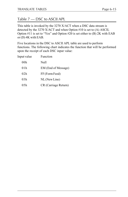#### Table 7 — DSC to ASCII APL

This table is invoked by the 3270 X/ACT when a DSC data stream is detected by the 3270 X/ACT and when Option #10 is set to (A) ASCII, Option  $#11$  is set to "Yes" and Option  $#20$  is set either to (B) 2K with EAB or (D) 4K with EAB.

Five locations in the DSC to ASCII APL table are used to perform functions. The following chart indicates the function that will be performed upon the receipt of each DSC input value:

| Input value | Function             |
|-------------|----------------------|
| 00h         | Null                 |
| 01 h        | EM (End of Message)  |
| 02h         | FF (Form Feed)       |
| 03h         | NL (New Line)        |
| 05h         | CR (Carriage Return) |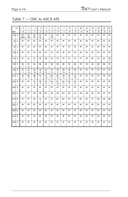### Table 7 — DSC to ASCII APL

|           | LS             | $\mathbf 0$       | $\mathbf{1}$        | $\overline{2}$ | 3                  | $\overline{4}$ | 5                   | 6                   | $\overline{7}$      | 8                   | 9                   | 10             | 11             | 12             | 13           | 14             | 15             |
|-----------|----------------|-------------------|---------------------|----------------|--------------------|----------------|---------------------|---------------------|---------------------|---------------------|---------------------|----------------|----------------|----------------|--------------|----------------|----------------|
| <b>MS</b> |                | $\Omega$          | $\mathbf{1}$        | $\overline{2}$ | 3                  | 4              | 5                   | 6                   | $\overline{7}$      | 8                   | 9                   | Α              | B              | C              | D            | E              | F              |
| 00        | $\mathbf 0$    | 05<br><b>NULL</b> | 05<br><b>EM</b>     | 05<br>Æ        | 05<br>NL           | F              | 05<br>Œ             | F                   | F                   | Æ                   | F                   | F              | Æ              | F              | F            | F              | F              |
| 16        | $\mathbf{1}$   | F                 | F                   | Æ              | Æ                  | F              | F                   | F                   | Æ                   | Æ                   | F                   | F              | 05             | F              | Æ            | Æ              | F              |
| 32        | $\overline{2}$ | F                 | F                   | F              | F                  | F              | F                   | F                   | F                   | F                   | F                   | F              | F              | F              | Æ            | F              | F              |
| 48        | 3              | F                 | F                   | Æ              | Æ                  | F              | F                   | F                   | F                   | Æ                   | F                   | F              | F              | F              | Æ            | Æ              | F              |
| 64        | $\overline{4}$ | Æ                 | A1                  | E<br>$\prec$   | $\mathbf{B}$       | E9             | F <sub>0</sub>      | F1                  | F <sub>2</sub>      | F <sub>3</sub>      | F <sub>5</sub>      | F7             | A <sub>0</sub> | AD             | $\mathbf{C}$ | Æ              | æ<br>L         |
| 80        | 5              | Æ<br>$\mathbf{r}$ | Æ<br>$\mathsf{o}$   | B              | <b>B1</b>          | B <sub>2</sub> | B <sub>3</sub>      | B <sub>4</sub>      | B <sub>6</sub>      | 5C<br>$\sqrt{2}$    | B <sub>8</sub>      | F <sub>9</sub> | C <sub>3</sub> | A <sub>9</sub> | 5D<br>1      | Œ              | $\overline{c}$ |
| 96        | 6              | 7D<br>}           | A <sub>3</sub><br>A | A4<br>B        | A5<br>$\mathsf{C}$ | A6<br>D        | A7<br>E             | A <sub>8</sub><br>F | F <sub>8</sub><br>G | ÆА<br>н             | Æ<br>I.             | FF             | FF             | FF             | FF           | F              | Æ              |
| 112       | $\overline{7}$ | 78<br>₹           | <b>BA</b><br>J      | BB<br>K        | œ<br>L             | a<br>M         | BD<br>N             | Ю<br>$\circ$        | <b>CA</b><br>P      | Œ5<br>Q             | œ<br>$\mathsf{R}$   | FF             | F              | F              | F            | F <sub>6</sub> | F              |
| 128       | 8              | Ю                 | FF                  | Œ<br>S         | <b>CB</b><br>T     | œ<br>U         | D <sub>0</sub><br>V | D1<br>W             | D <sub>2</sub><br>X | D <sub>3</sub><br>Υ | D <sub>4</sub><br>Z | FF             | Æ              | F              | F            | F              | F              |
| 144       | 9              | FF                | F                   | F              | F                  | FF             | FF                  | FF                  | FF                  | FF                  | FF                  | F              | Æ              | FF             | FF           | F              | 圧              |
| 160       | $\overline{A}$ | FF                | F                   | <b>B</b>       | $\mathbf{B}$       | $\mathbf{E}$   | Œ                   | <b>IB</b>           | F <sub>D</sub>      | F                   | E1                  | Q              | Œ              | Œ              | E4           | Œ              | Œ              |
| 176       | B              | F                 | F                   | Œ              | 21<br>Ţ            | FF             | F                   | $\infty$            | D <sub>D</sub>      | FF                  | F                   | DE             | DF             | F              | ВБ           | <b>EA</b>      | $\mathbf{B}$   |
| 192       | C              | FF                | F                   | Æ              | F                  | FF             | FF                  | FF                  | F                   | Æ                   | FF                  | F              | FF             | FF             | Æ            | Æ              | FF             |
| 208       | D              | F                 | F                   | Æ              | Æ                  | F              | F                   | FF                  | Æ                   | Æ                   | FF.                 | F              | FF             | FF             | Æ            | Æ              | FF             |
| 224       | E              | F                 | F                   | F              | F                  | F              | FF                  | FF                  | FF                  | F                   | FF                  | F              | FF             | FF             | FF           | F              | F              |
| 240       | F              | F                 | FF                  | FF             | F                  | F              | F                   | F                   | FF                  | FF                  | F                   | F              | FF             | FF             | Æ            | F              | FF             |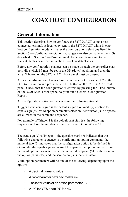# **COAX HOST CONFIGURATION**

### **General Information**

This section describes how to configure the 3270 X/ACT using a hostconnected terminal. A local copy sent to the 3270 X/ACT while in coax host configuration mode will alter the configuration selections listed in Section 5 — Configuration Options. Changes can also be made to the PFSs described in Section 6 — Programmable Function Strings and to the translate tables described in Section  $7 -$  Translate Tables.

Before any configuration changes can be made through the controller coax port, dip switch B7 must be set in the ON (down) position, and then the RESET button on the 3270 X/ACT front panel must be pressed.

After all configuration changes have been made, set dip switch B7 in the OFF (up) position and press the RESET button on the 3270 X/ACT front panel. Check that the configuration is correct by pressing the TEST button on the 3270 X/ACT front panel to print out a General Configuration Report.

All configuration option sequences take the following format:

Trigger 1 (the cent sign  $\phi$  is the default) - question mark (?) - option # equals sign (=) - valid option parameter selection - terminator (;). No spaces are allowed in the command sequence.

For example, if Trigger 1 is the default cent sign  $(\phi)$ , the following sequence will set the number of lines per page (Option #2) to 51:

 $\& 2 = 51$ ;

The cent sign  $(\phi)$  is Trigger 1; the question mark (?) indicates that the following character sequence is a configuration option command; the numeral two (2) indicates that the configuration option to be defined is Option  $#2$ ; the equals sign  $(=)$  is used to separate the option number from the valid option parameter value; the numeral fifty-one (51) is the value of the option parameter; and the semicolon (;) is the terminator.

Valid option parameters will be one of the following, depending upon the option:

- A decimal numeric value
- A two-character hexadecimal value
- The letter value of an option parameter (A- E)
- A "Y" for YES or an "N" for NO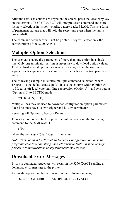After the user's selections are keyed on the screen, press the local copy key on the terminal. The 3270 X/ACT will interpret each command and store the new selections in its non-volatile, battery-backed RAM. This is a form of permanent storage that will hold the selections even when the unit is powered off.

The command sequences will not be printed. They will affect only the configuration of the 3270 X/ACT.

# **Multiple Option Selections**

The user can change the parameters of more than one option in a single line. Only one terminator per line is necessary to download option values. To download several option parameters on a single line, the user must separate each sequence with a comma (,) after each valid option parameter value.

The following example illustrates multiple command selection, where Trigger 1 is the default cent sign  $(\phi)$ . It sets the column width (Option #1) to 80, turns off local copy null line suppression (Option #4) and sets output (Option #10) to EBCDIC mode:

 $\mathcal{L}$ ?1=80,4=N,10=B;

Multiple lines may be used to download configuration option parameters. Each line must have its own trigger and its own terminator.

Resetting All Options to Factory Defaults

To reset all options to factory preset default values, send the following command to the 3270 X/ACT:

¢?0;

where the cent sign  $(\phi)$  is Trigger 1 (the default).

Note: This command will reset all General Configuration options, all programmable function strings and all translate tables to their factory presets. All modifications to any parameters will be lost.

### **Download Error Messages**

Errors in command sequences will result in the 3270 X/ACT sending a download error message to the printer.

An invalid option number will result in the following message:

DOWNLOAD ERROR - BAD OPTION FIELD VALUE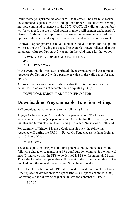If this message is printed, no change will take effect. The user must resend the command sequence with a valid option number. If the user was sending multiple command sequences to the 3270 X/ACT, all valid option numbers will be changed, but the invalid option numbers will remain unchanged. A General Configuration Report must be printed to determine which of the options in the command sequences were valid and which were incorrect.

An invalid option parameter (a value outside the valid range for the option) will result in the following message. The example shown indicates that the parameter value for Option #45 was not in the valid range for that option:

DOWNLOAD ERROR - BAD DATA FIELD VALUE  $45=X$ X THROWN AWAY

In the event that this message is printed, the user must resend the command sequence for Option #45 with a parameter value in the valid range for that option.

An invalid separator message indicates that the option number and the parameter value were not separated by an equals sign  $(=):$ 

```
DOWNLOAD ERROR - BAD FIELD SEPARATOR
```
## **Downloading Programmable Function Strings**

PFS downloading commands take the following format:

Trigger 1 (the cent sign  $\phi$  is the default) - percent sign (%) - PFS # hexadecimal data pair(s) - percent sign  $(\%)$ . Note that the percent sign both initiates and terminates the downloading sequence. No spaces are allowed.

For example, if Trigger 1 is the default cent sign  $(\phi)$ , the following sequence will define the  $PFS$   $0$   $-$  Power On Sequence as the hexadecimal pairs 31h and 32h:

¢%03132%

The cent sign  $(\phi)$  is Trigger 1; the first percent sign  $(\% )$  indicates that the following character sequence is a PFS configuration command; the numeral zero (0) indicates that the PFS to be defined is PFS 0; the numerals 31 and 32 are the hexadecimal pairs that will be sent to the printer when this PFS is invoked; and the second percent sign (%) is the terminator.

To replace the definition of a PFS, download a new definition. To delete a PFS, replace the definition with a space (the ASCII space character is 20h). For example, the following sequence deletes the contents of PFS 0:

¢%020%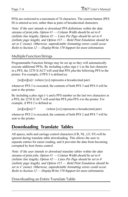PFSs are restricted to a maximum of 76 characters. The custom banner (PFS D) is entered as text, rather than as pairs of hexadecimal characters.

Note: If the user intends to download PFS definitions within the data streams of print jobs, Option  $H -$  Column Width should be set to 0 (infinite line length), Option  $\#2$  — Lines Per Page should be set to 0 (infinite page length), and Option  $#15$  — Bold Print Emulation should be set to C (none). Otherwise, unpredictable formatting errors could occur. Refer to Section 12 – Display Write 370 Support for more information.

#### Multiple Function Strings

Programmable Function Strings may be set up so they will automatically execute additional PFSs. By including a plus sign  $(+)$  as the last character in a PFS, the 3270 X/ACT will send that PFS *plus* the following PFS to the printer. For example, if PFS 3 is defined as:

 $[xx][xx]$  (where  $[xx]$  represents a hexadecimal pair)

whenever PFS 3 is executed, the contents of both PFS 3 and PFS 4 will be sent to the printer.

By including a plus sign  $(+)$  and a PFS number as the last two characters in a PFS, the 3270 X/ACT will send that PFS *plus* PFS *n* to the printer. For example, if PFS 2 is defined as:

 $[xx][xx][x]$  (where  $[xx]$  represents a hexadecimal pair)

whenever PFS 2 is executed, the contents of both PFS 2 and PFS 7 will be sent to the printer.

### **Downloading Translate Tables**

All spaces, nulls and carriage control characters (CR, NL, LF, FF) will be ignored during translate table downloading. This allows the user to separate entries for easier reading, and it prevents the data from becoming corrupted by host forms control.

Note: If the user intends to download translate tables within the data streams of print jobs, Option  $H -$  Column Width should be set to 0 (infinite line length), Option  $\#2$  – Lines Per Page should be set to 0 (infinite page length), and Option  $\#15$  — Bold Print Emulation should be set to C (none). Otherwise, unpredictable formatting errors could occur. Refer to Section 12 – Display Write 370 Support for more information.

#### Downloading an Entire Translate Table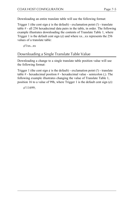Downloading an entire translate table will use the following format:

Trigger 1 (the cent sign  $\phi$  is the default) - exclamation point (!) - translate table # - all 256 hexadecimal data pairs in the table, in order. The following example illustrates downloading the contents of Translate Table 1, where Trigger 1 is the default cent sign  $(\phi)$  and where xx...xx represents the 256 values of a translate table:

¢!1xx...xx

### Downloading a Single Translate Table Value

Downloading a change to a single translate table position value will use the following format:

Trigger 1 (the cent sign  $\phi$  is the default) - exclamation point (!) - translate table  $#$  - hexadecimal position  $#$  - hexadecimal value - semicolon (;). The following example illustrates changing the value of Translate Table 1, position 16 to a value of 99h, where Trigger 1 is the default cent sign  $(\phi)$ :

¢!11699;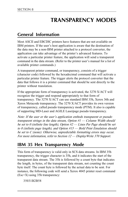# **TRANSPARENCY MODES**

### **General Information**

Most ASCII and EBCDIC printers have features that are not available on IBM printers. If the user's host application is aware that the destination of the data may be a non-IBM printer attached to a protocol converter, the application can take advantage of the printer's advanced features. To activate a particular printer feature, the application will send a transparent command in the data stream. (Refer to the printer user's manual for a list of available printer commands.)

A transparent printer command, or transparency, consists of a trigger (character code) followed by the hexadecimal command that will activate a particular printer feature. The trigger alerts the protocol converter that the data that follows it is a printer command that should be sent directly to the printer without translation.

If the appropriate form of transparency is activated, the 3270 X/ACT will recognize the trigger and respond appropriately to that form of transparency. The 3270 X/ACT can use standard IBM 35h, Xerox 36h and Xerox Metacode transparency. The 3270 X/ACT provides its own version of transparency, called pseudo transparency mode (PTM). It also is capable of supporting MD-Laser and AGILE Laserpage pseudo transparency.

Note: If the user or the user's application embeds transparent or pseudo transparent strings in the data stream, Option  $H -$  Column Width should be set to 0 (infinite line length), Option  $#2$  — Lines Per Page should be set to 0 (infinite page length), and Option  $\#15$  — Bold Print Emulation should be set to C (none). Otherwise, unpredictable formatting errors may occur. For more information, refer to Section 12 — Display Write 370 Support.

### **IBM 35 Hex Transparency Mode**

This form of transparency is valid only in SCS data streams. In IBM 35h transparency, the trigger character is 35h, and it indicates the start of the transparent data stream. The 35h is followed by a count byte that indicates the length, in bytes, of the transparent data stream, not counting the count byte itself. The count byte is followed by the actual data to be sent. For instance, the following code will send a Xerox 4045 printer reset command (Esc+X) using 35h transparency:

35031B2B58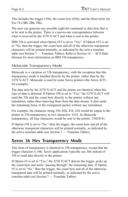This includes the trigger (35h), the count byte (03h), and the three bytes for Esc+X (1Bh, 2Bh, 58h).

The user can generate any possible eight-bit command or data byte that is to be sent to the printer. There is a one-to-one correspondence between what is received by the 3270 X/ACT and what is sent to the printer.

IBM 35h is activated when Option  $#53$  is set to "Yes". If Option  $#53$  is set to "No, then the trigger, the count byte and all of the otherwise transparent characters will be printed normally, as indicated by the active translate table (see Section  $7 -$  Translate Tables). Refer to Section  $14 -$  SCS Data Streams for more information on IBM 35h transparency.

#### Metacode Transparency Mode

Metacode is a variation of 35h transparency, with the exception that this transparency mode is handled directly by the printer, rather than by the 3270 X/ACT. Metacode is used by some Xerox printers (the Xerox 4235, for example).

The data seen by the 3270 X/ACT and the printer are identical when this type of data is detected. If Option #58 is set to "Yes," the 3270 X/ACT will send the 35h and the count byte directly to the printer without any translation, rather than removing them from the data stream. It also sends the remaining bytes in the transparent packet without any translation.

For example, the character string 35h, 02h, 41h, 41h would be output to the printer in 35h transparency as two characters: 4141. In Metacode transparency, all four characters would be sent to the printer: 35024141.

If Option  $#58$  is set to "No," then the trigger, the count byte and all of the otherwise transparent characters will be printed normally, as indicated by the active translate table (see Section  $7 -$  Translate Tables).

### **Xerox 36 Hex Transparency Mode**

This form of transparency is identical to 35h transparency, except that the trigger character is 36h. Xerox applications typically use 36h instead of 35h to send data directly to the printer.

If Option  $#5$  is set to "Yes," the 3270 X/ACT detects the trigger, picks up the count byte and starts "passing through" the remaining data. If Option  $#5$  is set to "No," then the trigger, the count byte and all of the otherwise transparent data will be printed normally, as indicated by the active translate table (see Section  $7 -$  Translate Tables).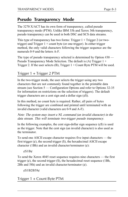## **Pseudo Transparency Mode**

The 3270 X/ACT has its own form of transparency, called pseudo transparency mode (PTM). Unlike IBM 35h and Xerox 36h transparency, pseudo transparency can be used in both DSC and SCS data streams.

This type of transparency has two forms: Trigger  $1 + \text{Trigger } 2$  (or twotrigger) and Trigger  $1 +$  count byte (or one-trigger). In either trigger method, the only valid characters following the trigger sequence are the numerals 0-9 and the letters A-F.

The type of pseudo transparency selected is determined by Option  $#30$  — Pseudo Transparency Mode Selection. The default is (A) Trigger 1 + Trigger 2. If the user selects (B), Trigger  $1 +$  Count Byte PTM will be used.

Trigger 1 + Trigger 2 PTM

In the two-trigger mode, the user selects the trigger using any two characters that are not commonly found together in the printable data stream (see Section  $5$  — Configuration Options and refer to Options 32-35 for information on restrictions on the selection of triggers). The default trigger characters are a cent sign and a dollar sign  $(\mathcal{E}\$ ).

In this method, no count byte is required. Rather, all pairs of bytes following the trigger are combined and printed until terminated with an invalid character (valid characters are 0-9 and A-F).

Note: The system may insert a NL command (an invalid character) in the data stream. This will terminate two-trigger pseudo transparency.

In the following examples, the cent sign-dollar sign sequence  $(\mathfrak{e}\mathfrak{S})$  is used as the trigger. Note that the cent sign (an invalid character) is also used as the terminator.

To send one ASCII escape character requires five input characters — the first trigger  $(\phi)$ , the second trigger  $(\hat{\theta})$ , the hexadecimal ASCII escape character (1Bh) and an invalid character/terminator  $(\phi)$ :

¢\$1B¢

To send the Xerox 4045 reset sequence requires nine characters the first trigger  $(\phi)$ , the second trigger  $(\$)$ , the hexadecimal reset sequence (1Bh, 2Bh and 58h) and an invalid character/terminator  $(\phi)$ .

¢\$1B2B58¢

Trigger 1 + Count Byte PTM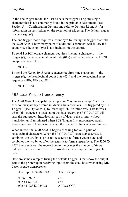In the one-trigger mode, the user selects the trigger using any single character that is not commonly found in the printable data stream (see Section 5 — Configuration Options and refer to Options 32 and 34 for information on restrictions on the selection of triggers). The default trigger is a cent sign  $(\phi)$ .

The one-trigger mode requires a count byte following the trigger that tells the 3270 X/ACT how many pairs of additional characters will follow the count byte (the count byte is not included in the count).

To send 1 ASCII escape character requires five input characters — the trigger  $(\phi)$ , the hexadecimal count byte  $(01h)$  and the hexadecimal ASCII escape character (1Bh):

¢011B

To send the Xerox  $4045$  reset sequence requires nine characters — the trigger  $(\phi)$ , the hexadecimal count byte (03h) and the hexadecimal reset sequence (1Bh, 2Bh and 58h):

¢031B2B58

#### MD-Laser Pseudo Transparency

The  $3270$  X/ACT is capable of supporting "continuous escape," a form of pseudo transparency offered in Maersk Data products. It is triggered by SCS Trigger 1 (see Option #34) followed by C2h. If Option #55 is set to "Yes," when this sequence is detected in the data stream, the 3270 X/ACT will pass the subsequent hexadecimal pairs of data to the printer without translation until terminated when SCS Trigger 1 is encountered again. Spaces and control codes in between the Trigger 1 characters are ignored.

When in use, the 3270 X/ACT begins checking for valid pairs of hexadecimal characters. When the 3270 X/ACT detects an asterisk, it combines the two bytes prior to the asterisk to form a count byte, and it combines the two bytes after the asterisk to form a repeat byte. The 3270 X/ ACT then sends out the repeat byte to the printer the number of times indicated by the count byte. This provides some compression of graphic data.

Here are some examples (using the default Trigger 1) that show the output sent to the printer upon receiving input from the coax host when using MD-Laser pseudo transparency:

| Host Input to 3270 X/ACT            | <b>ASCII Output</b> |
|-------------------------------------|---------------------|
| $\mathcal{C}$ 2616263 $\mathcal{C}$ | abc                 |
| $\&C2616263$                        | abc                 |
| ¢C2 41 02*42 05*43¢                 | ABBCCCCC            |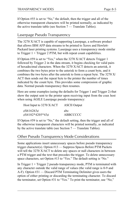If Option  $#55$  is set to "No," the default, then the trigger and all of the otherwise transparent characters will be printed normally, as indicated by the active translate table (see Section  $7 -$  Translate Tables).

#### Laserpage Pseudo Transparency

The 3270 X/ACT is capable of supporting Laserpage, a software product that allows IBM AFP data streams to be printed to Xerox and Hewlett-Packard laser printing systems. Laserpage uses a transparency mode similar to Trigger 1 + Trigger 2 PTM, but with repeat count capabilities.

If Option  $#59$  is set to "Yes," when the 3270 X/ACT detects Trigger 1 followed by Trigger 2 in the data stream, it begins checking for valid pairs of hexadecimal characters. When the 3270 X/ACT detects an asterisk, it combines the two bytes prior to the asterisk to form a count byte, and it combines the two bytes after the asterisk to form a repeat byte. The 3270 X/ ACT then sends out the repeat byte to the printer the number of times indicated by the count byte. This provides some compression of graphic data. Normal pseudo transparency then resumes.

Here are some examples (using the defaults for Trigger 1 and Trigger 2) that show the output sent to the printer upon receiving input from the coax host when using AGILE Laserpage pseudo transparency:

| Host Input to 3270 X/ACT | <b>ASCII Output</b> |
|--------------------------|---------------------|
| $\&$616263¢$             | abc                 |
| $\&$ \$4102*4205*43¢     | ABBCCCCC            |

If Option  $#59$  is set to "No," the default setting, then the trigger and all of the otherwise transparent characters will be printed normally, as indicated by the active translate table (see Section  $7 -$  Translate Tables).

#### Other Pseudo Transparency Mode Considerations

Some applications insert unnecessary spaces before pseudo transparency trigger character(s). Option  $#13$  — Suppress Spaces Before PTM Packets will tell the 3270 X/ACT to delete any spaces or null characters in between a PTM trigger and the text that precedes the trigger. To delete unnecessary space characters, set Option #13 to "Yes." The default setting is "No."

In Trigger  $1 +$  Trigger 2 pseudo transparency mode, PTM is terminated with any character outside the valid range of values (the valid range is 0-9 and A-F). Option #31 — Discard PTM Terminating Delimiter gives users the option of either printing or discarding the terminating character. To discard the terminator, set Option #31 to "Yes." To print the terminator, use "No,"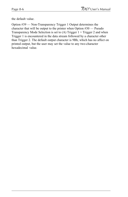the default value.

Option #39 - Non-Transparency Trigger 1 Output determines the character that will be output to the printer when Option  $#30$  - Pseudo Transparency Mode Selection is set to (A) Trigger 1 + Trigger 2 and when Trigger 1 is encountered in the data stream followed by a character other than Trigger 2. The default output character is 9Bh, which has no affect on printed output, but the user may set the value to any two-character hexadecimal value.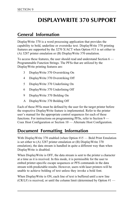# **DISPLAYWRITE 370 SUPPORT**

### **General Information**

DisplayWrite 370 is a word processing application that provides the capability to bold, underline or overstrike text. DisplayWrite 370 printing features are supported by the 3270 X/ACT when Option #15 is set either to (A) 3287 printer emulation or (B) DisplayWrite 370 emulation.

To access these features, the user should read and understand Section 6 Programmable Function Strings. The PFSs that are utilized by the DisplayWrite printing features are:

- 3 DisplayWrite 370 Overstriking On
- 4 DisplayWrite 370 Overstriking Off
- 5 DisplayWrite 370 Underlining On
- 6 DisplayWrite 370 Underlining Off
- 9 DisplayWrite 370 Bolding On
- A DisplayWrite 370 Bolding Off

Each of these PFSs must be defined by the user for the target printer before the respective DisplayWrite feature is implemented. Refer to the printer user's manual for the appropriate control sequences for each of these functions. For instructions on programming PFSs, refer to Section 9 Coax Host Configuration or Section 10 - Alternate Host Configuration.

## **Document Formatting Information**

With DisplayWrite 370 enabled (when Option  $#15$  — Bold Print Emulation is set either to (A) 3287 printer emulation or (B) DisplayWrite 370 emulation), the data stream is handled in quite a different way than when DisplayWrite is disabled.

When DisplayWrite is OFF, the data stream is sent to the printer a character at a time as it is received. In this mode, it is permissible for the user to embed printer-specific escape sequences or PFS commands in the data stream with predictable results. However, users with laser printers will be unable to achieve bolding of text unless they invoke a bold font.

When DisplayWrite is ON, each line of text is buffered until a new line  $(CR/LF)$  is received, or until the column limit (determined by Option #1 —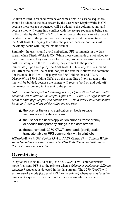Column Width) is reached, whichever comes first. No escape sequences should be added to the data stream by the user when DisplayWrite is ON, because these escape sequences will be added to the column count, and because they will come into conflict with the escape sequences being sent to the printer by the 3270 X/ACT. In other words, the user cannot expect to be able to control the printer with escape sequences at the same time that the 3270 X/ACT is trying to control the printer, because conflicts will inevitably occur with unpredictable results.

Similarly, the user should avoid embedding PFS commands in the data stream when DisplayWrite is ON. While these commands are not added to the column count, they can cause formatting problems because they are not buffered along with the text. Rather, they are sent to the printer immediately upon receipt by the 3270 X/ACT. Thus, any PFS command will affect the entire line of text, not just the text that follows the command. For instance, if PFS 9 — DisplayWrite 370 Bolding On and PFS A — DisplayWrite 370 Bolding Off are on the same line of text, no text in the line will be bolded, because the printer will receive bold on and bold off commands before any text is sent to the printer.

Note: To avoid unexpected formatting results, Option  $#1 -$ Column Width should be set to infinite line length, Option  $\#2$  — Lines Per Page should be set to infinite page length, and Option  $#15$  - Bold Print Emulation should be set to  $C$  (none) if any of the following are true:

- $\triangle$  the user or the user's application embeds escape sequences in the data stream
- $\triangle$  the user or the user's application embeds transparency or pseudo transparency strings in the data stream
- $\triangle$  the user embeds 3270 X/ACT commands (configuration, translate table or PFS commands) within print jobs.

If DisplayWrite is ON (Option 15-A or 15-B), Option  $\#1$  — Column Width should be set to a non-zero value. The 3270 X/ACT will not buffer more than 255 characters per line.

# **Overstriking**

If Option #15 is set to (A) or (B), the 3270 X/ACT will enter overstrike mode (i.e., send PFS 3 to the printer) when a *[character-backspace-different* character] sequence is detected in the data stream. The 3270 X/ACT will exit overstrike mode (i.e., send PFS 4 to the printer) whenever a *[character*character] sequence is detected in the data stream while in overstrike mode.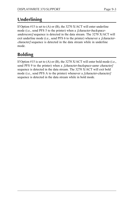# **Underlining**

If Option  $#15$  is set to (A) or (B), the 3270 X/ACT will enter underline mode (i.e., send PFS 5 to the printer) when a [character-backspaceunderscore] sequence is detected in the data stream. The 3270 X/ACT will exit underline mode (i.e., send PFS 6 to the printer) whenever a [charactercharacter] sequence is detected in the data stream while in underline mode.

# **Bolding**

If Option  $\#15$  is set to (A) or (B), the 3270 X/ACT will enter bold mode (i.e., send PFS 9 to the printer) when a *[character-backspace-same character]* sequence is detected in the data stream. The 3270 X/ACT will exit bold mode (i.e., send PFS A to the printer) whenever a *[character-character]* sequence is detected in the data stream while in bold mode.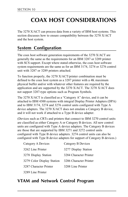# **COAX HOST CONSIDERATIONS**

The 3270 X/ACT can process data from a variety of IBM host systems. This section discusses how to ensure compatibility between the 3270 X/ACT and the host system.

# **System Configuration**

The coax host software generation requirements of the 3270 X/ACT are generally the same as the requirements for an IBM 3287 or 3289 printer with SCS support. Except where stated otherwise, the coax host software system requirements are the same as for an IBM 3174, 3274 or 3276 control unit with 3287 or 3289 printers attached.

To function properly, the 3270 X/ACT/printer combination must be defined to the coax host system as a 3287 printer with a 4K maximum physical buffer and/or with whatever other features are required by the application and are supported by the 3270 X/ACT. The 3270 X/ACT does not support 3287-type options such as Program Symbols.

The  $3270$  X/ACT is classified as a "Category A" device, and it can be attached to IBM 4300 systems with integral Display Printer Adapters (DPA) and to IBM 3174, 3274 and 3276 control units configured with Type A device adapters. The 3270 X/ACT does not emulate a Category B device, and it will not work if attached to a Type B device adapter.

(Devices such as CRTs and printers that connect to IBM 3270 control units are classified as either Category A or Category B devices. All new control units are configured with Type A device adapters. The Category B devices are those that are supported by IBM 3271 and 3272 control units configured with Type B device adapters. 3274 control units can also be configured with Type B device adapters for support of Category B devices.)

| Category A Devices         | Category B Devices     |
|----------------------------|------------------------|
| 3262 Line Printer          | 3277 Display Station   |
| 3278 Display Station       | 3284 Character Printer |
| 3279 Color Display Station | 3286 Character Printer |
| 3287 Character Printer     | 3288 Line Printer      |
| 3289 Line Printer          |                        |

### **VTAM and Network Control Program**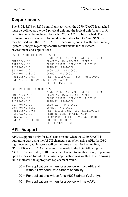### **Requirements**

The 3174, 3274 or 3276 control unit to which the 3270 X/ACT is attached must be defined as a type 2 physical unit and the logical unit (type 1 or 3) definition must be included for each 3270 X/ACT to be attached. The following is an example of log mode entry tables for DSC and SCS that may be used with the 3270 X/ACT. If necessary, consult with the Company System Manager regarding specific requirements for the system, environment and applications.

```
DSC2K MODEENTLOGMODE=DSC2K
                  BIND USED FOR APPLICATION SESSIONS
FMPROF=X'03' FUNCTION MANAGEMENT PROFILE
TSPROF=X03 TRANSMISSION SERVICES PROFILE
PRIPROT=X'B1' PRIMARY PROTOCOL
SECPROT=X'90' SECONDARY PROTOCOL
COMPROT=X'3080' COMMON PROTOCOL
RUSIZES=X'8787' PRI RUSIZE=1024, SEC RUSIZE=1024
PSERVIC=X'030000000000185018507F00'
                  LU SERVICES PROFILE
SCS MODEENT LOGMODE=SCS
                  BIND USED FOR APPLICATION SESSIONS
FMPROF=X'03' FUNCTION MANAGEMENT PROFILE
TSPROF=X'03' TRANSMISSION SERVICES PROFILE
PRIPROT=X'B1' PRIMARY PROTOCOL
SECPROT=X'90' SECONDARY PROTOCOL
COMPROT=X'3080' COMMON PROTOCOL
RUSIZES=X'87C6' PRI RUSIZE-768, SEC RUSIZE=1024
PSNDPAC=X'01' PRIMARY SEND PACING COUNT
SRCVPAC=X'01' SECONDARY RECEIVE PACING COUNT
PSERVIC=X01000000E100000000000000
                  LU SERVICES PROFILE
```
## **APL Support**

APL is supported only for DSC data streams when the 3270 X/ACT is outputting data using the ASCII character set. When using APL, the DSC log mode entry table above will be the same except for the last line, "PSERVIC= $X'$ ... ." A change must be made to the byte following the " $X'03$ ." The second byte  $(00)$  must be changed to another value, depending upon the device for which the user's application was written. The following table indicates the appropriate replacement value.

- 00 = For applications written for a device with old APL and without Extended Data Stream capability.
- 20 = For applications written for a VSCS printer (VM only).
- 40 = For applications written for a device with new APL.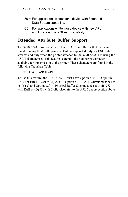- 80 = For applications written for a device with Extended Data Stream capability.
- C0 = For applications written for a device with new APL and Extended Data Stream capability.

# **Extended Attribute Buffer Support**

The 3270 X/ACT supports the Extended Attribute Buffer (EAB) feature found in many IBM 3287 printers. EAB is supported only for DSC data streams and only when the printer attached to the 3270 X/ACT is using the ASCII character set. This feature "extends" the number of characters available for transmission to the printer. These characters are found in the following Translate Table:

7 DSC to ASCII APL

To use this feature, the 3270 X/ACT must have Option  $#10$  — Output in ASCII or EBCDIC set to  $(A)$  ASCII; Option  $#11$  — APL Output must be set to "Yes;" and Option  $#20$  — Physical Buffer Size must be set to (B) 2K with EAB or (D) 4K with EAB. Also refer to the APL Support section above.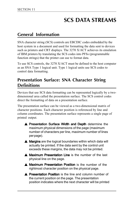# **SCS DATA STREAMS**

### **General Information**

SNA character string (SCS) controls are EBCDIC codes embedded by the host system in a document and used for formatting the data sent to devices such as printers and CRT displays. The 3270 X/ACT achieves its emulation of IBM printers by translating the SCS codes into PFSs (programmable function strings) that the printer can use to format data.

To use SCS controls, the 3270 X/ACT must be defined to the host computer as an SNA Type 1 logical unit. Type 1 logical units use SCS codes to control data formatting.

### **Presentation Surface: SNA Character String Definitions**

Devices that use SCS data formatting can be represented logically by a twodimensional area called the presentation surface. The SCS control codes direct the formatting of data on a presentation surface.

The presentation surface can be viewed as a two-dimensional matrix of character positions. Each character position is referenced by line and column coordinates. The presentation surface represents a single page of printed output.

- ▲ Presentation Surface Width and Depth determine the maximum physical dimensions of the page (maximum number of characters per line, maximum number of lines per page).
- $\triangle$  Margins are the logical boundaries within which data will actually be printed. If the data sent by the control unit exceeds these margins, the data may not be printed.
- ▲ Maximum Presentation Line is the number of the last physical line on the page.
- ▲ Maximum Presentation Position is the number of the rightmost character position on the physical page.
- ▲ Presentation Position is the line and column number of the current position on the page. The presentation position indicates where the next character will be printed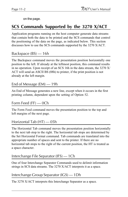on the page.

### **SCS Commands Supported by the 3270 X/ACT**

Application programs running on the host computer generate data streams that contain both the data to be printed and the SCS commands that control the positioning of the data on the page, as indicated below. This section discusses how to use the SCS commands supported by the 3270 X/ACT.

#### Backspace (BS) — 16h

The Backspace command moves the presentation position horizontally one position to the left. If already at the leftmost position, this command results in no operation. Upon receipt of an SCS 16h in the data stream, the 3270 X/ ACT will send an ASCII BS (08h) to printer, if the print position is not already at the left margin.

#### End of Message (EM) — 19h

An End of Message generates a new line, except when it occurs in the first printing column, dependent upon the setting of Option 52.

#### Form Feed (FF) — 0Ch

The Form Feed command moves the presentation position to the top and left margins of the next page.

#### Horizontal Tab (HT) — 05h

The Horizontal Tab command moves the presentation position horizontally to the next tab stop to the right. The horizontal tab stops are determined by the Set Horizontal Format command. Tab commands are translated into the appropriate number of spaces and sent to the printer. If there are no horizontal tab stops to the right of the current position, the HT is treated as a space character.

#### Interchange File Separator (IFS) — 1Ch

One of four Interchange Separator Commands used to delimit information strings in SCS data streams. The 3270 X/ACT interprets it as a space.

#### Interchange Group Separator (IGS) — 1Dh

The 3270 X/ACT interprets this Interchange Separator as a space.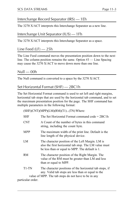### Interchange Record Separator (IRS) — 1Eh

The 3270 X/ACT interprets this Interchange Separator as a new line.

#### Interchange Unit Separator (IUS) — 1Fh

The 3270 X/ACT interprets this Interchange Separator as a space.

#### Line Feed (LF) — 25h

The Line Feed command moves the presentation position down to the next line. The column position remains the same. Option  $#3$  — Line Spacing may cause the 3270 X/ACT to move down more than one line.

#### Null — 00h

The Null command is converted to a space by the 3270 X/ACT.

### Set Horizontal Format (SHF) — 2BC1h

The Set Horizontal Format command is used to set left and right margins, horizontal tab stops that are used by the horizontal tab command, and to set the maximum presentation position for the page. The SHF command has multiple parameters in the following format:

 $(SHF)(CNT)(MPP)(LM)(RM)(T1)...(TN)Where:$ 

| <b>SHF</b> | The Set Horizontal Format command code $= 2BC1h$                                                                                                             |
|------------|--------------------------------------------------------------------------------------------------------------------------------------------------------------|
| <b>CNT</b> | A Count of the number of bytes in this command<br>string, including the count byte.                                                                          |
| MPP        | The maximum width of the print line. Default is the<br>line length of the physical device.                                                                   |
| LM         | The character position of the Left Margin. LM is<br>also the first horizontal tab stop. The LM value must<br>be less than or equal to MPP. The default is 1. |
| RM         | The character position of the Right Margin. The<br>value of the RM must be greater than LM and less<br>than or equal to MPP.                                 |
| $T1-TN$    | The character positions of the horizontal tab stops, if<br>any. Valid tab stops are less than or equal to the                                                |

value of MPP. The tab stops do not have to be in any particular order.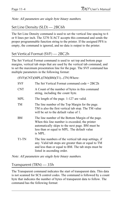Note: All parameters are single byte binary numbers.

#### Set Line Density (SLD) — 2BC6h

The Set Line Density command is used to set the vertical line spacing to 6 or 8 lines per inch. The 3270 X/ACT accepts this command and sends the proper programmable function string to the printer. If the assigned PFS is empty, the command is ignored, and no data is output to the printer.

#### Set Vertical Format (SVF) — 2BC2h

The Set Vertical Format command is used to set top and bottom page margins, vertical tab stops that are used by the vertical tab command, and to set the maximum presentation line for the page. The SVF command has multiple parameters in the following format:

 $(SVF) (CNT) (MPI) (TM) (BM) (T1)...(TN) Where:$ 

| <b>SVF</b> | The Set Vertical Format command code $= 2BC2h$                                                                                                                                                                     |
|------------|--------------------------------------------------------------------------------------------------------------------------------------------------------------------------------------------------------------------|
| <b>CNT</b> | A Count of the number of bytes in this command<br>string, including the count byte.                                                                                                                                |
| <b>MPL</b> | The length of the page. 1-127 are valid.                                                                                                                                                                           |
| TM         | The line number of the Top Margin for the page.<br>TM is also the first vertical tab stop. The TM value<br>will be set to the default value of 1.                                                                  |
| ΒM         | The line number of the Bottom Margin of the page.<br>When this line number is exceeded, the printer<br>automatically skips to the next page. BM must be<br>less than or equal to MPL. The default value<br>is MPL. |
| $T1-TN$    | The line numbers of the vertical tab stop settings, if<br>any. Valid tab stops are greater than or equal to TM<br>and less than or equal to BM. The tab stops must be<br>listed in ascending order.                |

Note: All parameters are single byte binary numbers.

#### Transparent (TRN) — 35h

The Transparent command indicates the start of transparent data. This data is not scanned for SCS control codes. The command is followed by a count byte that indicates the number of bytes of transparent data to follow. The command has the following format: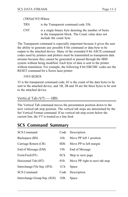#### (TRN)(CNT) Where:

- TRN is the Transparent command code 35h.
- CNT is a single binary byte denoting the number of bytes in the transparent block. The Count value does not include the count byte.

The Transparent command is especially important because it gives the user the ability to generate any possible 8 bit command or data byte to be output to the attached device. Many of the extended 8 bit ASCII command codes used by printers and plotters must be transmitted as transparent data streams because they cannot be generated or passed through the IBM system without being modified. Each byte of data is sent to the printer without translation. For example, the following 8 bit EBCDIC codes are the RESET command for a Xerox laser printer:

#### 35031B2B58

35 is the transparent command code, 03 is the count of the data bytes to be sent to the attached device, and 1B, 2B and 58 are the three bytes to be sent to the attached device.

#### Vertical Tab (VT) — 0Bh

The Vertical Tab command moves the presentation position down to the next vertical tab stop position. The vertical tab stops are determined by the Set Vertical Format command. If no vertical tab stop exists below the current line, the VT is treated as a line feed.

### **SCS Command Summary**

| <b>SCS Command</b>           | Code            | Description                    |
|------------------------------|-----------------|--------------------------------|
| Backspace (BS)               | 16h             | Move PP left 1 position        |
| Carriage Return (CR)         | 0D <sub>h</sub> | Move PP to left margin         |
| End of Message (EM)          | 19h             | End of Message                 |
| Form Feed (FF)               | 0 <sub>Ch</sub> | Skip to next page              |
| Horizontal Tab (HT)          | 05h             | Move PP right to next tab stop |
| Interchange File Sep. (IFS)  | 1Ch             | Space                          |
| <b>SCS Command</b>           | Code            | Description                    |
| Interchange Group Sep. (IGS) | 1Dh             | Space                          |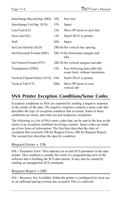| Interchange Record Sep. (IRS) | 1Eh | New line                                                          |
|-------------------------------|-----|-------------------------------------------------------------------|
| Interchange Unit Sep. (IUS)   | 1Fh | Space                                                             |
| Line Feed $(LF)$              | 25h | Move PP down to next line                                         |
| New Line (NL)                 | 15h | Send CR/LF to printer                                             |
| Null                          | 00h | Space                                                             |
| Set Line Density (SLD)        |     | 2BC6h Set vertical line spacing                                   |
| Set Horizontal Format (SHF)   |     | 2BC1h Set horizontal margins and<br>tabs                          |
| Set Vertical Format (SVF)     |     | 2BC2h Set vertical margins and tabs                               |
| Transparency (TRN)            | 35h | Pass following data (after the<br>count byte) without translation |
| Vertical Channel Select (VCS) | 04h | Send CR/LF to printer                                             |
| Vertical Tab (VT)             | 0Bh | Move PP down to next<br>vertical tab                              |

## **SNA Printer Exception Conditions/Sense Codes**

Exception conditions in SNA are reported by sending a negative response to the sender of the data. The negative response contains a sense code that describes the type of exception condition that occurred. Some of these conditions are errors, and some are just temporary exceptions.

The following is a list of SNA sense codes that can be sent to the host as the result of an exception condition involving a printer. Sense codes are made up of two bytes of information. The first byte describes the class of exception that occurred (10h for Request Errors, 08h for Request Reject). The second byte describes the specific condition.

#### Request Errors = 10h

05h = Parameter Error. This indicates an invalid SCS parameter in the data stream. This condition is usually the result of a programming error in the software that is building the SCS data stream. It may also be caused by sending an unsupported SCS command.

#### Request Reject = 08h

 $01h$  = Resource Not Available. Either the printer is configured for local use, or an outbound pacing overrun has occurred. This is a network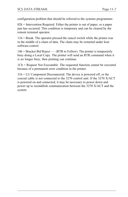configuration problem that should be referred to the systems programmer.

 $02h$  = Intervention Required. Either the printer is out of paper, or a paper jam has occurred. This condition is temporary and can be cleared by the remote terminal operator.

 $11h$  = Break. The operator pressed the cancel switch while the printer was in the middle of a chain of data. The chain may be restarted under host software control.

 $14h =$  Bracket Bid Reject — (RTR to Follow). The printer is temporarily busy doing a Local Copy. The printer will send an RTR command when it is no longer busy, then printing can continue.

1Ch = Request Not Executable. The requested function cannot be executed because of a permanent error condition in the printer.

31h = LU Component Disconnected. The device is powered off, or the coaxial cable is not connected to the 3270 control unit. If the 3270 X/ACT is powered on and connected, it may be necessary to power down and power up to reestablish communication between the 3270 X/ACT and the system.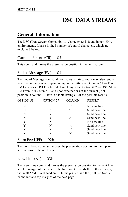# **DSC DATA STREAMS**

### **General Information**

The DSC (Data Stream Compatibility) character set is found in non-SNA environments. It has a limited number of control characters, which are explained below.

#### Carriage Return (CR) — 05h

This command moves the presentation position to the left margin.

#### End of Message (EM) — 01h

The End of Message command terminates printing, and it may also send a new line to the printer, depending upon the setting of Option  $# 51$  — DSC EM Generates CR/LF in Infinite Line Length and Option #57 - DSC NL at EM Even if in Column 1, and upon whether or not the current print position is column 1. Here is a table listing all of the possible results:

| OPTION 51            | <b>OPTION 57</b> | <b>COLUMN</b> | <b>RESULT</b> |
|----------------------|------------------|---------------|---------------|
| N                    | N                |               | No new line   |
| N                    | N                | >1            | Send new line |
| N                    | Y                | 1             | Send new line |
| N                    | Y                | >1            | Send new line |
| Y                    | N                |               | No new line   |
| Y                    | N                | >1            | Send new line |
| Y                    | Y                |               | Send new line |
| Y                    | Y                | >1            | Send new line |
| Form Feed (FF) — 02h |                  |               |               |

The Form Feed command moves the presentation position to the top and left margins of the next page.

New Line  $(NL)$  — 03h

The New Line command moves the presentation position to the next line and left margin of the page. If the line count exceeds the bottom margin, the 3270 X/ACT will send an FF to the printer, and the print position will be the left and top margins of the next page.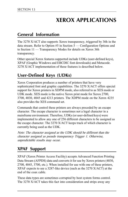# **XEROX APPLICATIONS**

## **General Information**

The 3270 X/ACT also supports Xerox transparency, triggered by 36h in the data stream. Refer to Option  $#5$  in Section  $5$  — Configuration Options and to Section  $11$  — Transparency Modes for details on Xerox 36h transparency.

Other special Xerox features supported include UDKs (user-defined keys), XPAF (Graphic Windows and EBCDIC font downloads) and Metacode. 3270 X/ACT implementation of these features is described below.

## **User-Defined Keys (UDKs)**

Xerox Corporation produces a number of printers that have very sophisticated font and graphic capabilities. The 3270 X/ACT offers special support for Xerox printers in XDPM mode, also referred to as XES mode or UDK mode. XES mode is the native Xerox print mode for Xerox 2700, 3700, 4030, 4045 and 4213 printers. The XDPM mode on the Xerox 4235 also provides the XES command set.

Commands that control these printers are always preceded by an escape character. The escape character is sometimes not a legal character in a mainframe environment. Therefore, UDKs (or user-defined keys) were implemented to allow any one of 256 different characters to be assigned as the escape character. The 3270 X/ACT keeps track of which character is currently being used as the UDK.

Note: The character assigned as the UDK should be different than the character assigned as pseudo transparency Trigger 1. Otherwise, unpredictable results may occur.

## **XPAF Support**

XPAF (Xerox Printer Access Facility) accepts Advanced Function Printing Data Stream (AFPDS) data and converts it for use by Xerox printers (4030, 2700, 4045, 3700, etc.). When installed for use with one of these printers, XPAF expects to see a 3287-like device (such as the 3270 X/ACT) at the end of the coax cable.

These data types are sometimes corrupted by host system forms control. The 3270 X/ACT takes this fact into consideration and strips away any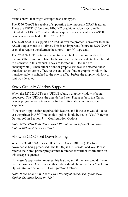forms control that might corrupt these data types.

The 3270 X/ACT is capable of supporting two important XPAF features. These are EBCDIC fonts and EBCDIC graphic windows. Originally intended for EBCDIC printers, these sequences can be sent to an ASCII printer when attached to the 3270 X/ACT.

The 3270 X/ACT's support of XPAF allows the protocol converter to be in ASCII output mode at all times. This is an important feature to 3270 X/ACT users that require the alternate host port(s) for PC-type data.

The 3270 X/ACT contains special translate tables to accommodate this feature. (These are not related to the user-definable translate tables referred to elsewhere in this manual. They are located in ROM and are unchangeable.) When either a font or graphic window is detected, these translate tables are in effect. At the end of the font or graphic window, the translate table is switched to the one in effect before the graphic window or font was detected.

### Xerox Graphic Window Support

When the 3270 X/ACT sees (UDK/Esc)gw, a graphic window is being processed. The (UDK) is the user-defined key. Please refer to the Xerox printer programmer reference for further information on this escape sequence.

If the user's application requires this feature, and if the user would like to use the printer in ASCII mode, this option should be set to "Yes." Refer to Option  $#60$  in Section  $5$  — Configuration Options.

Note: If the 3270 X/ACT is in EBCDIC output mode (see Option #10), Option  $\#60$  must be set to "No."

### Allow EBCDIC Font Downloading

When the 3270 X/ACT sees (UDK/Esc)+A or (UDK/Esc)+F, a font download is being processed. The (UDK) is the user-defined key. Please refer to the Xerox printer programmer reference for further information on this escape sequence.

If the user's application requires this feature, and if the user would like to use the printer in ASCII mode, this option should be set to "Yes." Refer to Option  $#62$  in Section  $5$  — Configuration Options.

Note: If the 3270 X/ACT is in EBCDIC output mode (see Option #10), Option  $#62$  must be set to "No."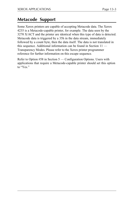## **Metacode Support**

Some Xerox printers are capable of accepting Metacode data. The Xerox 4235 is a Metacode-capable printer, for example. The data seen by the 3270 X/ACT and the printer are identical when this type of data is detected. Metacode data is triggered by a 35h in the data stream, immediately followed by a count byte, then the data itself. The data is not translated in this sequence. Additional information can be found in Section 11 Transparency Modes. Please refer to the Xerox printer programmer reference for further information on this escape sequence.

Refer to Option  $#58$  in Section  $5$  — Configuration Options. Users with applications that require a Metacode-capable printer should set this option to "Yes."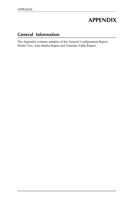# **APPENDIX**

## **General Information**

The Appendix contains samples of the General Configuration Report, Printer Test, Auto Buffer Report and Translate Table Report.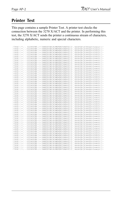## **Printer Test**

This page contains a sample Printer Test. A printer test checks the connection between the 3270 X/ACT and the printer. In performing this test, the 3270 X/ACT sends the printer a continuous stream of characters, including alphabetic, numeric and special characters.

| !"#\$%&'()*+.-. 0123456789::<=>?@ABCDEFGHIJKLMNOPQRSTUVWXYZ[\]^_'abcdefqhijklmnopqrstuvwxyz{  |               |
|-----------------------------------------------------------------------------------------------|---------------|
| !"#\$%&'()*+.-./0123456789::<=>?@ABCDEFGHIJKLMNOPQRSTUVWXYZ[\]^_'abcdefqhijklmnopqrstuvwxyz{  | }∼            |
| !"#\$%&'()*+.-./0123456789::<=>?@ABCDEFGHIJKLMNOPQRSTUVWXYZ[\]^_'abcdefghijklmnopgrstuvwxyz   | $\rightarrow$ |
| !"#\$%&'()*+.-./0123456789::<=>?@ABCDEFGHIJKLMNOPQRSTUVWXYZ[\]^_'abcdefghijklmnopgrstuvwxyz!  | $\rightarrow$ |
| !"#\$%&'()*+,-./0123456789:;<=>?@ABCDEFGHIJKLMNOPQRSTUVWXYZ[\]^_'abcdefghijklmnopqrstuvwxyz   | $\sim$        |
| !"#\$%&'()*+.-./0123456789::<=>?@ABCDEFGHIJKLMNOPQRSTUVWXYZ[\]^_'abcdefghijklmnopgrstuvwxyz   | $\sim$        |
| !"#\$%&'()*+.-./0123456789::<=>?@ABCDEFGHIJKLMNOPQRSTUVWXYZ[\]^_'abcdefghijklmnopgrstuvwxyz   | $\sim$        |
| !"#\$%&'()*+.-./0123456789::<=>?@ABCDEFGHIJKLMNOPQRSTUVWXYZ[\]^_'abcdefghijklmnopgrstuvwxyz!  | $\rightarrow$ |
| !"#\$%&'()*+.-./0123456789:: <= >?@ABCDEFGHIJKLMNOPQRSTUVWXYZ[\]^_'abcdefghijklmnopgrstuvwxyz |               |
| !"#\$%&'()*+,-./0123456789:;<=>?@ABCDEFGHIJKLMNOPQRSTUVWXYZ[\]^_'abcdefghijklmnopqrstuvwxyz{  | $\rightarrow$ |
| !"#\$%&'()*+,-./0123456789:;<=>?@ABCDEFGHIJKLMNOPQRSTUVWXYZ[\]^_'abcdefghijklmnopqrstuvwxyz   | $\sim$        |
| !"#\$%&'()*+.-./0123456789:: <= >?@ABCDEFGHIJKLMNOPQRSTUVWXYZ[\]^_'abcdefghijklmnopgrstuvwxyz | $\rightarrow$ |
| !"#\$%&'()*+.-./0123456789::<=>?@ABCDEFGHIJKLMNOPORSTUVWXYZ[\]^_'abcdefqhijklmnopgrstuvwxyz   | $\rightarrow$ |
| !"#\$%&'()*+.-./0123456789::<=>?@ABCDEFGHIJKLMNOPQRSTUVWXYZ[\]^_'abcdefqhijklmnopqrstuvwxyz{  | $\rightarrow$ |
|                                                                                               | $\sim$        |
| !"#\$%&'()*+,-./0123456789:;<=>?@ABCDEFGHIJKLMNOPQRSTUVWXYZ[\]^_'abcdefghijklmnopqrstuvwxyz   |               |
| !"#\$%&'()*+.-./0123456789::<=>?@ABCDEFGHIJKLMNOPQRSTUVWXYZ[\]^_'abcdefqhijklmnopqrstuvwxyz   | $\rightarrow$ |
| !"#\$%&'()*+.-./0123456789:: <= >?@ABCDEFGHIJKLMNOPQRSTUVWXYZ[\]^_'abcdefghijklmnopgrstuvwxyz | $\sim$        |
| !"#\$%&'()*+,-./0123456789:;<=>?@ABCDEFGHIJKLMNOPQRSTUVWXYZ[\]^_'abcdefghijklmnopqrstuvwxyz{  | $\sim$        |
| !"#\$%&'()*+.-./0123456789::<=>?@ABCDEFGHIJKLMNOPQRSTUVWXYZ[\]^_'abcdefqhijklmnopqrstuvwxyz{  | $\rightarrow$ |
| !"#\$%&'()*+,-./0123456789:;<=>?@ABCDEFGHIJKLMNOPQRSTUVWXYZ[\]^_'abcdefghijklmnopqrstuvwxyz   | $\rightarrow$ |
| !"#\$%&'()*+.-./0123456789::<=>?@ABCDEFGHIJKLMNOPQRSTUVWXYZ[\]^_'abcdefghijklmnopgrstuvwxyz!  | $\sim$        |
| !"#\$%&'()*+.-./0123456789::<=>?@ABCDEFGHIJKLMNOPQRSTUVWXYZ[\]^_'abcdefqhijklmnopqrstuvwxyz{  |               |
| !"#\$%&'()*+,-./0123456789:;<=>?@ABCDEFGHIJKLMNOPQRSTUVWXYZ[\]^_'abcdefghijklmnopqrstuvwxyz{  | $\rightarrow$ |
| !"#\$%&'()*+,-./0123456789:;<=>?@ABCDEFGHIJKLMNOPQRSTUVWXYZ[\]^_'abcdefghijklmnopqrstuvwxyz   | $\sim$        |
| !"#\$%&'()*+.-./0123456789:: <= >?@ABCDEFGHIJKLMNOPQRSTUVWXYZ[\]^_'abcdefghijklmnopgrstuvwxyz | $\rightarrow$ |
| !"#\$%&'()*+.-./0123456789::<=>?@ABCDEFGHIJKLMNOPORSTUVWXYZ[\]^_'abcdefqhijklmnopgrstuvwxyz   | $\rightarrow$ |
| !"#\$%&'()*+.-./0123456789::<=>?@ABCDEFGHIJKLMNOPQRSTUVWXYZ[\]^_'abcdefqhijklmnopqrstuvwxyz{  | $\rightarrow$ |
| !"#\$%&'()*+.-./0123456789::<=>?@ABCDEFGHIJKLMNOPQRSTUVWXYZ[\]^_'abcdefghijklmnopgrstuvwxyz   | $\sim$        |
| !"#\$%&'()*+.-./0123456789::<=>?@ABCDEFGHIJKLMNOPQRSTUVWXYZ[\]^_'abcdefghijklmnopgrstuvwxyz   | $\rightarrow$ |
| !"#\$%&'()*+.-./0123456789:: <= >?@ABCDEFGHIJKLMNOPQRSTUVWXYZ[\]^_'abcdefghijklmnopgrstuvwxyz | $\rightarrow$ |
| !"#\$%&'()*+.-./0123456789::<=>?@ABCDEFGHIJKLMNOPQRSTUVWXYZ[\]^_'abcdefghijklmnopqrstuvwxyz{  | $\sim$        |
|                                                                                               |               |
| !"#\$%&'()*+.-./0123456789::<=>?@ABCDEFGHIJKLMNOPQRSTUVWXYZ[\]^_'abcdefqhijklmnopqrstuvwxyz{  | $\rightarrow$ |
| !"#\$%&'()*+.-./0123456789::<=>?@ABCDEFGHIJKLMNOPQRSTUVWXYZ[\]^_'abcdefqhijklmnopqrstuvwxyz{  | $\rightarrow$ |
| !"#\$%&'()*+.-./0123456789::<=>?@ABCDEFGHIJKLMNOPQRSTUVWXYZ[\]^_'abcdefghijklmnopgrstuvwxyz!  | $\rightarrow$ |
| !"#\$%&'()*+.-./0123456789::<=>?@ABCDEFGHIJKLMNOPQRSTUVWXYZ[\]^_'abcdefqhijklmnopqrstuvwxyz{  |               |
| !"#\$%&'()*+.-./0123456789::<=>?@ABCDEFGHIJKLMNOPQRSTUVWXYZ[\]^_'abcdefghijklmnopqrstuvwxyz{  | $\rightarrow$ |
| !"#\$%&'()*+,-./0123456789:;<=>?@ABCDEFGHIJKLMNOPQRSTUVWXYZ[\]^_'abcdefghijklmnopqrstuvwxyz{  | $\rightarrow$ |
| !"#\$%&'()*+.-./0123456789::<=>?@ABCDEFGHIJKLMNOPQRSTUVWXYZ[\]^_'abcdefghijklmnopgrstuvwxyz   | $\sim$        |
| !"#\$%&'()*+.-./0123456789::<=>?@ABCDEFGHIJKLMN0PORSTUVWXYZ[\]^_'abcdefghijklmnopgrstuvwxyz   | $\sim$        |
| !"#\$%&'()*+.-./0123456789::<=>?@ABCDEFGHIJKLMNOPQRSTUVWXYZ[\]^_'abcdefqhijklmnopqrstuvwxyz{  | $\rightarrow$ |
| !"#\$%&'()*+.-./0123456789::<=>?@ABCDEFGHIJKLMNOPQRSTUVWXYZ[\]^_'abcdefqhijklmnopqrstuvwxyz   | $\rightarrow$ |
| !"#\$%&'()*+.-./0123456789:;<=>?@ABCDEFGHIJKLMNOPQRSTUVWXYZ[\]^_'abcdefghijklmnopqrstuvwxyz   | $\rightarrow$ |
| !"#\$%&'()*+.-./0123456789:: <= >?@ABCDEFGHIJKLMNOPQRSTUVWXYZ[\]^_'abcdefghijklmnopgrstuvwxyz | $\rightarrow$ |
| !"#\$%&'()*+.-./0123456789::<=>?@ABCDEFGHIJKLMNOPQRSTUVWXYZ[\]^_'abcdefghijklmnopqrstuvwxyz{  | $\rightarrow$ |
| !"#\$%&'()*+.-./0123456789::<=>?@ABCDEFGHIJKLMNOPQRSTUVWXYZ[\]^_'abcdefqhijklmnopqrstuvwxyz{  | $\sim$        |
| !"#\$%&'()*+.-./0123456789::<=>?@ABCDEFGHIJKLMNOPQRSTUVWXYZ[\]^_'abcdefghijklmnopgrstuvwxyz   | $\rightarrow$ |
| !"#\$%&'()*+.-./0123456789::<=>?@ABCDEFGHIJKLMNOPORSTUVWXYZ[\]^_'abcdefqhijklmnopqrstuvwxvz!  | $\rightarrow$ |
| !"#\$%&'()*+.-./0123456789::<=>?@ABCDEFGHIJKLMNOPORSTUVWXYZ[\]^_'abcdefqhijklmnopqrstuvwxyz{  |               |
| !"#\$%&'()*+.-./0123456789::<=>?@ABCDEFGHIJKLMNOPQRSTUVWXYZ[\]^_'abcdefqhijklmnopqrstuvwxyz{  | $\rightarrow$ |
|                                                                                               |               |
| !"#\$%&'()*+,-./0123456789:;<=>?@ABCDEFGHIJKLMNOPQRSTUVWXYZ[\]^_'abcdefghijklmnopqrstuvwxyz·  | $\rightarrow$ |
| !"#\$%&'()*+.-./0123456789::<=>?@ABCDEFGHIJKLMNOPQRSTUVWXYZ[\]^_'abcdefghijklmnopqrstuvwxyz!  | $\rightarrow$ |
| !"#\$%&'()*+.-./0123456789::<=>?@ABCDEFGHIJKLMNOPQRSTUVWXYZ[\]^_'abcdefghijklmnopgrstuvwxyz!  | $\sim$        |
| !"#\$%&'()*+.-./0123456789::<=>?@ABCDEFGHIJKLMNOPORSTUVWXYZ[\]^_'abcdefqhijklmnopqrstuvwxvz{  | $\rightarrow$ |
| !"#\$%&'()*+,-./0123456789:;<=>?@ABCDEFGHIJKLMNOPQRSTUVWXYZ[\]^_'abcdefghijklmnopqrstuvwxyz{  |               |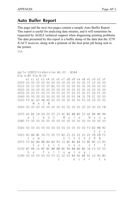## **Auto Buffer Report**

This page and the next two pages contain a sample Auto Buffer Report. This report is useful for analyzing data streams, and it will sometimes be requested by AGILE technical support when diagnosing printing problems. The data presented by this report is a buffer dump of the data that the 3270 X/ACT receives, along with a printout of the host print job being sent to the printer.

SSA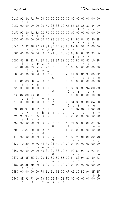| 01A0             | 92                  | 8А                  | 92                  |                 |                 |                     |                   |                      |                      |                |                |                           |                     |                     | F0 00 00 00 00 00 00 00 00 00 00 00 00 |                               |
|------------------|---------------------|---------------------|---------------------|-----------------|-----------------|---------------------|-------------------|----------------------|----------------------|----------------|----------------|---------------------------|---------------------|---------------------|----------------------------------------|-------------------------------|
| 01E0             | S<br>0 <sup>0</sup> | k<br>0 <sub>0</sub> | S<br>0 <sup>0</sup> |                 |                 |                     |                   |                      | 00 00 F0 22 32 00 AE |                | 85             | 85                        | 88                  | 82                  | 84                                     | 10                            |
|                  |                     |                     |                     |                 |                 |                     | $\mathbf{2}$      |                      |                      | 0              | $\mathsf{f}$   | $\mathsf{f}$              | i                   | $\mathsf{C}$        | e                                      |                               |
| 01F0 93          |                     | 80                  | 92                  |                 |                 |                     |                   |                      | 8A 92 F0 00 00 00 00 |                | 0 <sup>0</sup> | 0 <sub>0</sub>            | 0 <sup>0</sup>      | 0 <sub>0</sub>      | 00 <sup>1</sup>                        | 0 <sub>0</sub>                |
|                  | t                   | a                   | S                   | k               | S               |                     |                   |                      |                      |                |                |                           |                     |                     |                                        |                               |
| 0230             | 0 <sub>0</sub>      | 0 <sub>0</sub>      | 0 <sub>0</sub>      | 00              | 0 <sup>0</sup>  | F()                 | 23                |                      | 32 00 A6             |                | 84             | 8D                        | 84                  | 91                  | 80                                     | 8B                            |
|                  |                     |                     |                     |                 |                 |                     | 3                 |                      |                      | G              | e              | n                         | e                   | r                   | a                                      | 1                             |
| 0240             | 10 <sup>°</sup>     | 92                  | 98                  | 92              | 93              | 84                  | 8C                |                      | 10 93                | 80             | 92             | 8A                        | 92                  | F0                  | 00                                     | 00                            |
| 0280             | 00 <sup>°</sup>     | S<br>0 <sup>0</sup> | у<br>0 <sub>0</sub> | S               | t<br>00 00      | е<br>F <sub>0</sub> | m<br>24           |                      | t<br>32 00 A5        | a              | S<br>88        | k<br>8B                   | S<br>84             | 92                  | 33                                     | 10                            |
|                  |                     |                     |                     |                 |                 |                     | 4                 | $\ddot{\phantom{a}}$ |                      | F              | i              | 1                         | e                   | S                   |                                        |                               |
| 0290             | 8B                  | 88                  | 81                  | 91              | 80              | 91                  | 88                | 84                   | 92                   | 33             | 10             | 80                        | 8D                  | 83                  | 10                                     | 85                            |
|                  | 1                   | i                   | b                   | r               | a               | r                   | i                 | e                    | S                    |                |                | a                         | n                   | d                   |                                        | $\mathsf{f}$                  |
| 02A0             | <b>8E</b>           | 8B                  | 83                  | 84              | 91              | 92                  | F <sub>0</sub>    |                      | 00 00                | 0 <sup>0</sup> | 00             | 0 <sub>0</sub>            | 0 <sub>0</sub>      | 00                  | 0 <sub>0</sub>                         | 0 <sub>0</sub>                |
|                  | $\circ$             | ı                   | d                   | e               | r               | S                   |                   |                      |                      |                |                |                           |                     |                     |                                        |                               |
| 02D0             | 0 <sub>0</sub>      | 0 <sub>0</sub>      | 0 <sub>0</sub>      | 0 <sub>0</sub>  | 0 <sub>0</sub>  | F0.                 | 25<br>5           | 32                   | 00 AF                | P              | 91<br>r        | 8F                        | 86                  | 91                  | 80                                     | 8C                            |
| 02F <sub>0</sub> | 8C                  | 88                  | 8D                  | 86              | F <sub>0</sub>  | 0 <sup>0</sup>      | 0 <sup>0</sup>    |                      | 00 00 00             |                | 0 <sub>0</sub> | $\circ$<br>0 <sub>0</sub> | g<br>0 <sub>0</sub> | r<br>0 <sub>0</sub> | a<br>0 <sub>0</sub>                    | $\mathsf m$<br>0 <sub>0</sub> |
|                  | m                   | i                   | n                   | q               |                 |                     |                   |                      |                      |                |                |                           |                     |                     |                                        |                               |
| 0320             | 00                  | 0 <sub>0</sub>      | 0 <sub>0</sub>      |                 | 00 00 F0        |                     | 26                |                      | 32 00 A2             |                | 8E             | 8C                        | 8C                  | 94                  | 8D                                     | 88                            |
|                  |                     |                     |                     |                 |                 |                     | 6                 |                      |                      | C              | $\circ$        | m                         | m                   | u                   | n                                      | i                             |
| 0330             | 82                  | 80                  | 93                  |                 | 88 8E           | 8D                  | 92                |                      | F0 00 00             |                | 0 <sub>0</sub> | 0 <sub>0</sub>            | 0 <sub>0</sub>      | 00                  | 0 <sub>0</sub>                         | 0 <sub>0</sub>                |
|                  | $\mathsf C$         | a                   | t                   | i               | $\circ$         | n                   | S                 |                      |                      |                |                |                           |                     |                     |                                        |                               |
| 0370             | 00 <sup>o</sup>     | 0 <sub>0</sub>      | 0 <sub>0</sub>      | 00              | 0 <sup>0</sup>  | F <sub>0</sub>      | 27<br>7           |                      | 32 00 A3             | D              | -84<br>e       | 85<br>$\mathsf{f}$        | 88<br>i             | 8D<br>n             | 84<br>e                                | 10                            |
| 0380             | 8E                  | 91                  | 10                  | -82             | 87              | 80                  | 8D                | $\ddot{\phantom{a}}$ | 86 84                | 10             | 93             | 87                        | 84                  | 10                  | 92                                     | 98                            |
|                  | $\circ$             | r                   |                     | $\mathsf{C}$    | h               | a                   | n                 | g                    | – e                  |                | t              | h                         | e                   |                     | S                                      | У                             |
| 0390             | 92                  | 93                  | 84                  | 8C              | F <sub>0</sub>  | 00                  | 00                |                      | 00 00 00 00 00       |                |                |                           | 00                  | 00                  | 0 <sub>0</sub>                         | 0 <sub>0</sub>                |
|                  | S                   | t.                  | $\epsilon$          | m               |                 |                     |                   |                      |                      |                |                |                           |                     |                     |                                        |                               |
| 0300             | 0 <sub>0</sub>      | 0 <sub>0</sub>      | 00                  | 0 <sup>0</sup>  | 00              | F0 28               |                   |                      | 32 00 AF             |                | 91             | 8E                        | 81                  | 8B                  | 84                                     | 8C                            |
|                  |                     |                     |                     |                 |                 |                     | 8                 |                      |                      | P              | r              | $\circ$                   | b                   | 1                   | e                                      | m                             |
| 03D0             | 10                  | 87<br>h             | 80<br>a             | 8D<br>n         | 83<br>d         | 8Β<br>1             | 88<br>$\mathbf i$ | 8D<br>n              | 86<br>g              | F <sub>0</sub> | 0 <sup>0</sup> | 0 <sub>0</sub>            | 0 <sup>0</sup>      | 0 <sup>0</sup>      | 0 <sup>0</sup>                         | 0 <sub>0</sub>                |
| 0410             | 0 <sub>0</sub>      | 0 <sub>0</sub>      | 0 <sub>0</sub>      | 0 <sub>0</sub>  | 0 <sub>0</sub>  |                     | F0 29             | 32                   | 00 A3                |                | 88             | 92                        | 8F                  | 8B                  | 80                                     | 98                            |
|                  |                     |                     |                     |                 |                 |                     | 9                 |                      |                      | D              | i              | S                         | p                   | 1                   | a                                      | У                             |
| 0420             | 10                  | 80                  | 10                  | 8C              | 84              | 8D                  | 94                |                      | F0 00 00             |                | 0 <sup>0</sup> | 0 <sup>0</sup>            | 00                  | 0 <sup>0</sup>      | 0 <sub>0</sub>                         | $00 \,$                       |
|                  |                     | a                   |                     | m               | e               | n                   | U                 |                      |                      |                |                |                           |                     |                     |                                        |                               |
| 0460             | 0 <sup>0</sup>      | 0 <sub>0</sub>      | 0 <sub>0</sub>      | 0 <sup>0</sup>  | F0              | 21                  | 20                |                      | 32 00 B4             |                | 92             | 84                        | 91                  | 10                  | 92                                     | 94                            |
|                  |                     |                     |                     |                 |                 | 1                   | $\theta$          | $\ddot{\phantom{a}}$ |                      | U              | S              | e                         | r                   |                     | S                                      | U.                            |
| 0470             | 8F                  | 8F                  | 8E<br>$\circ$       | 91<br>r         | 93<br>t         | 10 <sup>°</sup>     | 80<br>a           | n                    | 8D 83<br>d           | 10 84          | e              | 83<br>d                   | 94<br>U             | 82<br>$\mathsf{C}$  | 80<br>a                                | 93<br>t                       |
| 0480             | p<br>88             | p<br>8E             | 8D                  | F0              | 00 <sup>o</sup> | 00 <sup>o</sup>     | 00                |                      | 00 00 00 00          |                |                | 00 <sup>o</sup>           | 0 <sub>0</sub>      | 0 <sub>0</sub>      | 0 <sub>0</sub>                         | 0 <sub>0</sub>                |
|                  | i                   | $\circ$             | n                   |                 |                 |                     |                   |                      |                      |                |                |                           |                     |                     |                                        |                               |
| 04B0             | 0 <sub>0</sub>      | 0 <sub>0</sub>      | 0 <sub>0</sub>      | 0 <sup>0</sup>  | F0              | 21                  | 21                |                      | 32 00 AF A2          |                |                | 10                        | <b>B2</b>           | 94                  | 8F                                     | 8F                            |
|                  |                     |                     |                     |                 |                 | 1                   | 1                 | $\ddot{\phantom{0}}$ |                      | P              | C              |                           | S                   | U                   | p                                      | p                             |
| 04C0 8F          |                     | 91                  | 93                  | 10 <sup>°</sup> | 93              | 80                  | 92                |                      | 8A 92 FO 00 00 00    |                |                |                           |                     | 0 <sub>0</sub>      | 0 <sub>0</sub>                         | 0 <sub>0</sub>                |
|                  | $\circ$             | r                   | t.                  |                 | t               | a                   | S                 | k                    | S                    |                |                |                           |                     |                     |                                        |                               |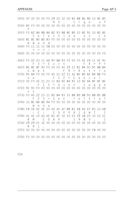#### APPENDIX Page AP-5

| 0550 00 00 00 00 F0 29 20 32 00 B2 88 86 8D 10 8E 85 |         |         |              |                                             |                                        |  |  |  | 90. Sign of |  |                |                |
|------------------------------------------------------|---------|---------|--------------|---------------------------------------------|----------------------------------------|--|--|--|-------------|--|----------------|----------------|
|                                                      | f       |         |              |                                             |                                        |  |  |  |             |  |                |                |
| 05F0 F0 B2 84 8B 84 82 93 88 8E 8D 10 8E 91 10 82 8E |         |         |              |                                             | Selection or co                        |  |  |  |             |  |                |                |
| 0600 8C 8C 80 8D 83 F0 00 00 00 00 00 00 00 00 00 00 |         | $m$ $m$ | $\alpha$     | n d                                         |                                        |  |  |  |             |  |                |                |
| 0640 F0 11 11                                        |         |         |              | $\qquad \qquad = \quad = \quad \Rightarrow$ | 11 08 C0 00 00 00 00 00 00 00 00 00 00 |  |  |  |             |  |                |                |
|                                                      |         |         |              |                                             |                                        |  |  |  |             |  |                |                |
| 06E0 F0 A5 23 11 A4 97 88 93 F0 00 F0 A5 24 11 AF 91 |         |         |              |                                             | $F 3 = E x i t \qquad F 4 = P r$       |  |  |  |             |  |                |                |
| 06F0 8E 8C 8F 93 F0 00 F0 A5 29 11 B1 84 93 91 88 84 | $\circ$ | m       | $\mathsf{p}$ | t t                                         | $F$ 9 = R e t r                        |  |  |  |             |  |                | i e            |
| 0700 95 84 F0 00 F0 A5 21 22 11 A2 80 8D 82 84 8B F0 |         |         |              |                                             | $v e$ F 1 2 = C a                      |  |  |  | n c e       |  | $\overline{1}$ |                |
| 0710 00 F0 A5 21 23 11 B4 92 84 91                   |         |         |              |                                             | $F 1 3 = U s e r s u p p o$            |  |  |  | 10 92 94 8F |  |                | 8F 8F          |
|                                                      |         | r t     |              |                                             |                                        |  |  |  |             |  |                |                |
| 0730 F0 A5 22 23 11 B2 84 93 10 88 8D 88 93 88 80 8B |         | F       | 2            |                                             | $3 = S e t$ initial                    |  |  |  |             |  |                |                |
| 0740 10 8C 84 8D 94 F0 00 00 00 00 00 00 00 00 00 00 |         | m       | e            | n                                           | $\mathsf{u}$                           |  |  |  |             |  |                |                |
| 0780 F8 OD A2 OC 10 A2 AE AF B8 B1 A8 A6 A7 B3 10 A8 |         |         |              |                                             | (C) COPYRIGHT I                        |  |  |  |             |  |                |                |
| 0790 A1 AC 10 A2 AE B1 AF 32 10 21 29 28 20 33 10 21 | B       | M       |              |                                             | C 0 R P . 1 9 8 0 ,                    |  |  |  |             |  |                | $\overline{1}$ |
| 07A0 29 29 21 32 00 00 00 00 00 00 00 00 00 00 00 00 | 9       | - 9     | - 1          |                                             |                                        |  |  |  |             |  |                |                |
|                                                      |         |         |              |                                             |                                        |  |  |  |             |  |                |                |
|                                                      |         |         |              |                                             |                                        |  |  |  |             |  |                |                |

SSA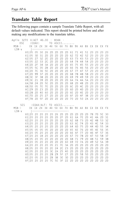### **Translate Table Report**

The following pages contain a sample Translate Table Report, with all default values indicated. This report should be printed before and after making any modifications to the translate tables.

Agile 3270 X/ACT 46.00 - 8344 DSC (COAX) TO ASCII....... MSN-> 0X 1X 2X 3X 4X 5X 6X 7X 8X 9X AX BX CX DX EX FX  $LSN-v$  X0|05 05 30 26 2D 2D 2D 2D 61 71 41 51 20 20 20 20 X1|05 3D 31 2D 2D 2D 2D 2D 62 72 42 52 20 20 20 20 X2|05 27 32 2E 2D 2D 2D 2D 63 73 43 53 20 20 20 20 X3|05 22 33 2C 2D 2D 2D 2D 64 74 44 54 20 20 20 20 X4|2D 2F 34 3A 2D 2D 2D 2D 65 75 45 55 20 20 20 20 X5|05 5C 35 2B 2D 2D 2D 2D 66 76 46 56 20 20 20 20 X6|2D 7C 36 5E 2D 2D 2D 2D 67 77 47 57 20 20 20 20 X7|2D 99 37 2D 2D 2D 2D 2D 68 78 48 58 20 20 20 20 X8|3E 3F 38 2D 2D 2D 2D 2D 69 79 49 59 20 20 20 20 X9|3C 21 39 2D 2D 2D 2D 2D 6A 7A 4A 5A 20 20 20 20 XA|5B 24 2D 5E 2D 2D 2D 2D 6B 2D 4B 2D 20 20 20 20 XB|5D 05 7E 7E 2D 2D 2D 2D 6C 2D 4C 2D 20 20 20 20 XC|29 2D 23 2D 2D 2D 2D 2D 6D 2D 4D 2D 20 20 20 20 XD|28 2D 40 60 2D 2D 2D 2D 6E 2D 4E 2D 20 20 20 20 XE|7D 2D 25 27 2D 2D 2D 2D 6F 2D 4F 3B 20 20 20 20 XF|7B 2D 5F 2D 2D 2D 2D 2D 70 2D 50 2A 20 20 20 20 SCS (COAX/ALT) TO ASCII..... MSN-> 0X 1X 2X 3X 4X 5X 6X 7X 8X 9X AX BX CX DX EX FX  $LSN-v$  X0|20 20 20 20 20 26 2D 2D 2D 2D 2D 2D 7B 7D 5C 30 X1|20 20 20 20 2D 2D 2F 2D 61 6A 7E 2D 41 4A 2D 31 X2|20 20 20 20 2D 2D 2D 2D 62 6B 73 2D 42 4B 53 32 X3|20 20 20 20 2D 2D 2D 2D 63 6C 74 2D 43 4C 54 33 X4|05 20 20 20 2D 2D 2D 2D 64 6D 75 2D 44 4D 55 34 X5|05 05 05 05 2D 2D 2D 2D 65 6E 76 2D 45 4E 56 35 X6|20 05 20 20 2D 2D 2D 2D 66 6F 77 2D 46 4F 57 36 X7|20 20 1B 20 2D 2D 2D 2D 67 70 78 2D 47 50 58 37 X8|05 20 05 20 2D 2D 2D 2D 68 71 79 2D 48 51 59 38 X9|20 05 20 20 2D 2D 2D 60 69 72 7A 2D 49 52 5A 39 XA|20 20 20 20 05 21 7C 3A 2D 2D 2D 2D 2D 2D 2D 2D XB|05 20 05 20 2E 24 2C 23 2D 2D 2D 2D 2D 2D 2D 2D XC|05 20 20 20 3C 2A 25 40 2D 2D 2D 2D 2D 2D 2D 2D XD|05 20 20 20 28 29 5F 27 2D 2D 5B 5D 2D 2D 2D 2D XE|20 05 20 20 2B 3B 3E 3D 2D 2D 2D 2D 2D 2D 2D 2D XF|20 20 20 20 7C 5E 3F 22 2D 2D 2D 2D 2D 2D 2D 2D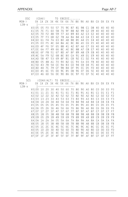| <b>DSC</b>              |                   |                | (COAX)         |                            |           |          |                 | TO EBCDIC                      |                  |           |                      |                      |                        |                 |                      |                      |                      |
|-------------------------|-------------------|----------------|----------------|----------------------------|-----------|----------|-----------------|--------------------------------|------------------|-----------|----------------------|----------------------|------------------------|-----------------|----------------------|----------------------|----------------------|
| $MSN - \geq$<br>$LSN-v$ |                   | 0X<br>$\vert$  |                | 1X 2X 3X 4X 5X 6X 7X 8X 9X |           |          |                 |                                |                  |           |                      | AX                   | BX                     | СX              | DX                   | EX                   | <b>FX</b>            |
|                         | X0 05             |                | 05             | F <sub>0</sub>             | 50        | 57       | 75              | 9E                             | B7               | 81        | 98                   | C <sub>1</sub>       | D <sub>8</sub>         | 40              | 40                   | 40                   | 40                   |
|                         | $X1$   05         |                | 7E             | F1                         | 60        | 58       | 76              | 9 F                            | B <sub>8</sub>   | 82        | 99                   | C <sub>2</sub>       | D <sub>9</sub>         | 40              | 40                   | 40                   | 40                   |
|                         | X2                | 05             | 7D             | F <sub>2</sub>             | 4B        | 59       | 77              | A <sub>0</sub>                 | B <sub>9</sub>   | 83        | A <sub>2</sub>       | C <sub>3</sub>       | E <sub>2</sub>         | 40              | 40                   | 40                   | 40                   |
|                         | X3                | 05             | 7F             | F3                         | 6B        | 62       | 78              | AA                             | BA               | 84        | A3                   | C <sub>4</sub>       | E3                     | 40              | 40                   | 40                   | 40                   |
|                         | X4                | 60             | 61             | F4                         | <b>7A</b> | 63       | 80              | AB                             | <b>BB</b>        | 85        | A4                   | C <sub>5</sub>       | E4                     | 40              | 40                   | 40                   | 40                   |
|                         | X5                | 05             | E <sub>0</sub> | F <sub>5</sub>             | 4E        | 64       | 8A              | AC                             | ВC               | 86        | A <sub>5</sub>       | C <sub>6</sub>       | E <sub>5</sub>         | 40              | 40                   | 40                   | 40                   |
|                         | X6<br>X7          | ED<br>EE       | 4F<br>6A       | F <sub>6</sub><br>F7       | 5F<br>49  | 65<br>66 | <b>8B</b><br>8C | 41<br>AE                       | 42<br>BE         | 87<br>88  | A <sub>6</sub><br>A7 | C <sub>7</sub><br>C8 | E <sub>6</sub><br>E7   | 40<br>40        | 40<br>40             | 40<br>40             | 40<br>40             |
|                         | X8                | 6E             | 6F             | F <sub>8</sub>             | 51        | 67       | 8D              | AF                             | BF               | 89        | A8                   | C <sub>9</sub>       | E <sub>8</sub>         | 40              | 40                   | 40                   | 40                   |
|                         | X9 4C             |                | 5A             | F9                         | 52        | 68       | <b>8E</b>       | B <sub>0</sub>                 | СA               | 91        | A <sub>9</sub>       | D1                   | E9                     | 40              | 40                   | 40                   | 40                   |
|                         | XA   AD           |                | 5 <sub>B</sub> | 47                         | 53        | 69       | 8F              | B1                             | СB               | 92        | E1                   | D <sub>2</sub>       | FA                     | 40              | 40                   | 40                   | 40                   |
|                         | X B               | <b>BD</b>      | 05             | 48                         | A1        | 70       | 90              | B <sub>2</sub>                 | СC               | 93        | EA                   | D <sub>3</sub>       | FB                     | 40              | 40                   | 40                   | 40                   |
|                         | XC I              | 5 <sub>D</sub> | 43             | 7 <sub>B</sub>             | 54        | СE       | <b>9A</b>       | B <sub>3</sub>                 | <b>CD</b>        | 94        | EB                   | D <sub>4</sub>       | FC                     | 40              | 40                   | 40                   | 40                   |
|                         | XD I              | 4D             | 44             | 7 C                        | 79        | СF       | 9 <sub>B</sub>  | <b>B4</b>                      | DF               | 95        | EC                   | D <sub>5</sub>       | <b>FD</b>              | 40              | 40                   | 40                   | 40                   |
|                         | X E               | D <sub>0</sub> | 45             | 6C                         | 55        | DD       | 9C              | <b>B5</b>                      | DB               | 96        | EF                   | D <sub>6</sub>       | 5E                     | 40              | 40                   | 40                   | 40                   |
|                         | XF   CO           |                | 46             | 6D                         | 56        | DE       | 9 <sub>D</sub>  | <b>B6</b>                      | DC               | 97        | FE                   | D7                   | 5C                     | 40              | 40                   | 40                   | 40                   |
|                         |                   |                |                |                            |           |          |                 |                                |                  |           |                      |                      |                        |                 |                      |                      |                      |
| SCS                     |                   |                |                | (COAX/ALT) TO              |           |          |                 |                                |                  |           |                      |                      |                        |                 |                      |                      |                      |
| $MSN - \geq$            |                   |                | 0X 1X 2X       |                            | 3X        |          |                 | EBCDIC<br>4X 5X 6X 7X 8X 9X AX |                  |           |                      |                      | BX                     | СX              | DX.                  | EX                   | <b>FX</b>            |
| $LSN-v$                 |                   | $\overline{ }$ |                |                            |           |          |                 |                                |                  |           |                      |                      |                        |                 |                      |                      |                      |
|                         | X0 00             |                | 10             | 20                         | 30        | 40       | 50              | 60                             | 70               | 80        | 90                   | A0                   | B <sub>0</sub>         | CO              | D <sub>0</sub>       | E0                   | F <sub>0</sub>       |
|                         | X1 01             |                | 11             | 21                         | 31        | 41       | $5\,1$          | 61                             | 71               | 81        | 91                   | A1                   | <b>B1</b>              | C <sub>1</sub>  | D <sub>1</sub>       | E1                   | F1                   |
|                         | X2                | 02             | 12             | 22                         | 32        | 42       | 52              | 62                             | 72               | 82        | 92                   | A2                   | B <sub>2</sub>         | C <sub>2</sub>  | D <sub>2</sub>       | E <sub>2</sub>       | F <sub>2</sub>       |
|                         | X3                | 03             | 13             | 23                         | 33        | 43       | 53              | 63                             | 73               | 83        | 93                   | A3                   | B <sub>3</sub>         | C <sub>3</sub>  | D <sub>3</sub>       | E3                   | F3                   |
|                         | X4                | 04             | 14             | 24                         | 34        | 44       | 54              | 64                             | 74               | 84        | 94                   | A4                   | <b>B4</b>              | C <sub>4</sub>  | D <sub>4</sub>       | E4                   | F4                   |
|                         | X5                | 05             | 05             | 05                         | 05        | 45       | 55              | 65                             | 75               | 85        | 95                   | A <sub>5</sub>       | <b>B5</b>              | C <sub>5</sub>  | D <sub>5</sub>       | E <sub>5</sub>       | F <sub>5</sub>       |
|                         | X6<br>X7          | 06<br>07       | 05<br>17       | 26<br>27                   | 36<br>37  | 46<br>47 | 56<br>57        | 66<br>67                       | 76<br>77         | 86<br>87  | 96<br>97             | A <sub>6</sub><br>A7 | <b>B6</b><br><b>B7</b> | C <sub>6</sub>  | D <sub>6</sub><br>D7 | E <sub>6</sub><br>E7 | F <sub>6</sub><br>F7 |
|                         | X8                | 05             | 18             | 05                         | 38        | 48       | 58              | 68                             | 78               | 88        | 98                   | A8                   | B <sub>8</sub>         | $C$ 7<br>C8     | D <sub>8</sub>       | E8                   | F <sub>8</sub>       |
|                         | X9 09             |                | 05             | 29                         | 39        | 49       | 59              | 69                             | 79               | 89        | 99                   | A <sub>9</sub>       | B <sub>9</sub>         | C <sub>9</sub>  | D <sub>9</sub>       | E <sub>9</sub>       | F9                   |
|                         | XA                | 0A             | 1A             | 2A                         | 3A        | 05       | 5A              | 6A                             | 7A               | <b>8A</b> | <b>9A</b>            | AA                   | BA                     | СA              | DA                   | EA                   | FA                   |
|                         | X B               | 05             | 1B             | 05                         | 3B        | 4B       | 5B              | 6B                             | 7B               | <b>8B</b> | 9 <sub>B</sub>       | AB                   | <b>BB</b>              | C <sub>B</sub>  | DB                   | EB                   | FB                   |
|                         | ХC                | 05             | 1 <sup>C</sup> | 2C                         | 3C        | 4C       | 5C              | 6C                             | 7 C              | 8C        | 9C                   | AC                   | <b>BC</b>              | <b>CC</b>       | DC                   | EC                   | FC                   |
|                         | X D               | 05             | 1 D            | 2D                         | 3D        | 4D       | 5D              | 6D                             | 7D               | 8D        | 9 <sub>D</sub>       | AD                   | <b>BD</b>              | CD              | DD                   | ED                   | FD                   |
|                         | XE I<br>$XF$   OF | 0E             | 05<br>1F       | 2E<br>2F                   | 3E<br>3F  | 4E<br>4F | 5E<br>5F        | 6E<br>6F                       | <b>7E</b><br>7 F | 8E<br>8F  | 9E<br>9F             | AE<br>AF             | BE<br><b>BF</b>        | СE<br><b>CF</b> | DE<br>DF             | EE<br>EF             | FE<br>FF             |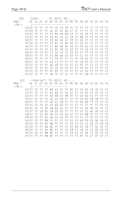| DSC               |                                                                                                                                                                                                          | (COAX)                                                                                       |                                                                                              |                                                                                              | T0                                                                                                                                                                               | ASCII                                                                                                                                                                                      |                                                                                                                                                                 |                                                                                                                                                | APL                                                                                                                                                                              |                                                                                                                                              |                                                                                                                                  |                                                                                                                                                                                                                    |                                                                                                                      |                                                                                                                                  |                                                                                              |                                                                                              |
|-------------------|----------------------------------------------------------------------------------------------------------------------------------------------------------------------------------------------------------|----------------------------------------------------------------------------------------------|----------------------------------------------------------------------------------------------|----------------------------------------------------------------------------------------------|----------------------------------------------------------------------------------------------------------------------------------------------------------------------------------|--------------------------------------------------------------------------------------------------------------------------------------------------------------------------------------------|-----------------------------------------------------------------------------------------------------------------------------------------------------------------|------------------------------------------------------------------------------------------------------------------------------------------------|----------------------------------------------------------------------------------------------------------------------------------------------------------------------------------|----------------------------------------------------------------------------------------------------------------------------------------------|----------------------------------------------------------------------------------------------------------------------------------|--------------------------------------------------------------------------------------------------------------------------------------------------------------------------------------------------------------------|----------------------------------------------------------------------------------------------------------------------|----------------------------------------------------------------------------------------------------------------------------------|----------------------------------------------------------------------------------------------|----------------------------------------------------------------------------------------------|
| $MSN-$<br>$LSN-v$ | 0X                                                                                                                                                                                                       |                                                                                              | 1X 2X                                                                                        |                                                                                              | $3X$ 4X                                                                                                                                                                          |                                                                                                                                                                                            | 5X 6X 7X 8X 9X AX BX CX                                                                                                                                         |                                                                                                                                                |                                                                                                                                                                                  |                                                                                                                                              |                                                                                                                                  |                                                                                                                                                                                                                    |                                                                                                                      | DX                                                                                                                               | EX                                                                                           | FΧ                                                                                           |
|                   | X0 05<br>$X1$   05<br>$X2$   05<br>X3<br>05<br>FF<br>X4<br>X5  <br>05<br>FF<br>X6<br>X7<br>FF<br>X8<br>FF<br>FF<br>Χ9<br>XA   FF<br><b>XBIFF</b><br><b>XCIFF</b><br><b>XDIFF</b><br>$XE$   FF<br>$XF$ FF | FF<br>FF<br>FF<br>FF<br>FF<br>FF<br>FF<br>FF<br>FF<br>FF<br>FF<br>05<br>FF<br>FF<br>FF<br>FF | FF<br>FF<br>FF<br>FF<br>FF<br>FF<br>FF<br>FF<br>FF<br>FF<br>FF<br>FF<br>FF<br>FF<br>FF<br>FF | FF<br>FF<br>FF<br>FF<br>FF<br>FF<br>FF<br>FF<br>FF<br>FF<br>FF<br>FF<br>FF<br>FF<br>FF<br>FF | FF<br>A1<br>E7<br>E <sub>8</sub><br>E <sub>9</sub><br>F <sub>0</sub><br>F1<br>F <sub>2</sub><br>F3<br>F <sub>5</sub><br>F7<br>A <sub>0</sub><br>AD<br>C <sub>2</sub><br>AC<br>5B | AE<br>AF<br>B <sub>0</sub><br><b>B1</b><br>B <sub>2</sub><br>B3<br><b>B4</b><br><b>B6</b><br>5C<br>B <sub>8</sub><br>F <sub>9</sub><br>C <sub>3</sub><br>A <sub>9</sub><br>5D<br>BE<br>7 C | 7D<br>A3<br>A4<br>A <sub>5</sub><br>A6<br>A7<br>A <sub>8</sub><br>F8<br>AA<br>AB<br>FF<br>FF<br>FF<br>FF<br>FF<br>FF                                            | 7B<br>BA<br><b>BB</b><br>CO<br>C <sub>1</sub><br><b>BD</b><br>ВC<br>C <sub>4</sub><br>C <sub>5</sub><br>C6<br>FF<br>FF<br>FF<br>FF<br>F6<br>FF | FC<br>FF<br>C <sub>7</sub><br>C8<br>C <sub>9</sub><br>D <sub>0</sub><br>D <sub>1</sub><br>D <sub>2</sub><br>D <sub>3</sub><br>D <sub>4</sub><br>FF<br>FF<br>FF<br>FF<br>FF<br>FF | FF<br>FF<br>FF<br>FF<br>FF<br>FF<br>FF<br>FF<br>FF<br>FF<br>FF<br>FF<br>FF<br>FF<br>FF<br>FF                                                 | FF<br>FF<br>E6<br>9 <sub>B</sub><br>ED<br>ΕE<br>FB<br>FD<br>EF<br>E1<br>CA<br>C <sub>B</sub><br>5E<br>F4<br>СC<br>CF             | FF<br>FF<br>9E<br>21<br>FF<br>FF<br>DC<br>DD<br>FF<br>FF<br>DE<br>DF<br>FF<br><b>B5</b><br>EA<br>EB                                                                                                                | FF<br>FF<br>FF<br>FF<br>FF<br>FF<br>FF<br>FF<br>FF<br>FF<br>FF<br>FF<br>FF<br>FF<br>FF<br>FF                         | FF<br>FF<br>FF<br>FF<br>FF<br>FF<br>FF<br>FF<br>FF<br>FF<br>FF<br>FF<br>FF<br>FF<br>FF<br>FF                                     | FF<br>FF<br>FF<br>FF<br>FF<br>FF<br>FF<br>FF<br>FF<br>FF<br>FF<br>FF<br>FF<br>FF<br>FF<br>FF | FF<br>FF<br>FF<br>FF<br>FF<br>FF<br>FF<br>FF<br>FF<br>FF<br>FF<br>FF<br>FF<br>FF<br>FF<br>FF |
| SCS<br>$MSN-$     | 0X.                                                                                                                                                                                                      | (COAX/ALT)<br>1 X                                                                            | 2X                                                                                           | 3X                                                                                           | T0<br>4Χ                                                                                                                                                                         | ASCII                                                                                                                                                                                      | 5X 6X 7X 8X 9X                                                                                                                                                  |                                                                                                                                                | APL                                                                                                                                                                              |                                                                                                                                              | AX                                                                                                                               | BX                                                                                                                                                                                                                 | СX                                                                                                                   | DX                                                                                                                               | EX                                                                                           | FX                                                                                           |
| $LSN-v$           | $X0$  FF<br>$X1$   FF<br>$X2$   FF<br>X3<br>FF<br>$X4$   FF<br>X5 05<br>$X6$  FF<br>$X7$   FF<br>FF<br>Х8<br>χ9<br>FF<br>FF<br>XА<br>ΧB<br>05<br>ХC<br>05<br>05<br>XD  <br>XE   FF<br>XFIFF              | FF<br>FF<br>FF<br>FF<br>FF<br>05<br>05<br>FF<br>FF<br>05<br>FE<br>FF<br>FF<br>FF<br>05<br>FF | FF<br>FF<br>FF<br>FF<br>FF<br>05<br>FF<br>1B<br>05<br>FF<br>FF<br>05<br>FF<br>FF<br>FF<br>FF | FF<br>FF<br>FF<br>FF<br>FF<br>05<br>80<br>81<br>82<br>83<br>84<br>85<br>86<br>87<br>88<br>89 | 8A<br>A3<br>A4<br>A <sub>5</sub><br>A6<br>A7<br>A8<br>F8<br>AA<br>AB<br>05<br>8B<br>8C<br>8D<br><b>8E</b><br>8F                                                                  | CE<br>BA<br><b>BB</b><br>CO<br>C <sub>1</sub><br><b>BD</b><br>ВC<br>C <sub>4</sub><br>C <sub>5</sub><br>C <sub>6</sub><br>EC<br>FF<br>FF<br>FF<br>FF<br>F4                                 | FF<br>FF<br>C <sub>7</sub><br>C8<br>C <sub>9</sub><br>D <sub>0</sub><br>D1<br>D <sub>2</sub><br>D <sub>3</sub><br>D4<br>FF<br>FF<br>FF<br>FF<br>FF<br><b>FF</b> | -FF<br>5E<br>9 <sub>B</sub><br>FF<br>FF<br>FF<br>FF<br>FF<br>E4<br>FF<br>FF<br>FF<br>FF<br>FF<br>FF<br>FF                                      | <b>B5</b><br>AF<br>FF<br>FF<br>FF<br>FF<br>FF<br>FF<br>FF<br>FF<br>A1<br>E6<br>E7<br>E <sub>8</sub><br>E9<br>F <sub>0</sub>                                                      | F1<br>FF<br>FF<br>FF<br>FF<br>FF<br>FF<br>FF<br>FF<br>FF<br>F <sub>2</sub><br>F <sub>3</sub><br>90<br>F <sub>5</sub><br>F <sub>6</sub><br>F7 | A <sub>0</sub><br>AF<br>2D<br>E <sub>0</sub><br>6E<br>FF<br>FF<br>FF<br>FF<br>FF<br>AD<br>C <sub>2</sub><br>AC<br>5B<br>AE<br>9F | B <sub>0</sub><br><b>B1</b><br>B <sub>2</sub><br>B <sub>3</sub><br><b>B4</b><br>FF<br><b>B6</b><br>5C<br>B <sub>8</sub><br>FF<br>F <sub>9</sub><br>C <sub>3</sub><br>A <sub>9</sub><br>5 <sub>D</sub><br>BE<br>7 C | 7B<br>FF<br>E <sub>2</sub><br>2B<br>FF<br>FF<br>92<br>AC<br>FF<br>FF<br>СA<br>C <sub>B</sub><br>FF<br>СC<br>FF<br>CF | 7 <sub>D</sub><br>FF<br>FF<br>2B<br>FF<br>FF<br>91<br>A <sub>9</sub><br>FF<br>FF<br>9 <sub>E</sub><br>21<br>DC<br>DD<br>DE<br>DF | FF<br>FF<br>FF<br>FF<br>FF<br>FF<br>FF<br>FF<br>FF<br>FF<br>ΕA<br>EB<br>EC<br>ED<br>EE<br>EF | FF<br>FF<br>FF<br>FF<br>FF<br>FF<br>FF<br>FF<br>FF<br>FF<br>FF<br>FB<br>FC<br>FD<br>E1<br>FF |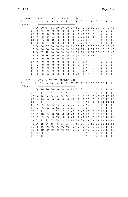|              | EBCDIC FONT DOWNLOAD |                          |                |                      |                |                | TABLE          |                |                  | - DSC.    |                |                      |                        |                                  |                                  |                |                      |
|--------------|----------------------|--------------------------|----------------|----------------------|----------------|----------------|----------------|----------------|------------------|-----------|----------------|----------------------|------------------------|----------------------------------|----------------------------------|----------------|----------------------|
| $MSN-$       |                      | 0X                       | 1X             | 2X                   | $3X$ 4X        |                | 5X 6X          |                |                  | 7X 8X     | 9 X            | ΑX                   | BX                     | C X                              | DX.                              | EX             | <b>FX</b>            |
| $LSN-v$      |                      | $\vert -$                |                |                      |                |                |                |                |                  |           |                |                      |                        |                                  |                                  |                |                      |
|              | X0 00                |                          | 0 <sub>0</sub> | 3F                   | 31             | 0 <sub>0</sub> | 0 <sub>0</sub> | 0 <sub>0</sub> | 0 <sub>0</sub>   | 61        | 71             | 41                   | 51                     | 0 <sup>0</sup>                   | 0 <sub>0</sub>                   | 0 <sub>0</sub> | 0 <sub>0</sub>       |
|              | X1 00                |                          | 7E             | 40                   | 0 <sub>0</sub> | 0 <sub>0</sub> | 0 <sub>0</sub> | 0 <sub>0</sub> | 0 <sub>0</sub>   | 62        | 72             | 42                   | 52                     | 0 <sub>0</sub>                   | 0 <sub>0</sub>                   | 0 <sub>0</sub> | 0 <sub>0</sub>       |
|              | X2                   | 0 <sup>C</sup>           | 0 <sub>0</sub> | 5B                   | 30             | 0 <sub>0</sub> | 0 <sub>0</sub> | 0 <sub>0</sub> | 0 <sub>0</sub>   | 63        | 73             | 43                   | 53                     | 0 <sub>0</sub>                   | 0 <sub>0</sub>                   | 0 <sub>0</sub> | 0 <sub>0</sub>       |
|              | X3                   | 05                       | 0 <sub>0</sub> | 5C                   | 34             | 0 <sup>0</sup> | 0 <sub>0</sub> | 0 <sub>0</sub> | 0 <sup>0</sup>   | 64        | 74             | 44                   | 54                     | 0 <sub>0</sub>                   | 0 <sup>0</sup>                   | 0 <sub>0</sub> | 0 <sub>0</sub>       |
|              | X4                   | 0 <sup>0</sup>           | 33             | 5D                   | 38             | 0 <sub>0</sub> | 0 <sub>0</sub> | 0 <sub>0</sub> | 0 <sub>0</sub>   | 65        | 75             | 45                   | 55                     | 0 <sub>0</sub>                   | 0 <sub>0</sub>                   | 0 <sub>0</sub> | 0 <sub>0</sub>       |
|              | X5                   | 0 <sup>0</sup>           | 0 <sub>0</sub> | 5E                   | 7D             | 0 <sub>0</sub> | 0 <sub>0</sub> | 0 <sub>0</sub> | 0 <sub>0</sub>   | 66        | 76             | 46                   | 56                     | 0 <sub>0</sub>                   | 0 <sub>0</sub>                   | 0 <sub>0</sub> | 0 <sub>0</sub>       |
|              | X6                   | 0 <sup>0</sup>           | 0 <sub>0</sub> | 5F                   | 0 <sub>0</sub> | 0 <sub>0</sub> | 0 <sub>0</sub> | 0 <sub>0</sub> | 0 <sub>0</sub>   | 67        | 77             | 47                   | 57                     | 0 <sub>0</sub>                   | 0 <sub>0</sub>                   | 0 <sub>0</sub> | 0 <sup>0</sup>       |
|              | X7                   | 0 <sub>0</sub>           | 0 <sub>0</sub> | 60                   | 0 <sub>0</sub> | 0 <sub>0</sub> | 0 <sub>0</sub> | 0 <sub>0</sub> | 0 <sub>0</sub>   | 68        | 78             | 48                   | 58                     | 0 <sub>0</sub>                   | 0 <sub>0</sub>                   | 0 <sub>0</sub> | 0 <sub>0</sub>       |
|              | X8                   | 0 <sub>0</sub>           | 37             | 7B                   | 0 <sup>0</sup> | 0 <sub>0</sub> | 0 <sub>0</sub> | 0 <sub>0</sub> | 0 <sup>0</sup>   | 69        | 79             | 49                   | 59                     | 0 <sub>0</sub>                   | 0 <sub>0</sub>                   | 0 <sub>0</sub> | 0 <sub>0</sub>       |
|              | X9                   | 0 <sub>0</sub>           | 0 <sub>0</sub> | 7 C                  | 0 <sub>0</sub> | 0 <sub>0</sub> | 0 <sub>0</sub> | 0 <sub>0</sub> | 0 <sub>0</sub>   | 6A        | <b>7A</b>      | 4A                   | 5A                     | 0 <sub>0</sub>                   | 0 <sub>0</sub>                   | 0 <sub>0</sub> | 0 <sub>0</sub>       |
|              | XA                   | 0 <sup>0</sup>           | 0 <sub>0</sub> | 0 <sub>0</sub>       | 0 <sup>0</sup> | 0 <sub>0</sub> | 0 <sup>0</sup> | 0 <sub>0</sub> | 0 <sup>0</sup>   | 6B        | 0 <sup>0</sup> | 4B                   | 0 <sup>0</sup>         | 0 <sub>0</sub>                   | 0 <sup>0</sup>                   | 0 <sup>0</sup> | 0 <sub>0</sub>       |
|              | XB                   | 0 <sub>0</sub>           | 0 <sub>0</sub> | 0 <sub>0</sub>       | 0 <sub>0</sub> | 0 <sub>0</sub> | 0 <sub>0</sub> | 0 <sub>0</sub> | 0 <sub>0</sub>   | 6C        | 0 <sup>0</sup> | 4C                   | 0 <sub>0</sub>         | 0 <sub>0</sub>                   | 0 <sup>0</sup>                   | 0 <sub>0</sub> | 0 <sub>0</sub>       |
|              | ХC                   | 32                       | 0 <sub>0</sub> | 0 <sup>0</sup>       | 0 <sub>0</sub> | 0 <sup>0</sup> | 0 <sub>0</sub> | 0 <sub>0</sub> | 0 <sup>0</sup>   | 6D        | 0 <sup>0</sup> | 4D                   | 0 <sup>0</sup>         | 0 <sub>0</sub>                   | 0 <sup>0</sup>                   | 0 <sup>0</sup> | 0 <sub>0</sub>       |
|              | X D                  | 39                       | 0 <sub>0</sub> | 0 <sup>0</sup>       | 0 <sub>0</sub> | 0 <sub>0</sub> | 0 <sub>0</sub> | 0 <sub>0</sub> | 0 <sub>0</sub>   | 6E        | 0 <sub>0</sub> | 4E                   | 0 <sub>0</sub>         | 0 <sub>0</sub>                   | 0 <sub>0</sub>                   | 0 <sub>0</sub> | 0 <sub>0</sub>       |
|              | XE                   | 0 <sup>0</sup>           | 0 <sub>0</sub> | 35                   | 0 <sub>0</sub> | 0 <sub>0</sub> | 0 <sub>0</sub> | 0 <sub>0</sub> | 0 <sub>0</sub>   | 6F        | 0 <sub>0</sub> | 4F                   | 0 <sub>0</sub>         | 0 <sub>0</sub>                   | 0 <sub>0</sub>                   | 0 <sub>0</sub> | 0 <sub>0</sub>       |
|              | XF   00              |                          | 0 <sup>0</sup> | 36                   | 0 <sub>0</sub> | 0 <sub>0</sub> | 0 <sub>0</sub> | 0 <sub>0</sub> | 0 <sub>0</sub>   | 70        | 0 <sup>0</sup> | 50                   | 0 <sub>0</sub>         | 0 <sub>0</sub>                   | 0 <sub>0</sub>                   | 0 <sub>0</sub> | 0 <sub>0</sub>       |
|              |                      |                          |                |                      |                |                |                |                |                  |           |                |                      |                        |                                  |                                  |                |                      |
|              |                      |                          |                |                      |                |                |                |                |                  |           |                |                      |                        |                                  |                                  |                |                      |
| SCS          |                      |                          |                | (COAX/ALT) TO EBCDIC |                |                |                |                |                  | APL       |                |                      |                        |                                  |                                  |                |                      |
| $MSN - \geq$ |                      |                          | 0X 1X 2X       |                      | 3X             | 4X             | 5X 6X          |                |                  | 7X 8X 9X  |                | ΑX                   | BX                     | СX                               | DX.                              | EX             | <b>FX</b>            |
| $LSN-v$      |                      | $\overline{\phantom{a}}$ |                |                      |                |                |                |                |                  |           |                |                      |                        |                                  |                                  |                |                      |
|              | X0 00                |                          | 10             | 20                   | 30             | 40             | 50             | 60             | 70               | 80        | 90             | A <sub>0</sub>       | B <sub>0</sub>         | CO                               | D <sub>0</sub>                   | E0             | F <sub>0</sub>       |
|              | X1 01                |                          | 11             | 21                   | 31             | 41             | 51             | 61             | 71               | 81        | 91             | A1                   | <b>B1</b>              | C <sub>1</sub>                   | D1                               | E1             | F1                   |
|              | X2<br>X3             | 02<br>03                 | 12<br>13       | 22<br>23             | 32<br>33       | 42<br>43       | 52<br>53       | 62<br>63       | 72<br>73         | 82<br>83  | 92<br>93       | A <sub>2</sub><br>A3 | B <sub>2</sub>         | C <sub>2</sub><br>C <sub>3</sub> | D <sub>2</sub><br>D <sub>3</sub> | E2<br>E3       | F <sub>2</sub><br>F3 |
|              | X4                   | 04                       | 14             | 24                   | 34             | 44             | 54             | 64             | 74               | 84        | 94             | A4                   | B3<br><b>B4</b>        | C <sub>4</sub>                   | D <sub>4</sub>                   | E4             | F4                   |
|              | X5                   | 05                       | 05             | 05                   | 05             | 45             | 55             | 65             | 75               | 85        | 95             | A <sub>5</sub>       | <b>B5</b>              | C <sub>5</sub>                   | D <sub>5</sub>                   | E <sub>5</sub> | F <sub>5</sub>       |
|              | X6                   | 06                       | 05             | 26                   | 36             | 46             | 56             | 66             | 76               | 86        | 96             | A <sub>6</sub>       | <b>B6</b>              | C <sub>6</sub>                   | D <sub>6</sub>                   | E <sub>6</sub> | F <sub>6</sub>       |
|              | X7                   | 07                       | 17             | 27                   | 37             | 47             | 57             | 67             | 77               | 87        | 97             | A7                   | B7                     | C <sub>7</sub>                   | D7                               | E7             | F7                   |
|              | X8                   | 05                       | 18             | 05                   | 38             | 48             | 58             | 68             | 78               | 88        | 98             | A <sub>8</sub>       | B <sub>8</sub>         | C8                               | D <sub>8</sub>                   | E8             | F <sub>8</sub>       |
|              | X9                   | 09                       | 05             | 29                   | 39             | 49             | 59             | 69             | 79               | 89        | 99             | A <sub>9</sub>       | B <sub>9</sub>         | C <sub>9</sub>                   | D <sub>9</sub>                   | E <sub>9</sub> | F9                   |
|              | XA                   | 0A                       | 1A             | 2A                   | 3A             | 05             | 5A             | 6A             | 7A               | 8A        | <b>9A</b>      | AA                   | BA                     | СA                               | DA                               | ΕA             | FA                   |
|              | XB                   | 05                       | 1B             | 05                   | 3B             | 4B             | 5 <sub>B</sub> | 6B             | 7B               | <b>8B</b> | 9 <sub>B</sub> | AB                   | <b>BB</b>              | CB                               | DB                               | EB             | FB                   |
|              | ХC                   | 05                       | 1C             | 2C                   | 3C             | 4C             | 5C             | 6C             | 7 C              | 8C        | 9C             | AC                   | BC                     | СC                               | DC                               | EC             | FC                   |
|              | ΧD                   | 05                       | 1 D            | 2D                   | 3D             | 4D             | 5D             | 6D             | 7D               | 8D        | 9 <sub>D</sub> | AD                   | <b>BD</b>              | CD                               | DD                               | ED             | FD                   |
|              | XE I<br>XF   OF      | 0E                       | 05<br>1F       | 2E<br>2F             | 3E<br>3F       | 4E<br>4F       | 5E<br>5F       | 6E<br>6F       | <b>7E</b><br>7 F | 8E<br>8F  | 9E<br>9F       | AE<br>AF             | <b>BE</b><br><b>BF</b> | СE<br><b>CF</b>                  | DE<br>DF                         | ΕE<br>ΕF       | FE<br>FF             |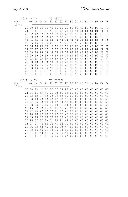| ASCII           |                | (ALT)            |          |           |                      | T0                               |                      |          |                      | $ASCII$                  |                |                |                             |                                  |                                  |                |                |
|-----------------|----------------|------------------|----------|-----------|----------------------|----------------------------------|----------------------|----------|----------------------|--------------------------|----------------|----------------|-----------------------------|----------------------------------|----------------------------------|----------------|----------------|
| $MSN-$          |                | 0X               |          | 1X 2X     |                      | 3X 4X                            |                      |          |                      | 5X 6X 7X 8X 9X AX BX CX  |                |                |                             |                                  | DX                               | EX             | <b>FX</b>      |
| $LSN-v$         |                |                  |          |           |                      |                                  |                      |          |                      |                          |                |                |                             |                                  |                                  |                |                |
|                 | X0 00          |                  | 10       | 20        | $30\,$               | 40                               | 50                   | 60       |                      | 70 80                    | 90             | A <sub>0</sub> | B <sub>0</sub>              | CO                               | D <sub>0</sub>                   | E0             | F <sub>0</sub> |
|                 | $X1$   01      |                  | 11       | 21        | 31                   | 41                               | $5\,1$               | 61       | 71                   | 81                       | 91             | A1             | <b>B1</b>                   | C <sub>1</sub>                   | D1                               | E1             | F1             |
|                 | X2 02          |                  | 12       | 22        | 32                   | 42                               | 52                   | 62       | 72                   | 82                       | 92             | A <sub>2</sub> | B <sub>2</sub>              | C <sub>2</sub>                   | D <sub>2</sub>                   | E <sub>2</sub> | F <sub>2</sub> |
|                 | X31<br>Χ4      | 03<br>04         | 13<br>14 | 23<br>24  | 33<br>34             | 43<br>44                         | 53<br>54             | 63<br>64 | 73<br>74             | 83<br>84                 | 93<br>94       | A3<br>AA       | B <sub>3</sub><br><b>B4</b> | C <sub>3</sub><br>C <sub>4</sub> | D <sub>3</sub><br>D <sub>4</sub> | E3<br>E4       | F3<br>F4       |
|                 | X5             | 05               | 15       | 25        | 35                   | 45                               | 55                   | 65       | 75                   | 85                       | 95             | A <sub>5</sub> | <b>B5</b>                   | C <sub>5</sub>                   | D <sub>5</sub>                   | E <sub>5</sub> | F <sub>5</sub> |
|                 | X6             | 06               | 16       | 26        | 36                   | 46                               | 56                   | 66       | 76                   | 86                       | 96             | A6             | B <sub>6</sub>              | C <sub>6</sub>                   | D <sub>6</sub>                   | E6             | F <sub>6</sub> |
|                 | X7             | 07               | 17       | 27        | 37                   | 47                               | 57                   | 67       | 77                   | 87                       | 97             | A7             | <b>B7</b>                   | C7                               | D7                               | E7             | F7             |
|                 | X8             | 08               | 18       | 28        | 38                   | 48                               | 58                   | 68       | 78                   | 88                       | 98             | A8             | B <sub>8</sub>              | C8                               | D <sub>8</sub>                   | E8             | F <sub>8</sub> |
|                 | X9             | 09               | 19       | 29        | 39                   | 49                               | 59                   | 69       | 79                   | 89                       | 99             | A <sub>9</sub> | B <sub>9</sub>              | C <sub>9</sub>                   | D <sub>9</sub>                   | E9             | F9             |
|                 | XA             | 0A               | 1 A      | 2A        | 3A                   | 4A                               | 5A                   | 6A       | 7A                   | 8A                       | 9A             | AA             | BA                          | CA                               | DA                               | ΕA             | FA             |
|                 | X B            | 0B               | 1B       | 2B        | 3B                   | 4B                               | 5B                   | 6B       | 7B                   | <b>8B</b>                | 9 <sub>B</sub> | AB             | <b>BB</b>                   | C <sub>B</sub>                   | DB                               | EB             | FB             |
|                 | $XC$   $OC$    |                  | 1C       | 2C        | 3C                   | 4C                               | 5C                   | 6C       | 7 C                  | 8C                       | 9C             | AC             | ВC                          | <b>CC</b>                        | DC                               | EC             | FC             |
|                 | XD I           | OD               | 1D       | 2D        | 3D                   | 4D                               | 5D                   | 6D       | 7D                   | 8D                       | 9 <sub>D</sub> | AD             | <b>BD</b>                   | CD                               | <b>DD</b>                        | ED             | FD             |
|                 | X E            | 0E               | 1E       | 2E        | 3E                   | 4E                               | 5E                   | 6E       | <b>7E</b>            | 8E                       | 9E             | AE             | BE                          | CE                               | DE                               | EE             | FE             |
|                 | XF   OF        |                  | 1F       | 2F        | 3F                   | 4F                               | 5F                   | 6F       |                      | 7F 8F                    | 9F             | AF             | <b>BF</b>                   | <b>CF</b>                        | DF                               | ΕF             | FF             |
|                 |                |                  |          |           |                      |                                  |                      |          |                      |                          |                |                |                             |                                  |                                  |                |                |
|                 |                |                  |          |           |                      |                                  |                      |          |                      |                          |                |                |                             |                                  |                                  |                |                |
| ASCII<br>$MSN-$ |                | (ALT)<br>$0X$ 1X |          | 2 X       | 3X                   | T0<br>4 X                        |                      |          |                      | EBCDIC<br>5X 6X 7X 8X 9X |                | AX             | BX                          | СX                               | DX                               | EX             | <b>FX</b>      |
| $LSN-v$         |                |                  |          |           |                      |                                  |                      |          |                      |                          |                |                |                             |                                  |                                  |                |                |
|                 | X0 00          |                  | 10       | 40        | F <sub>0</sub>       | 7 C                              | D7                   | 79       | 97                   | 60                       | 60             | 60             | 60                          | 60                               | 60                               | 60             | 60             |
|                 | $X1$   01      |                  | 11       | 5A        | F1                   | C <sub>1</sub>                   | D <sub>8</sub>       | 81       | 98                   | 60                       | 60             | 60             | 60                          | 60                               | 60                               | 60             | 60             |
|                 | X2             | 02               | 12       | <b>7F</b> | F <sub>2</sub>       | C <sub>2</sub>                   | D <sub>9</sub>       | 82       | 99                   | 60                       | 60             | 60             | 60                          | 60                               | 60                               | 60             | 60             |
|                 | X31            | 03               | 13       | 7B        | F3                   | C <sub>3</sub>                   | E <sub>2</sub>       | 83       | A <sub>2</sub>       | 60                       | 60             | 60             | 60                          | 60                               | 60                               | 60             | 60             |
|                 | Χ4             | 37               | 3C       | 5B        | F4                   | C <sub>4</sub>                   | E3                   | 84       | A3                   | 60                       | 60             | 60             | 60                          | 60                               | 60                               | 60             | 60             |
|                 | X5             | 2D               | 3D       | 6C        | F <sub>5</sub>       | C <sub>5</sub>                   | E4                   | 85       | A4                   | 60                       | 60             | 60             | 60                          | 60                               | 60                               | 60             | 60             |
|                 | X6             | 15               | 32       | 50        | F6                   | C <sub>6</sub>                   | E <sub>5</sub>       | 86       | A <sub>5</sub>       | 60                       | 60             | 60             | 60                          | 60                               | 60                               | 60             | 60             |
|                 | X7             | 2F               | 26       | 7D        | F7                   | C7                               | E <sub>6</sub>       | 87       | A6                   | 60                       | 60             | 60             | 60                          | 60                               | 60                               | 60             | 60             |
|                 | X8<br>X9       | 16<br>05         | 18<br>19 | 4D<br>5D  | F <sub>8</sub><br>F9 | C8<br>C <sub>9</sub>             | E7                   | 88       | A7                   | 60<br>60                 | 60<br>60       | 60<br>60       | 60<br>60                    | 60<br>60                         | 60<br>60                         | 60<br>60       | 60             |
|                 | XА             | 25               | 3F       | 5C        | 7A                   | D1                               | E8<br>E <sub>9</sub> | 89<br>91 | A8<br>A <sub>9</sub> | 60                       | 60             | 60             | 60                          | 60                               | 60                               | 60             | 60<br>60       |
|                 | ΧB             | 0B               | 27       | 4E        | 5E                   | D <sub>2</sub>                   | AD                   | 92       | CO                   | 60                       | 60             | 60             | 60                          | 60                               | 60                               | 60             | 60             |
|                 | ХC             | 0 <sup>C</sup>   | 22       | 6B        | 4C                   | D <sub>3</sub>                   | E <sub>0</sub>       | 93       | 4F                   | 60                       | 60             | 60             | 60                          | 60                               | 60                               | 60             | 60             |
|                 | XD             | OD               | 1D       | 60        | <b>7E</b>            | D <sub>4</sub>                   | <b>BD</b>            | 94       | D <sub>0</sub>       | 60                       | 60             | 60             | 60                          | 60                               | 60                               | 60             | 60             |
|                 | X E<br>XF   OF | 0E               | 1E<br>1F | 4B<br>61  | 6E<br>6F             | D <sub>5</sub><br>D <sub>6</sub> | <b>B5</b><br>6D      | 95<br>96 | A1<br>07             | 60<br>60                 | 60<br>60       | 60<br>60       | 60<br>60                    | 60<br>60                         | 60<br>60                         | 60<br>60       | 60<br>60       |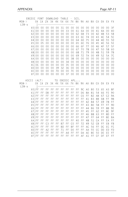|           | EBCDIC               |                                  | FONT                             |                                  | DOWNLOAD                         |                                  | TABLE                            |                                  |                      | - SCS.         |                |                |                                  |                 |                |                |                 |
|-----------|----------------------|----------------------------------|----------------------------------|----------------------------------|----------------------------------|----------------------------------|----------------------------------|----------------------------------|----------------------|----------------|----------------|----------------|----------------------------------|-----------------|----------------|----------------|-----------------|
| $MSN-$    |                      | 0X                               | 1X                               | 2X                               | 3X                               | 4X                               | 5X 6X                            |                                  | 7X 8X                |                | 9X AX          |                | BX                               | C X             | DX.            | EX             | FX              |
| $LSN-v$   |                      | 1-                               |                                  |                                  |                                  |                                  |                                  |                                  |                      |                |                |                |                                  |                 |                |                |                 |
|           | X0 00                |                                  | 0 <sub>0</sub>                   | 0 <sup>0</sup>                   | 0 <sup>0</sup>                   | 0 <sup>0</sup>                   | 31                               | 0 <sub>0</sub>                   | 0 <sup>0</sup>       | 0 <sub>0</sub> | 0 <sup>0</sup> | 0 <sub>0</sub> | 0 <sup>0</sup>                   | 0 <sub>0</sub>  | 0 <sup>0</sup> | 0 <sup>0</sup> | 3F              |
|           | X1100                |                                  | 0 <sub>0</sub>                   | 0 <sup>0</sup>                   | 0 <sub>0</sub>                   | 0 <sub>0</sub>                   | 0 <sub>0</sub>                   | 33                               | 0 <sub>0</sub>       | 61             | 6A             | 0 <sub>0</sub> | 0 <sub>0</sub>                   | 41              | 4A             | 0 <sub>0</sub> | 40              |
|           | X2                   | 0 <sub>0</sub>                   | 0 <sub>0</sub>                   | 0 <sub>0</sub>                   | 0 <sub>0</sub>                   | 0 <sub>0</sub>                   | 0 <sub>0</sub>                   | 0 <sub>0</sub>                   | 0 <sub>0</sub>       | 62             | 6B             | 73             | 0 <sub>0</sub>                   | 42              | 4B             | 53             | 5B              |
|           | X3                   | 0 <sub>0</sub>                   | 0 <sub>0</sub>                   | 0 <sub>0</sub>                   | 0 <sub>0</sub>                   | 0 <sup>0</sup>                   | 0 <sub>0</sub>                   | 0 <sub>0</sub>                   | 0 <sub>0</sub>       | 63             | 6C             | 74             | 0 <sup>0</sup>                   | 43              | 4C             | 54             | 5C              |
|           | Χ4                   | 0 <sub>0</sub>                   | 0 <sub>0</sub>                   | 0 <sub>0</sub>                   | 0 <sub>0</sub>                   | 0 <sub>0</sub>                   | 0 <sub>0</sub>                   | 0 <sub>0</sub>                   | 0 <sub>0</sub>       | 64             | 6D             | 75             | 0 <sup>0</sup>                   | 44              | 4D             | 55             | 5D              |
|           | X <sub>5</sub>       | 0 <sup>0</sup>                   | 05                               | 0 <sub>0</sub>                   | 0 <sub>0</sub>                   | 0 <sub>0</sub>                   | 0 <sub>0</sub>                   | 0 <sub>0</sub>                   | 0 <sub>0</sub>       | 65             | 6E             | 76             | 0 <sub>0</sub>                   | 45              | 4E             | 56             | 5E              |
|           | X6                   | 0 <sup>0</sup>                   | 0 <sub>0</sub>                   | 0 <sub>0</sub>                   | 0 <sub>0</sub>                   | 0 <sub>0</sub>                   | 0 <sup>0</sup>                   | 0 <sub>0</sub>                   | 0 <sub>0</sub>       | 66             | 6F             | 77             | 0 <sub>0</sub>                   | 46              | 4F             | 57             | 5F              |
|           | X7                   | 0 <sub>0</sub>                   | 0 <sub>0</sub>                   | 0 <sub>0</sub>                   | 0 <sub>0</sub>                   | 0 <sub>0</sub>                   | 0 <sub>0</sub>                   | 0 <sup>0</sup>                   | 0 <sub>0</sub>       | 67             | 70             | 78             | 0 <sub>0</sub>                   | 47              | 50             | 58             | 60              |
|           | X8<br>X9             | 0 <sup>0</sup><br>0 <sup>0</sup> | 0 <sub>0</sub><br>0 <sub>0</sub> | 0 <sub>0</sub><br>0 <sub>0</sub> | 0 <sub>0</sub><br>0 <sub>0</sub> | 0 <sub>0</sub><br>0 <sub>0</sub> | 0 <sup>0</sup><br>0 <sub>0</sub> | 0 <sub>0</sub><br>0 <sub>0</sub> | 0 <sup>0</sup>       | 68<br>69       | 71<br>72       | 79<br>7A       | 0 <sub>0</sub><br>0 <sup>0</sup> | 48<br>49        | 51<br>52       | 59<br>5A       | <b>7B</b><br>7C |
|           | XA                   | 0 <sup>0</sup>                   | 0 <sub>0</sub>                   | 0 <sup>0</sup>                   | 0 <sub>0</sub>                   | 0 <sub>0</sub>                   | 0 <sub>0</sub>                   | 0 <sub>0</sub>                   | 0 <sub>0</sub><br>38 | 0 <sub>0</sub> | 0 <sub>0</sub> | 0 <sub>0</sub> | 0 <sub>0</sub>                   | 0 <sub>0</sub>  | 0 <sub>0</sub> | 0 <sub>0</sub> | 0 <sub>0</sub>  |
|           | XB I                 | 00                               | 0 <sub>0</sub>                   | 0 <sup>0</sup>                   | 0 <sub>0</sub>                   | 30                               | 0 <sup>0</sup>                   | 34                               | 0 <sub>0</sub>       | 0 <sub>0</sub> | 0 <sup>0</sup> | 0 <sub>0</sub> | 0 <sub>0</sub>                   | 0 <sub>0</sub>  | 0 <sub>0</sub> | 0 <sub>0</sub> | 0 <sub>0</sub>  |
|           | $XC$   OC            |                                  | 0 <sub>0</sub>                   | 0 <sup>0</sup>                   | 0 <sub>0</sub>                   | 0 <sub>0</sub>                   | 0 <sub>0</sub>                   | 35                               | 0 <sub>0</sub>       | 0 <sub>0</sub> | 0 <sup>0</sup> | 0 <sub>0</sub> | 0 <sub>0</sub>                   | 0 <sub>0</sub>  | 0 <sup>0</sup> | 0 <sub>0</sub> | 0 <sup>0</sup>  |
|           | XDI00                |                                  | 0 <sub>0</sub>                   | 0 <sup>0</sup>                   | 0 <sub>0</sub>                   | 39                               | 32                               | 36                               | 0 <sub>0</sub>       | 0 <sub>0</sub> | 0 <sup>0</sup> | 0 <sub>0</sub> | 0 <sub>0</sub>                   | 0 <sub>0</sub>  | 0 <sub>0</sub> | 0 <sub>0</sub> | 0 <sub>0</sub>  |
|           | X E   00             |                                  | 0 <sub>0</sub>                   | 0 <sub>0</sub>                   | 0 <sub>0</sub>                   | 7D                               | 0 <sub>0</sub>                   | 0 <sub>0</sub>                   | 7E                   | 0 <sub>0</sub> | 0 <sup>0</sup> | 0 <sub>0</sub> | 0 <sup>0</sup>                   | 0 <sub>0</sub>  | 0 <sup>0</sup> | 0 <sub>0</sub> | 0 <sub>0</sub>  |
|           | XF   00              |                                  | 0 <sub>0</sub>                   | 0 <sub>0</sub>                   | 0 <sub>0</sub>                   | 0 <sub>0</sub>                   | 0 <sub>0</sub>                   | 37                               | 0 <sub>0</sub>       | 0 <sub>0</sub> | 0 <sub>0</sub> | 0 <sub>0</sub> | 0 <sup>0</sup>                   | 0 <sub>0</sub>  | 0 <sub>0</sub> | 0 <sup>0</sup> | 0 <sub>0</sub>  |
|           |                      |                                  |                                  |                                  |                                  |                                  |                                  |                                  |                      |                |                |                |                                  |                 |                |                |                 |
|           |                      |                                  |                                  |                                  |                                  |                                  |                                  |                                  |                      |                |                |                |                                  |                 |                |                |                 |
| ASCII     |                      | (ALT)                            |                                  |                                  |                                  | T <sub>0</sub>                   | EBCDIC                           |                                  |                      | APL            |                |                |                                  |                 |                |                |                 |
| $MSN - >$ |                      | $0X$ 1X                          |                                  | 2X                               | $3X$ 4X                          |                                  | 5X 6X                            |                                  |                      | 7X 8X 9X       |                | AX             | BX                               | СX              | DX             | EX             | <b>FX</b>       |
| LSN-v     |                      |                                  |                                  |                                  |                                  |                                  |                                  |                                  |                      |                |                |                |                                  |                 |                |                |                 |
|           | XOIFF                |                                  | FF                               | FF                               | FF                               | FF                               | FF                               | FF                               | FF                   | FF             | 9C             | A <sub>0</sub> | B <sub>0</sub>                   | 53              | 65             | A3             | 8F              |
|           | X1                   | FF                               | FF                               | DB                               | FF                               | FF                               | FF                               | FF                               | FF                   | FF             | D <sub>6</sub> | 8A             | <b>B1</b>                        | 54              | 66             | FE             | 90              |
|           | X <sub>2</sub>       | FF                               | FF                               | FF                               | FF                               | FF                               | FF                               | FF                               | FF                   | FF             | C <sub>6</sub> | FF             | B <sub>2</sub>                   | AB              | 67             | C <sub>2</sub> | 9A              |
|           | X31                  | FF                               | FF                               | FF                               | FF                               | FF                               | FF                               | FF                               | FF                   | FF             | FF             | 41             | B <sub>3</sub>                   | <b>BB</b>       | 68             | FF             | 9 <sub>B</sub>  |
|           | $X4$   FF            |                                  | FF                               | FF                               | FF                               | FF                               | FF                               | FF                               | FF                   | FF             | FF             | 42             | <b>B4</b>                        | 57              | 69             | 78             | FF              |
|           | $X5$  FF             |                                  | FF                               | FF                               | FF                               | FF                               | FF                               | FF                               | FF                   | FF             | FF             | 43             | 80                               | 58              | FF             | FF             | 9 <sub>D</sub>  |
|           | $X6$  FF             |                                  | FF                               | FF                               | FF                               | FF                               | FF                               | FF                               | FF                   | FF             | FF             | 44             | <b>B6</b>                        | 59              | FF             | 8B             | 9E              |
|           | X7                   | FF                               | FF                               | FF                               | FF                               | FF                               | FF                               | FF                               | FF                   | FF             | FF             | 45             | FF                               | 62              | FF             | 8C             | 9F              |
|           | X8<br>$X9$  FF       | FF                               | FF<br>FF                         | FF<br>FF                         | FF<br>FF                         | FF<br>FF                         | FF<br>FF                         | FF<br>FF                         | FF<br>FF             | FF<br>FF       | FF<br>FF       | 46<br>47       | B <sub>8</sub><br>FF             | 63<br>64        | FF<br>FF       | 8D             | FF              |
|           | XA   FF              |                                  | FF                               | FF                               | FF                               | FF                               | FF                               | FF                               | FF                   | 40             | FF             | 48             | 51                               | СA              | FF             | 8E<br>EA       | BA<br>FF        |
|           | XB I                 | FF                               | FF                               | C <sub>3</sub>                   | FF                               | FF                               | <b>B7</b>                        | FF                               | CO                   | FF             | 72             | 49             | 52                               | CB              | FF             | EB             | FB              |
|           | ХC                   | FF                               | FF                               | FF                               | FF                               | FF                               | <b>BD</b>                        | FF                               | <b>BF</b>            | FF             | FF             | AC             | 56                               | FF              | DC             | EC             | FC              |
|           | XD                   | FF                               | FF                               | A2                               | FF                               | FF                               | 71                               | FF                               | D <sub>0</sub>       | FF             | FF             | АA             | 55                               | СC              | <b>DD</b>      | ED             | FD              |
|           | XE I<br><b>XFIFF</b> | FF                               | FF<br>FF                         | FF<br>FF                         | FF<br>FF                         | FF<br>FF                         | FF<br>FF                         | AA<br>FF                         | FF<br>FF             | FF<br>FF       | DA<br>AF       | AE<br>A1       | <b>BE</b><br>FF                  | 50<br><b>CF</b> | DE             | EE<br>FF       | FF              |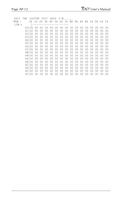| THE CUSTOM TEST DATA Y/N<br>FDIT |                 |                 |                 |                 |                |                 |                                                 |                 |                |                |                |                |    |                |      |                |
|----------------------------------|-----------------|-----------------|-----------------|-----------------|----------------|-----------------|-------------------------------------------------|-----------------|----------------|----------------|----------------|----------------|----|----------------|------|----------------|
| $MSN - >$                        |                 |                 |                 |                 |                |                 | 0X 1X 2X 3X 4X 5X 6X 7X 8X 9X AX BX CX DX EX FX |                 |                |                |                |                |    |                |      |                |
| LSN-v                            |                 |                 |                 |                 |                |                 |                                                 |                 |                |                |                |                |    |                |      |                |
|                                  |                 |                 |                 |                 |                |                 |                                                 |                 |                |                |                |                |    | 00             | - 00 | 00             |
| X 1                              | 00 <sup>1</sup> | 0 <sub>0</sub>  | 00 <sup>o</sup> | 00 <sup>0</sup> | 0 <sup>0</sup> | 00              | 00                                              | 00 <sup>o</sup> | 0 <sup>0</sup> | 0 <sup>0</sup> | 0 <sup>0</sup> | 00             | 00 | 00             | 00   | 0 <sub>0</sub> |
| X2I                              | 00              | 0 <sub>0</sub>  | 00              | 0 <sup>0</sup>  | 0 <sup>0</sup> | 00              | 00                                              | 0 <sup>0</sup>  | 00             | 0 <sup>0</sup> | 00             | 00             | 00 | 00             | 00   | 0 <sup>0</sup> |
| X31                              | 00              | 0 <sub>0</sub>  | 00              | 0 <sub>0</sub>  | 0 <sup>0</sup> | 0 <sup>0</sup>  | 0 <sup>0</sup>                                  | 0 <sup>0</sup>  | 0 <sup>0</sup> | 0 <sup>0</sup> | 00             | 00             | 00 | 0 <sub>0</sub> | 00   | 0 <sup>0</sup> |
| X41                              | 00              | 0 <sub>0</sub>  | 00              | $00 \,$         | 00             | 00              | 00                                              | 0 <sup>0</sup>  | 00             | 00             | 00             | 00             | 00 | 0 <sub>0</sub> | 00   | $00 \,$        |
|                                  | X5100           | 00              | 00              | 0 <sup>0</sup>  | 0 <sup>0</sup> | 00              | $00\,$                                          | 00              | 00             | 00             | 00             | 00             | 00 | 00             | 00   | 00             |
| X61                              | 00              | 0 <sub>0</sub>  | 00              | $00 \,$         | 0 <sub>0</sub> | 00 <sup>o</sup> | 0 <sup>0</sup>                                  | 0 <sup>0</sup>  | 0 <sup>0</sup> | 00             | 00             | 0 <sub>0</sub> | 00 | 0 <sub>0</sub> | 00   | 0 <sub>0</sub> |
| X71                              | 00              | 0 <sub>0</sub>  | 00              | 00              | 00             | 00 <sup>o</sup> | 0 <sup>0</sup>                                  | 0 <sup>0</sup>  | 00             | 00             | 00             | 00             | 00 | 0 <sub>0</sub> | 00   | 00             |
|                                  | X8100           | 00 <sup>°</sup> | 00              | $00 \,$         | 00             | 0 <sup>0</sup>  | 0 <sup>0</sup>                                  | 0 <sup>0</sup>  | 0 <sup>0</sup> | 00             | 00             | 00             | 00 | 00             | 00   | 0 <sub>0</sub> |
|                                  | X9100           | 00 <sup>0</sup> | 00              | $00 \,$         | 00             | 00 <sup>o</sup> | 0 <sup>0</sup>                                  | 0 <sup>0</sup>  | 0 <sup>0</sup> | 0 <sup>0</sup> | 00             | 0 <sub>0</sub> | 00 | 0 <sub>0</sub> | 00   | 0 <sub>0</sub> |
|                                  | XA   00         | 00              | 00              | 00              | 00             | 00 <sup>o</sup> | 0 <sup>0</sup>                                  | 0 <sup>0</sup>  | 0 <sup>0</sup> | 0 <sup>0</sup> | 00             | 00             | 00 | 00             | 00   | 00             |
| XB I                             | 00 <sup>°</sup> | 0 <sub>0</sub>  | 0 <sub>0</sub>  | 0 <sub>0</sub>  | 0 <sub>0</sub> | 0 <sup>0</sup>  | 0 <sub>0</sub>                                  | 0 <sup>0</sup>  | 0 <sup>0</sup> | 0 <sub>0</sub> | 0 <sub>0</sub> | 0 <sub>0</sub> | 00 | 0 <sub>0</sub> | 00   | 0 <sub>0</sub> |
| XC I                             | 00              | 0 <sub>0</sub>  | 00              | 0 <sub>0</sub>  | 00             | 00              | 0 <sup>0</sup>                                  | 0 <sup>0</sup>  | 0 <sup>0</sup> | 0 <sup>0</sup> | 00             | 0 <sub>0</sub> | 00 | 0 <sub>0</sub> | 00   | 0 <sub>0</sub> |
| XD.                              | 00 <sup>°</sup> | 0 <sub>0</sub>  | 00              | 00              | 0 <sub>0</sub> | 0 <sub>0</sub>  | 0 <sub>0</sub>                                  | 0 <sub>0</sub>  | 0 <sub>0</sub> | 0 <sub>0</sub> | 00             | 00             | 00 | 0 <sub>0</sub> | 00   | 0 <sub>0</sub> |
| ХE                               | 00 <sup>0</sup> | 0 <sub>0</sub>  | 0 <sub>0</sub>  | 00              | 00             | 0 <sup>0</sup>  | 0 <sub>0</sub>                                  | 0 <sup>0</sup>  | 0 <sup>0</sup> | 0 <sup>0</sup> | 00             | 00             | 00 | 0 <sub>0</sub> | 00   | 0 <sup>0</sup> |
|                                  | XFI00           | 00              | 00              | 00              | 00             | 00              | 00                                              | 00              | 0 <sup>0</sup> | 0 <sub>0</sub> | 00             | 00             | 00 | 00             | 00   | 00             |
|                                  |                 |                 |                 |                 |                |                 |                                                 |                 |                |                |                |                |    |                |      |                |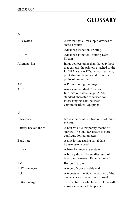# **GLOSSARY**

| A                    |                                                                                                                                                                                             |
|----------------------|---------------------------------------------------------------------------------------------------------------------------------------------------------------------------------------------|
| $A/B$ switch         | A switch that allows input devices to<br>share a printer.                                                                                                                                   |
| AFP                  | Advanced Function Printing.                                                                                                                                                                 |
| <b>AFPDS</b>         | <b>Advanced Function Printing Data</b><br>Stream.                                                                                                                                           |
| Alternate host       | Input devices other than the coax host<br>that can use the printers attached to the<br>ULTRA, such as PCs, network servers,<br>print sharing devices and even other<br>protocol converters. |
| APL                  | A Programming Language.                                                                                                                                                                     |
| <b>ASCII</b>         | American Standard Code for<br>Information Interchange. A 7-bit<br>standard character code used for<br>interchanging data between<br>communications equipment.                               |
| B                    |                                                                                                                                                                                             |
| Backspace            | Moves the print position one column to<br>the left.                                                                                                                                         |
| Battery-backed RAM   | A non-volatile temporary means of<br>storage. The ULTRA uses it to store<br>configuration parameters.                                                                                       |
| Baud rate            | A unit for measuring serial data<br>transmission speed.                                                                                                                                     |
| Binary               | A base 2 numbering system.                                                                                                                                                                  |
| <b>Bit</b>           | A binary digit. The smallest unit of<br>binary information. Either a 0 or a 1.                                                                                                              |
| BM                   | Bottom margin.                                                                                                                                                                              |
| <b>BNC</b> connector | A type of coaxial cable end.                                                                                                                                                                |
| <b>Bold</b>          | A typestyle in which the strokes of the<br>characters are thicker than normal.                                                                                                              |
| Bottom margin        | The last line on which the ULTRA will<br>allow a character to be printed.                                                                                                                   |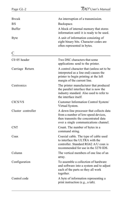| Break              | An interruption of a transmission.                                                                                                                               |
|--------------------|------------------------------------------------------------------------------------------------------------------------------------------------------------------|
| BS                 | Backspace.                                                                                                                                                       |
| <b>Buffer</b>      | A block of internal memory that stores<br>information until it is ready to be used.                                                                              |
| <b>Byte</b>        | A unit of information consisting of<br>eight binary bits. Character codes are<br>often represented in bytes.                                                     |
| С                  |                                                                                                                                                                  |
| C0 05 header       | Two DSC characters that some<br>applications send to the printer.                                                                                                |
| Carriage Return    | A control character that (unless set to be<br>interpreted as a line end) causes the<br>printer to begin printing at the left<br>margin of the current line.      |
| Centronics         | The printer manufacturer that produced<br>the parallel interface that is now the<br>industry standard. Also used to refer to<br>the interface itself.            |
| CICS/VS            | Customer Information Control System/<br>Virtual System.                                                                                                          |
| Cluster controller | A down-line processor that collects data<br>from a number of low-speed devices,<br>then transmits the concentrated data<br>over a single communications channel. |
| <b>CNT</b>         | Count. The number of bytes in a<br>command string.                                                                                                               |
| Coax               | Coaxial cable. The type of cable used<br>to interface the ULTRA with the<br>controller. Standard RG62 A/U coax is<br>recommended for use in the 3270 IDS.        |
| Column             | The vertical members of one line of an<br>array.                                                                                                                 |
| Configuration      | To assemble a collection of hardware<br>and software into a system and to adjust<br>each of the parts so they all work<br>together.                              |
| Control code       | A byte of information representing a<br>print instruction (e.g., a tab).                                                                                         |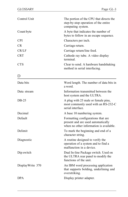| Control Unit | The portion of the CPU that directs the<br>step-by-step operation of the entire<br>computing system. |
|--------------|------------------------------------------------------------------------------------------------------|
| Count byte   | A byte that indicates the number of<br>bytes to follow in an escape sequence.                        |
| CPI          | Characters per inch.                                                                                 |
| CR.          | Carriage return.                                                                                     |
| CR/LF        | Carriage return/line feed.                                                                           |
| <b>CRT</b>   | Cathode ray tube. A video display<br>terminal.                                                       |
| <b>CTS</b>   | Clear to send. A hardware handshaking<br>method in serial interfacing.                               |
| D            |                                                                                                      |
| Data bits    | Word length. The number of data bits in<br>a word.                                                   |
| Data stream  | Information transmitted between the<br>host system and the ULTRA.                                    |
| $DB-25$      | A plug with 25 male or female pins,<br>most commonly used with an RS-232-C<br>serial interface.      |
| Decimal      | A base 10 numbering system.                                                                          |

Default Formatting configurations that are

Delimit To mark the beginning and end of a

Diagnostic A routine designed to verify the

Dip switch Dual In-line Package switch. Used on

DisplayWrite 370 An IBM word processing application

that supports bolding, underlining and overstriking.

present and are used automatically when no other information is available.

operation of a system and to find a

the ULTRA rear panel to modify the

DPA Display printer adapter.

malfunction in a device.

functions of the unit.

character string.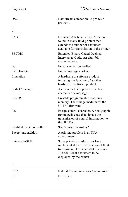| DSC                      | Data stream compatible. A pre-SNA<br>protocol.                                                                                                                                   |
|--------------------------|----------------------------------------------------------------------------------------------------------------------------------------------------------------------------------|
| F                        |                                                                                                                                                                                  |
| EAB                      | Extended Attribute Buffer. A feature<br>found in many IBM printers that<br>extends the number of characters<br>available for transmission to the printer.                        |
| <b>EBCDIC</b>            | Extended Binary Coded Decimal<br>Interchange Code. An eight bit<br>character code.                                                                                               |
| EC                       | Establishment controller.                                                                                                                                                        |
| EM character             | End of message marker.                                                                                                                                                           |
| Emulation                | A hardware or software product<br>imitating the function of another<br>hardware or software product.                                                                             |
| End of Message           | A character that represents the last<br>character of a message.                                                                                                                  |
| <b>EPROM</b>             | Erasable programmable read-only<br>memory. The storage medium for the<br>ULTRA firmware.                                                                                         |
| Esc                      | Escape control character. A non-graphic<br>(unimaged) code that signals the<br>transmission of control information to<br>the ULTRA.                                              |
| Establishment controller | See "cluster controller."                                                                                                                                                        |
| Exception condition      | A printing problem in an SNA<br>environment.                                                                                                                                     |
| Extended ASCII           | Some printer manufacturers have<br>implemented their own version of 8 bit<br>transmission. Extended ASCII allows<br>128 additional characters to be<br>displayed by the printer. |
| F                        |                                                                                                                                                                                  |
| FCC                      | Federal Communications Commission.                                                                                                                                               |
| FF                       | Form feed.                                                                                                                                                                       |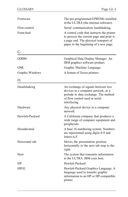| Firmware        | The pre-programmed EPROMs installed<br>in the ULTRA (the internal software).<br>Serial communication handshaking.                                                        |  |
|-----------------|--------------------------------------------------------------------------------------------------------------------------------------------------------------------------|--|
| Flow control    |                                                                                                                                                                          |  |
| Form feed       | A control code that instructs the printer<br>to process the current page and print it;<br>a page end. The physical transport of<br>paper to the beginning of a new page. |  |
| G               |                                                                                                                                                                          |  |
| <b>GDDM</b>     | Graphical Data Display Manager. An<br>IBM graphics software product.                                                                                                     |  |
| GML             | Graphic Machine Language.                                                                                                                                                |  |
| Graphic Windows | A feature of Xerox printers.                                                                                                                                             |  |
| H               |                                                                                                                                                                          |  |
| Handshaking     | An exchange of signals between two<br>devices in a computer network, as a<br>prelude to data exchange. The method<br>of flow control used in serial<br>interfacing.      |  |
| Hardware        | Any physical device in a computer<br>network.                                                                                                                            |  |
| Hewlett-Packard | A California company that produces a<br>wide range of computer equipment and<br>peripherals.                                                                             |  |
| Hexadecimal     | A base 16 numbering system. Numbers<br>are represented using digits 0-9 and<br>letters A-F.                                                                              |  |
| Horizontal tab  | Moves the presentation position<br>horizontally to the next tab stop to the<br>right.                                                                                    |  |
| Host            | The system that transmits information<br>to the ULTRA. IBM coax host.                                                                                                    |  |
| HP              | Hewlett-Packard.                                                                                                                                                         |  |
| HPGL            | Hewlett-Packard Graphics Language. A<br>language used to transfer graphic<br>information to an HP or HP-compatible<br>plotter.                                           |  |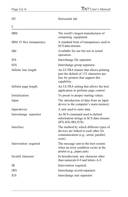| HT                      | Horizontal tab.                                                                                                                       |
|-------------------------|---------------------------------------------------------------------------------------------------------------------------------------|
| I                       |                                                                                                                                       |
| <b>IBM</b>              | The world's largest manufacturer of<br>computing equipment.                                                                           |
| IBM 35 Hex transparency | A standard form of transparency used in<br>SCS data streams.                                                                          |
| Idle                    | Available for use but not in actual<br>operation.                                                                                     |
| <b>IFS</b>              | Interchange file separator.                                                                                                           |
| <b>IGS</b>              | Interchange group separator.                                                                                                          |
| Infinite line length    | An ULTRA feature that allows printing<br>past the default of 132 characters per<br>line for printers that support this<br>capability. |
| Infinite page length    | An ULTRA setting that allows the host<br>application to perform page control.                                                         |
| Initialization          | To preset to proper starting values.                                                                                                  |
| Input                   | The introduction of data from an input<br>device to the computer's main memory.                                                       |
| Input device            | A unit used to enter data.                                                                                                            |
| Interchange separator   | An SCS command used to delimit<br>information strings in SCS data streams<br>(IFS, IGS, IRS, IUS).                                    |
| Interface               | The method by which different types of<br>devices are linked to each other for<br>communication (e.g., serial, parallel,<br>coax).    |
| Intervention required   | The message sent to the host system<br>when an error condition exists at the<br>printer (e.g., paper jam).                            |
| Invalid character       | In hexadecimal, any character other<br>than numerals 0-9 and letters A-F.                                                             |
| <b>IR</b>               | Intervention required.                                                                                                                |
| <b>IRS</b>              | Interchange record separator.                                                                                                         |
| <b>IUS</b>              | Interchange unit separator.                                                                                                           |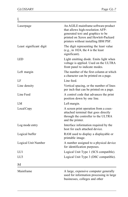| L                       |                                                                                                                                                                                              |
|-------------------------|----------------------------------------------------------------------------------------------------------------------------------------------------------------------------------------------|
| Laserpage               | An AGILE mainframe software product<br>that allows high-resolution AFP-<br>generated text and graphics to be<br>printed on Xerox and Hewlett-Packard<br>printers without installing IBM PSF. |
| Least significant digit | The digit representing the least value<br>(e.g., in $1024$ , the 4 is the least<br>significant).                                                                                             |
| <b>LED</b>              | Light emitting diode. Emits light when<br>voltage is applied. Used on the ULTRA<br>front panel to indicate modes.                                                                            |
| Left margin             | The number of the first column at which<br>a character can be printed on a page.                                                                                                             |
| LF                      | Line feed.                                                                                                                                                                                   |
| Line density            | Vertical spacing, or the number of lines<br>per inch that can be printed on a page.                                                                                                          |
| Line Feed               | A control code that advances the print<br>position down by one line.                                                                                                                         |
| LM                      | Left margin.                                                                                                                                                                                 |
| Local Copy              | A screen print operation from a coax-<br>attached terminal that goes directly<br>through the controller to the ULTRA<br>and the printer.                                                     |
| Log mode entry          | Interface information required by the<br>host for each attached device.                                                                                                                      |
| Logical buffer          | RAM used to display a displayable or<br>printable image.                                                                                                                                     |
| Logical Unit Number     | A number assigned to a physical device<br>for identification purposes.                                                                                                                       |
| LU1                     | Logical Unit Type 1 (SCS compatible).                                                                                                                                                        |
| LU <sub>3</sub>         | Logical Unit Type 3 (DSC compatible).                                                                                                                                                        |
| M                       |                                                                                                                                                                                              |
| Mainframe               | A large, expensive computer generally<br>used for information processing in large<br>businesses, colleges and other                                                                          |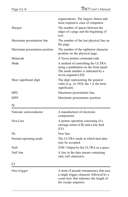|                               | organizations. The largest, fastest and<br>most expensive class of computers.                                                                          |
|-------------------------------|--------------------------------------------------------------------------------------------------------------------------------------------------------|
| Margin                        | The number of spaces between the<br>edges of a page and the beginning of<br>text.                                                                      |
| Maximum presentation line     | The number of the last physical line on<br>the page.                                                                                                   |
| Maximum presentation position | The number of the rightmost character<br>position on the physical page.                                                                                |
| Metacode                      | A Xerox printer command code.                                                                                                                          |
| Mode                          | A method of controlling the ULTRA<br>using a pushbutton on the front panel.<br>The mode number is indicated by a<br>seven-segment LED.                 |
| Most significant digit        | The digit representing the greatest<br>value (e.g., in $1024$ , the 1 is the most<br>significant).                                                     |
| MPL                           | Maximum presentation line.                                                                                                                             |
| <b>MPP</b>                    | Maximum presentation position.                                                                                                                         |
| N                             |                                                                                                                                                        |
| National semiconductor        | A manufacturer of electronic<br>components.                                                                                                            |
| New Line                      | A printer operation consisting of a<br>carriage return (CR) and a line feed<br>$(LF)$ .                                                                |
| NL                            | New line.                                                                                                                                              |
| Normal operating mode         | The ULTRA mode in which host data<br>may be accepted.                                                                                                  |
| Null                          | X'00.' Output by the ULTRA as a space.                                                                                                                 |
| Null line                     | A line in the data stream containing<br>only null characters.                                                                                          |
|                               |                                                                                                                                                        |
| One-trigger                   | A form of pseudo transparency that uses<br>a single trigger character followed by a<br>count byte that indicates the length of<br>the escape sequence. |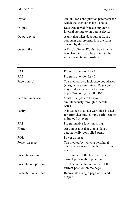| Option                  | An ULTRA configuration parameter for<br>which the user can make a choice.                                                                                                           |
|-------------------------|-------------------------------------------------------------------------------------------------------------------------------------------------------------------------------------|
| Output<br>Output device | Data transferred from a computer's<br>internal storage to an output device.<br>A unit that takes data output from a<br>computer and presents it in the form<br>desired by the user. |
|                         |                                                                                                                                                                                     |
| P                       |                                                                                                                                                                                     |
| PA <sub>1</sub>         | Program attention key 1.                                                                                                                                                            |
| PA <sub>2</sub>         | Program attention key 2.                                                                                                                                                            |
| Page control            | The method by which page boundaries<br>(margins) are determined. Page control<br>may be done either by the host<br>application or by the ULTRA.                                     |
| Parallel interface      | 8 bits of a byte are transmitted<br>simultaneously through 8 parallel<br>wires.                                                                                                     |
| Parity                  | A bit added to a data word that is used<br>for error checking. Simple parity can be<br>either odd or even.                                                                          |
| <b>PFS</b>              | Programmable function string.                                                                                                                                                       |
| Plotter                 | An output unit that graphs data by<br>automatically controlled pens.                                                                                                                |
| <b>POR</b>              | Power on reset.                                                                                                                                                                     |
| Power on reset          | The method by which a peripheral<br>device announces to the host that it is<br>ready.                                                                                               |
| Presentation line       | The number of the line that is the<br>current presentation position.                                                                                                                |
| Presentation position   | The line and column number of the<br>current position on the page.                                                                                                                  |
| Presentation surface    | Represents a single page of printed<br>output.                                                                                                                                      |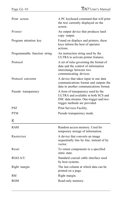| Print screen                 | A PC keyboard command that will print<br>the text currently displayed on the<br>screen.                                                              |
|------------------------------|------------------------------------------------------------------------------------------------------------------------------------------------------|
| Printer                      | An output device that produces hard<br>copy output.                                                                                                  |
| Program attention key        | Found on displays and printers, these<br>keys inform the host of operator<br>actions.                                                                |
| Programmable function string | An instruction string used by the<br>ULTRA to activate printer features.                                                                             |
| Protocol                     | A set of rules governing the format of<br>data and the control of information<br>interchange between two<br>communicating devices.                   |
| Protocol converter           | A device that takes input in one data<br>communications format and outputs the<br>data in another communications format.                             |
| Pseudo transparency          | A form of transparency used by the<br>ULTRA and available in both SCS and<br>DSC data streams. One-trigger and two-<br>trigger methods are provided. |
| <b>PSF</b>                   | Print Services Facility.                                                                                                                             |
| <b>PTM</b>                   | Pseudo transparency mode.                                                                                                                            |
| R                            |                                                                                                                                                      |
| <b>RAM</b>                   | Random access memory. Used for<br>temporary storage of information.                                                                                  |
| Rasterizer                   | A device that converts an image<br>sequentially line by line, instead of by<br>vector.                                                               |
| Reset                        | To return components to a specified<br>static state.                                                                                                 |
| RG62A/U                      | Standard coaxial cable interface used<br>by host systems.                                                                                            |
| Right margin                 | The last column at which data can be.<br>printed on a page.                                                                                          |
| <b>RM</b>                    | Right margin.                                                                                                                                        |
| <b>ROM</b>                   | Read-only memory.                                                                                                                                    |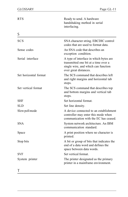| <b>RTS</b>            | Ready to send. A hardware<br>handshaking method in serial<br>interfacing.                                                                      |
|-----------------------|------------------------------------------------------------------------------------------------------------------------------------------------|
| S                     |                                                                                                                                                |
| SCS                   | SNA character string. EBCDIC control<br>codes that are used to format data.                                                                    |
| Sense codes           | An SNA code that describes an<br>exception condition.                                                                                          |
| Serial interface      | A type of interface in which bytes are<br>transmitted one bit at a time over a<br>single wire, and which can function<br>over great distances. |
| Set horizontal format | The SCS command that describes left<br>and right margins and horizontal tab<br>stops.                                                          |
| Set vertical format   | The SCS command that describes top<br>and bottom margins and vertical tab<br>stops.                                                            |
| SHF                   | Set horizontal format.                                                                                                                         |
| <b>SLD</b>            | Set line density.                                                                                                                              |
| Slow poll mode        | A device connected to an establishment<br>controller may enter this mode when<br>communication with the EC has ceased.                         |
| <b>SNA</b>            | System network architecture. An IBM<br>communication standard.                                                                                 |
| Space                 | A print position where no character is<br>printed.                                                                                             |
| Stop bits             | A bit or group of bits that indicates the<br>end of a data word and defines the<br>space between data words.                                   |
| SVF                   | Set vertical format.                                                                                                                           |
| System printer        | The printer designated as the primary<br>printer in a mainframe environment.                                                                   |
|                       |                                                                                                                                                |

T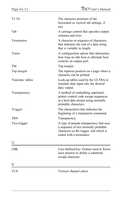| $T1-Tn$          | The character positions of the<br>horizontal or vertical tab settings, if<br>any.                                                                      |
|------------------|--------------------------------------------------------------------------------------------------------------------------------------------------------|
| Tab              | A carriage control that specifies output<br>columns and rows.                                                                                          |
| Terminator       | A character or sequence of characters<br>that indicates the end of a data string<br>that is variable in length.                                        |
| Timer            | A configuration option that determines<br>how long an idle host or alternate host<br>controls an output port.                                          |
| TM               | Top margin.                                                                                                                                            |
| Top margin       | The topmost position on a page where a<br>character can be printed.                                                                                    |
| Translate tables | Look-up tables used by the ULTRA to<br>translate data input into the desired<br>data output.                                                           |
| Transparency     | A method of embedding unprinted<br>printer control code escape sequences<br>in a host data stream using normally<br>printable characters.              |
| Trigger          | The character(s) that indicates the<br>beginning of a transparent command.                                                                             |
| TRN              | Transparency.                                                                                                                                          |
| Two-trigger      | A type of pseudo transparency that uses<br>a sequence of two normally printable<br>characters as the trigger, and which is<br>ended with a terminator. |
| U                |                                                                                                                                                        |
| <b>UDK</b>       | User-defined key. Feature used in Xerox<br>laser printers to define a substitute<br>escape character.                                                  |
|                  |                                                                                                                                                        |
| VCS              | Vertical channel select.                                                                                                                               |